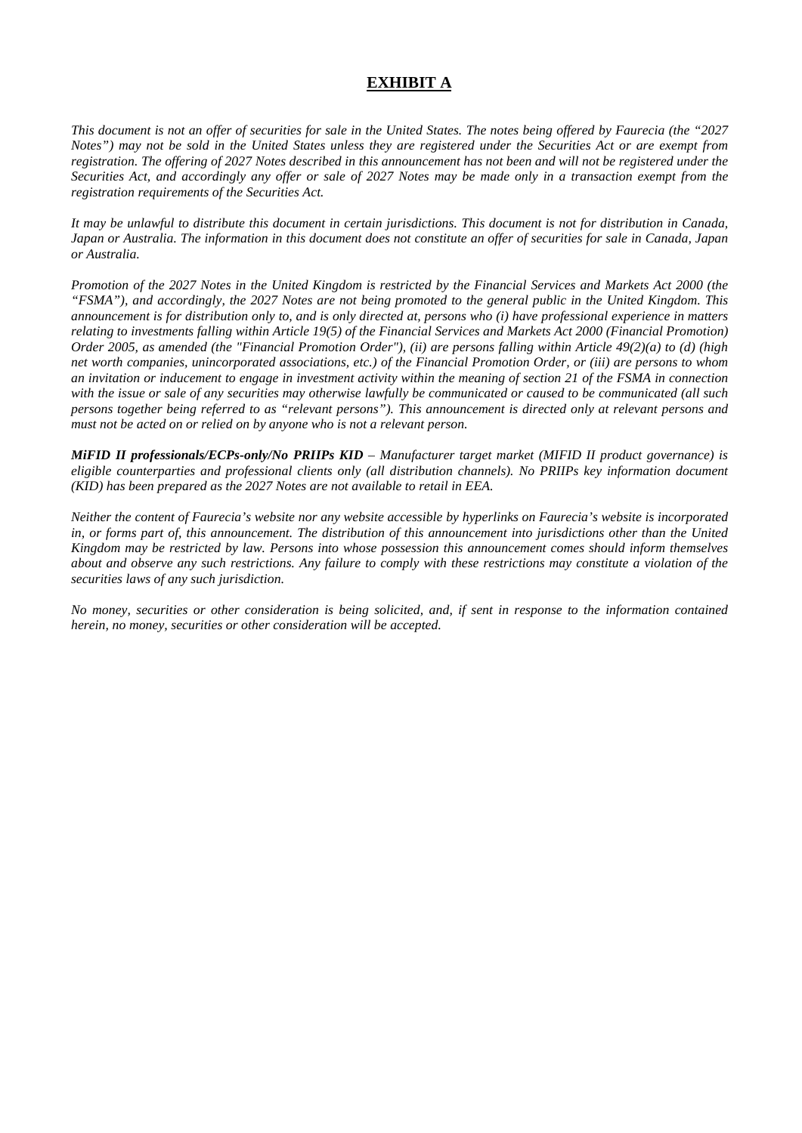# **EXHIBIT A**

*This document is not an offer of securities for sale in the United States. The notes being offered by Faurecia (the "2027 Notes") may not be sold in the United States unless they are registered under the Securities Act or are exempt from registration. The offering of 2027 Notes described in this announcement has not been and will not be registered under the Securities Act, and accordingly any offer or sale of 2027 Notes may be made only in a transaction exempt from the registration requirements of the Securities Act.* 

*It may be unlawful to distribute this document in certain jurisdictions. This document is not for distribution in Canada, Japan or Australia. The information in this document does not constitute an offer of securities for sale in Canada, Japan or Australia.* 

*Promotion of the 2027 Notes in the United Kingdom is restricted by the Financial Services and Markets Act 2000 (the "FSMA"), and accordingly, the 2027 Notes are not being promoted to the general public in the United Kingdom. This announcement is for distribution only to, and is only directed at, persons who (i) have professional experience in matters relating to investments falling within Article 19(5) of the Financial Services and Markets Act 2000 (Financial Promotion) Order 2005, as amended (the "Financial Promotion Order"), (ii) are persons falling within Article 49(2)(a) to (d) (high net worth companies, unincorporated associations, etc.) of the Financial Promotion Order, or (iii) are persons to whom an invitation or inducement to engage in investment activity within the meaning of section 21 of the FSMA in connection with the issue or sale of any securities may otherwise lawfully be communicated or caused to be communicated (all such persons together being referred to as "relevant persons"). This announcement is directed only at relevant persons and must not be acted on or relied on by anyone who is not a relevant person.* 

*MiFID II professionals/ECPs-only/No PRIIPs KID – Manufacturer target market (MIFID II product governance) is eligible counterparties and professional clients only (all distribution channels). No PRIIPs key information document (KID) has been prepared as the 2027 Notes are not available to retail in EEA.*

*Neither the content of Faurecia's website nor any website accessible by hyperlinks on Faurecia's website is incorporated in, or forms part of, this announcement. The distribution of this announcement into jurisdictions other than the United Kingdom may be restricted by law. Persons into whose possession this announcement comes should inform themselves about and observe any such restrictions. Any failure to comply with these restrictions may constitute a violation of the securities laws of any such jurisdiction.* 

*No money, securities or other consideration is being solicited, and, if sent in response to the information contained herein, no money, securities or other consideration will be accepted.*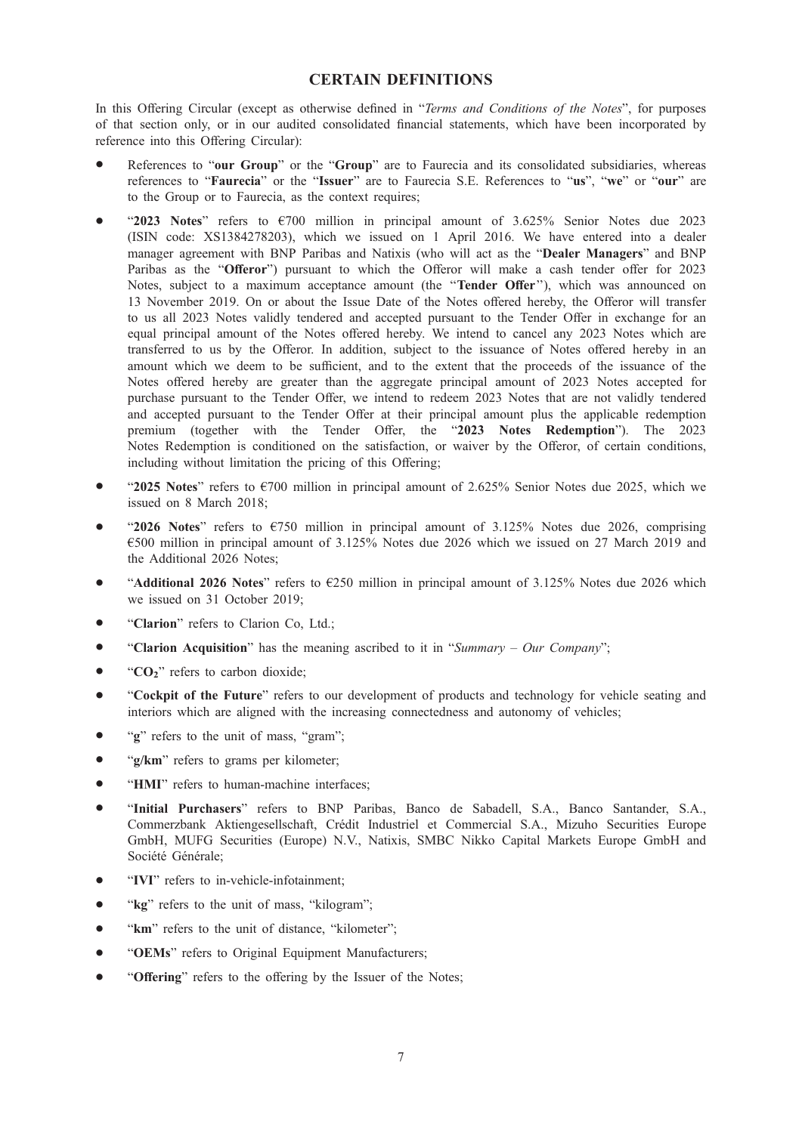# CERTAIN DEFINITIONS

In this Offering Circular (except as otherwise defined in "Terms and Conditions of the Notes", for purposes of that section only, or in our audited consolidated financial statements, which have been incorporated by reference into this Offering Circular):

- References to "our Group" or the "Group" are to Faurecia and its consolidated subsidiaries, whereas references to "Faurecia" or the "Issuer" are to Faurecia S.E. References to "us", "we" or "our" are to the Group or to Faurecia, as the context requires;
- $\bullet$  "2023 Notes" refers to  $\epsilon$ 700 million in principal amount of 3.625% Senior Notes due 2023 (ISIN code: XS1384278203), which we issued on 1 April 2016. We have entered into a dealer manager agreement with BNP Paribas and Natixis (who will act as the "Dealer Managers" and BNP Paribas as the "Offeror") pursuant to which the Offeror will make a cash tender offer for 2023 Notes, subject to a maximum acceptance amount (the ''Tender Offer''), which was announced on 13 November 2019. On or about the Issue Date of the Notes offered hereby, the Offeror will transfer to us all 2023 Notes validly tendered and accepted pursuant to the Tender Offer in exchange for an equal principal amount of the Notes offered hereby. We intend to cancel any 2023 Notes which are transferred to us by the Offeror. In addition, subject to the issuance of Notes offered hereby in an amount which we deem to be sufficient, and to the extent that the proceeds of the issuance of the Notes offered hereby are greater than the aggregate principal amount of 2023 Notes accepted for purchase pursuant to the Tender Offer, we intend to redeem 2023 Notes that are not validly tendered and accepted pursuant to the Tender Offer at their principal amount plus the applicable redemption premium (together with the Tender Offer, the "2023 Notes Redemption"). The 2023 Notes Redemption is conditioned on the satisfaction, or waiver by the Offeror, of certain conditions, including without limitation the pricing of this Offering;
- \* "2025 Notes" refers to €700 million in principal amount of 2.625% Senior Notes due 2025, which we issued on 8 March 2018;
- "2026 Notes" refers to  $\epsilon$ 750 million in principal amount of 3.125% Notes due 2026, comprising €500 million in principal amount of 3.125% Notes due 2026 which we issued on 27 March 2019 and the Additional 2026 Notes;
- "Additional 2026 Notes" refers to  $\epsilon$ 250 million in principal amount of 3.125% Notes due 2026 which we issued on 31 October 2019;
- "Clarion" refers to Clarion Co, Ltd.;
- "Clarion Acquisition" has the meaning ascribed to it in "Summary Our Company";
- "CO<sub>2</sub>" refers to carbon dioxide;
- "Cockpit of the Future" refers to our development of products and technology for vehicle seating and interiors which are aligned with the increasing connectedness and autonomy of vehicles;
- $\bullet$  "g" refers to the unit of mass, "gram";
- "g/km" refers to grams per kilometer;
- "HMI" refers to human-machine interfaces;
- \* "Initial Purchasers" refers to BNP Paribas, Banco de Sabadell, S.A., Banco Santander, S.A., Commerzbank Aktiengesellschaft, Crédit Industriel et Commercial S.A., Mizuho Securities Europe GmbH, MUFG Securities (Europe) N.V., Natixis, SMBC Nikko Capital Markets Europe GmbH and Société Générale;
- "IVI" refers to in-vehicle-infotainment:
- $\bullet$  "kg" refers to the unit of mass, "kilogram";
- "km" refers to the unit of distance, "kilometer";
- "OEMs" refers to Original Equipment Manufacturers;
- "Offering" refers to the offering by the Issuer of the Notes;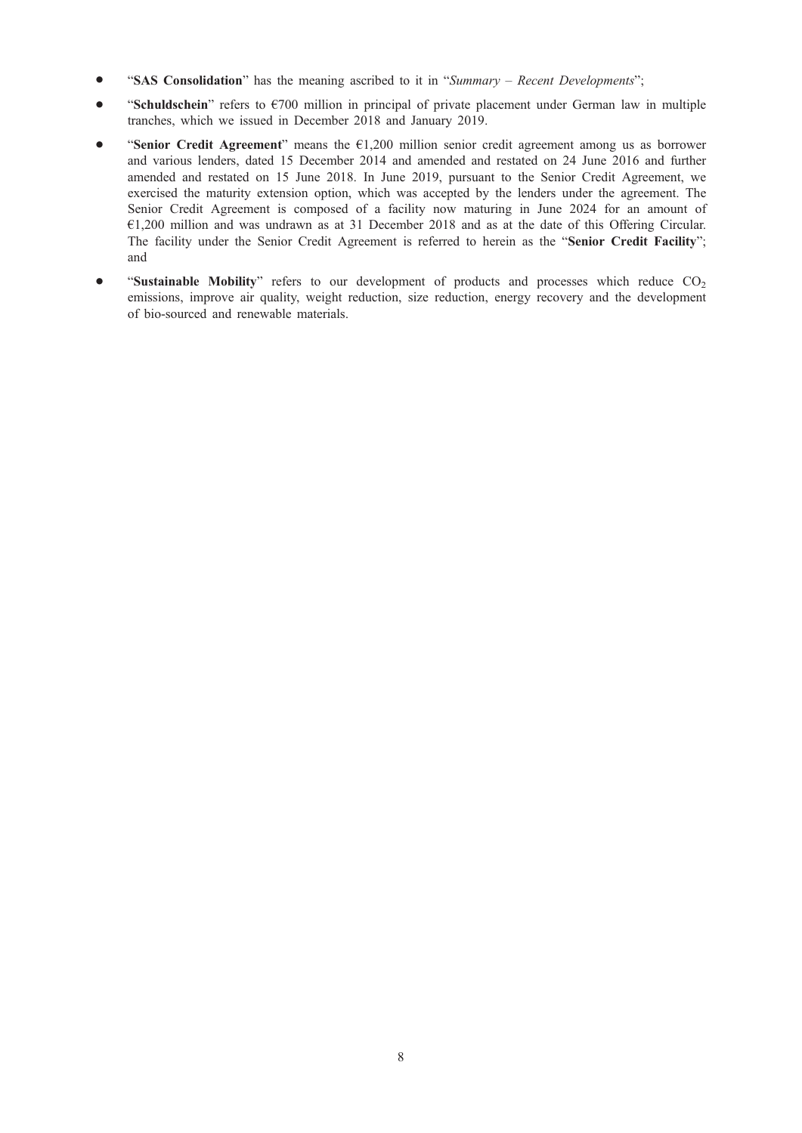- "SAS Consolidation" has the meaning ascribed to it in "Summary Recent Developments";
- "Schuldschein" refers to €700 million in principal of private placement under German law in multiple tranches, which we issued in December 2018 and January 2019.
- "Senior Credit Agreement" means the  $E1,200$  million senior credit agreement among us as borrower and various lenders, dated 15 December 2014 and amended and restated on 24 June 2016 and further amended and restated on 15 June 2018. In June 2019, pursuant to the Senior Credit Agreement, we exercised the maturity extension option, which was accepted by the lenders under the agreement. The Senior Credit Agreement is composed of a facility now maturing in June 2024 for an amount of €1,200 million and was undrawn as at 31 December 2018 and as at the date of this Offering Circular. The facility under the Senior Credit Agreement is referred to herein as the "Senior Credit Facility"; and
- "Sustainable Mobility" refers to our development of products and processes which reduce  $CO<sub>2</sub>$ emissions, improve air quality, weight reduction, size reduction, energy recovery and the development of bio-sourced and renewable materials.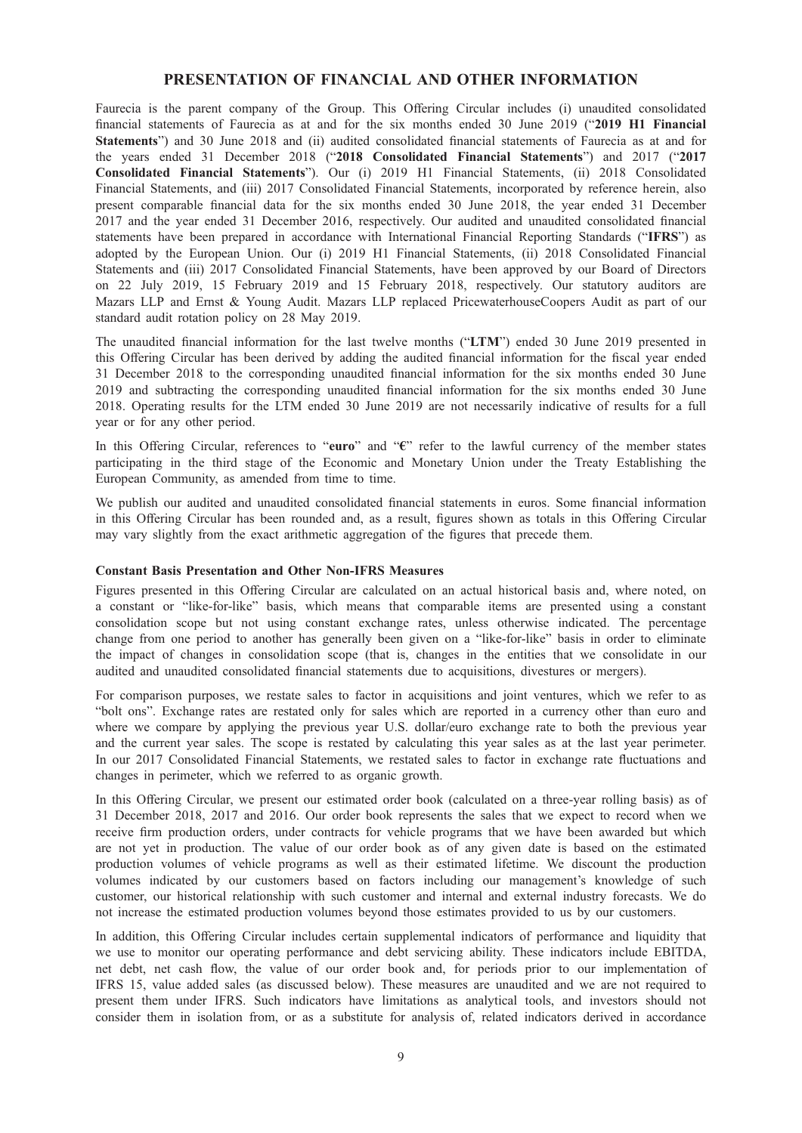# PRESENTATION OF FINANCIAL AND OTHER INFORMATION

Faurecia is the parent company of the Group. This Offering Circular includes (i) unaudited consolidated financial statements of Faurecia as at and for the six months ended 30 June 2019 ("2019 H1 Financial Statements") and 30 June 2018 and (ii) audited consolidated financial statements of Faurecia as at and for the years ended 31 December 2018 ("2018 Consolidated Financial Statements") and 2017 ("2017 Consolidated Financial Statements"). Our (i) 2019 H1 Financial Statements, (ii) 2018 Consolidated Financial Statements, and (iii) 2017 Consolidated Financial Statements, incorporated by reference herein, also present comparable financial data for the six months ended 30 June 2018, the year ended 31 December 2017 and the year ended 31 December 2016, respectively. Our audited and unaudited consolidated financial statements have been prepared in accordance with International Financial Reporting Standards ("IFRS") as adopted by the European Union. Our (i) 2019 H1 Financial Statements, (ii) 2018 Consolidated Financial Statements and (iii) 2017 Consolidated Financial Statements, have been approved by our Board of Directors on 22 July 2019, 15 February 2019 and 15 February 2018, respectively. Our statutory auditors are Mazars LLP and Ernst & Young Audit. Mazars LLP replaced PricewaterhouseCoopers Audit as part of our standard audit rotation policy on 28 May 2019.

The unaudited financial information for the last twelve months ("LTM") ended 30 June 2019 presented in this Offering Circular has been derived by adding the audited financial information for the fiscal year ended 31 December 2018 to the corresponding unaudited financial information for the six months ended 30 June 2019 and subtracting the corresponding unaudited financial information for the six months ended 30 June 2018. Operating results for the LTM ended 30 June 2019 are not necessarily indicative of results for a full year or for any other period.

In this Offering Circular, references to "euro" and "€" refer to the lawful currency of the member states participating in the third stage of the Economic and Monetary Union under the Treaty Establishing the European Community, as amended from time to time.

We publish our audited and unaudited consolidated financial statements in euros. Some financial information in this Offering Circular has been rounded and, as a result, figures shown as totals in this Offering Circular may vary slightly from the exact arithmetic aggregation of the figures that precede them.

## Constant Basis Presentation and Other Non-IFRS Measures

Figures presented in this Offering Circular are calculated on an actual historical basis and, where noted, on a constant or "like-for-like" basis, which means that comparable items are presented using a constant consolidation scope but not using constant exchange rates, unless otherwise indicated. The percentage change from one period to another has generally been given on a "like-for-like" basis in order to eliminate the impact of changes in consolidation scope (that is, changes in the entities that we consolidate in our audited and unaudited consolidated financial statements due to acquisitions, divestures or mergers).

For comparison purposes, we restate sales to factor in acquisitions and joint ventures, which we refer to as "bolt ons". Exchange rates are restated only for sales which are reported in a currency other than euro and where we compare by applying the previous year U.S. dollar/euro exchange rate to both the previous year and the current year sales. The scope is restated by calculating this year sales as at the last year perimeter. In our 2017 Consolidated Financial Statements, we restated sales to factor in exchange rate fluctuations and changes in perimeter, which we referred to as organic growth.

In this Offering Circular, we present our estimated order book (calculated on a three-year rolling basis) as of 31 December 2018, 2017 and 2016. Our order book represents the sales that we expect to record when we receive firm production orders, under contracts for vehicle programs that we have been awarded but which are not yet in production. The value of our order book as of any given date is based on the estimated production volumes of vehicle programs as well as their estimated lifetime. We discount the production volumes indicated by our customers based on factors including our management's knowledge of such customer, our historical relationship with such customer and internal and external industry forecasts. We do not increase the estimated production volumes beyond those estimates provided to us by our customers.

In addition, this Offering Circular includes certain supplemental indicators of performance and liquidity that we use to monitor our operating performance and debt servicing ability. These indicators include EBITDA, net debt, net cash flow, the value of our order book and, for periods prior to our implementation of IFRS 15, value added sales (as discussed below). These measures are unaudited and we are not required to present them under IFRS. Such indicators have limitations as analytical tools, and investors should not consider them in isolation from, or as a substitute for analysis of, related indicators derived in accordance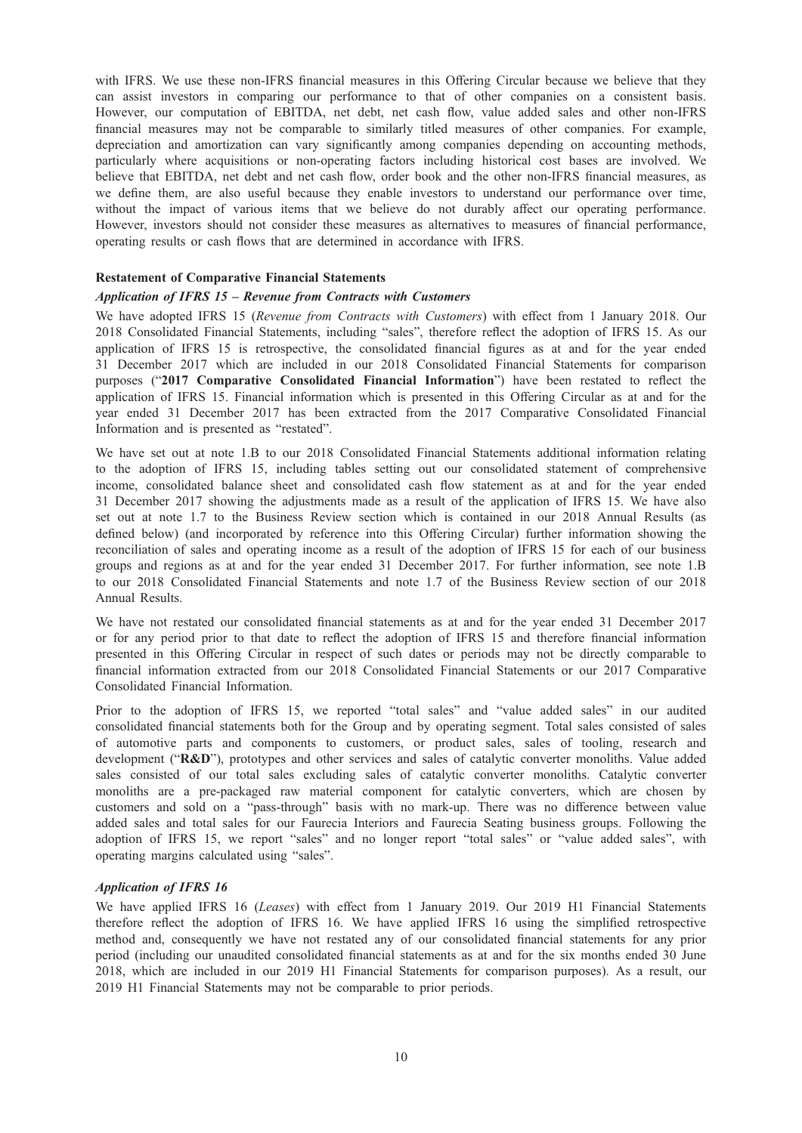with IFRS. We use these non-IFRS financial measures in this Offering Circular because we believe that they can assist investors in comparing our performance to that of other companies on a consistent basis. However, our computation of EBITDA, net debt, net cash flow, value added sales and other non-IFRS financial measures may not be comparable to similarly titled measures of other companies. For example, depreciation and amortization can vary significantly among companies depending on accounting methods, particularly where acquisitions or non-operating factors including historical cost bases are involved. We believe that EBITDA, net debt and net cash flow, order book and the other non-IFRS financial measures, as we define them, are also useful because they enable investors to understand our performance over time, without the impact of various items that we believe do not durably affect our operating performance. However, investors should not consider these measures as alternatives to measures of financial performance, operating results or cash flows that are determined in accordance with IFRS.

### Restatement of Comparative Financial Statements

#### Application of IFRS 15 – Revenue from Contracts with Customers

We have adopted IFRS 15 (Revenue from Contracts with Customers) with effect from 1 January 2018. Our 2018 Consolidated Financial Statements, including "sales", therefore reflect the adoption of IFRS 15. As our application of IFRS 15 is retrospective, the consolidated financial figures as at and for the year ended 31 December 2017 which are included in our 2018 Consolidated Financial Statements for comparison purposes ("2017 Comparative Consolidated Financial Information") have been restated to reflect the application of IFRS 15. Financial information which is presented in this Offering Circular as at and for the year ended 31 December 2017 has been extracted from the 2017 Comparative Consolidated Financial Information and is presented as "restated".

We have set out at note 1.B to our 2018 Consolidated Financial Statements additional information relating to the adoption of IFRS 15, including tables setting out our consolidated statement of comprehensive income, consolidated balance sheet and consolidated cash flow statement as at and for the year ended 31 December 2017 showing the adjustments made as a result of the application of IFRS 15. We have also set out at note 1.7 to the Business Review section which is contained in our 2018 Annual Results (as defined below) (and incorporated by reference into this Offering Circular) further information showing the reconciliation of sales and operating income as a result of the adoption of IFRS 15 for each of our business groups and regions as at and for the year ended 31 December 2017. For further information, see note 1.B to our 2018 Consolidated Financial Statements and note 1.7 of the Business Review section of our 2018 Annual Results.

We have not restated our consolidated financial statements as at and for the year ended 31 December 2017 or for any period prior to that date to reflect the adoption of IFRS 15 and therefore financial information presented in this Offering Circular in respect of such dates or periods may not be directly comparable to financial information extracted from our 2018 Consolidated Financial Statements or our 2017 Comparative Consolidated Financial Information.

Prior to the adoption of IFRS 15, we reported "total sales" and "value added sales" in our audited consolidated financial statements both for the Group and by operating segment. Total sales consisted of sales of automotive parts and components to customers, or product sales, sales of tooling, research and development ("R&D"), prototypes and other services and sales of catalytic converter monoliths. Value added sales consisted of our total sales excluding sales of catalytic converter monoliths. Catalytic converter monoliths are a pre-packaged raw material component for catalytic converters, which are chosen by customers and sold on a "pass-through" basis with no mark-up. There was no difference between value added sales and total sales for our Faurecia Interiors and Faurecia Seating business groups. Following the adoption of IFRS 15, we report "sales" and no longer report "total sales" or "value added sales", with operating margins calculated using "sales".

#### Application of IFRS 16

We have applied IFRS 16 (Leases) with effect from 1 January 2019. Our 2019 H1 Financial Statements therefore reflect the adoption of IFRS 16. We have applied IFRS 16 using the simplified retrospective method and, consequently we have not restated any of our consolidated financial statements for any prior period (including our unaudited consolidated financial statements as at and for the six months ended 30 June 2018, which are included in our 2019 H1 Financial Statements for comparison purposes). As a result, our 2019 H1 Financial Statements may not be comparable to prior periods.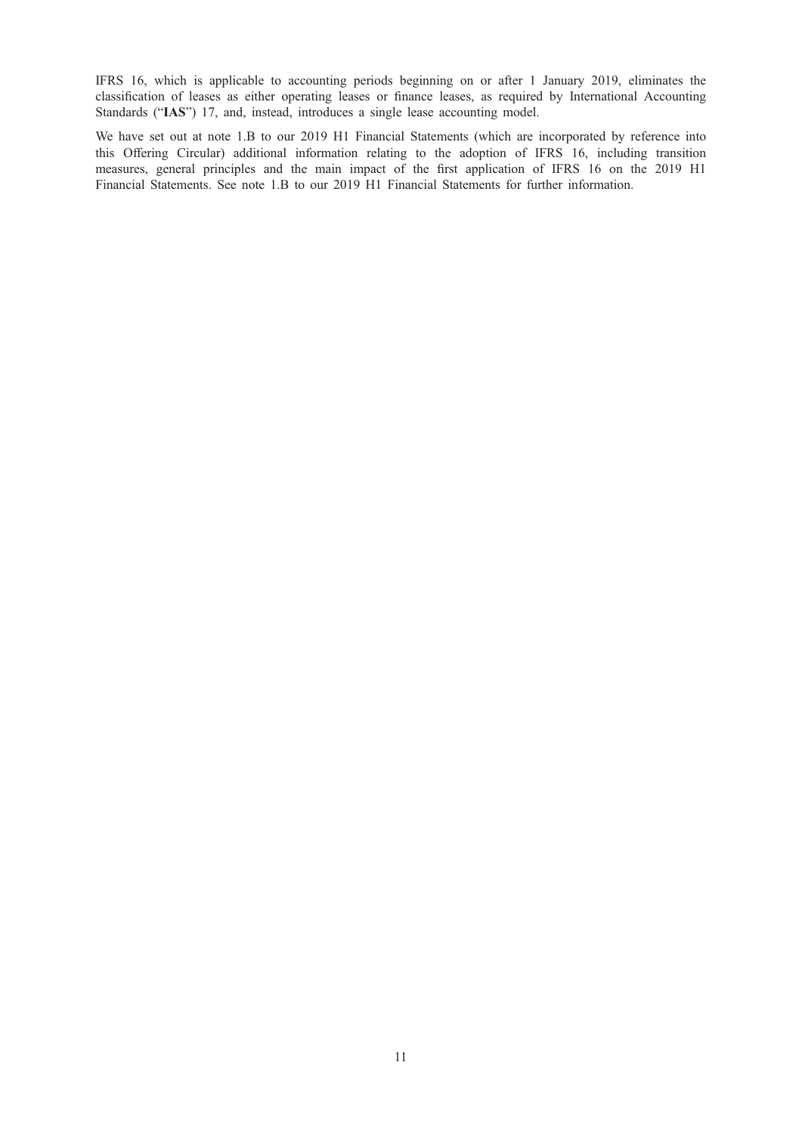IFRS 16, which is applicable to accounting periods beginning on or after 1 January 2019, eliminates the classification of leases as either operating leases or finance leases, as required by International Accounting Standards ("IAS") 17, and, instead, introduces a single lease accounting model.

We have set out at note 1.B to our 2019 H1 Financial Statements (which are incorporated by reference into this Offering Circular) additional information relating to the adoption of IFRS 16, including transition measures, general principles and the main impact of the first application of IFRS 16 on the 2019 H1 Financial Statements. See note 1.B to our 2019 H1 Financial Statements for further information.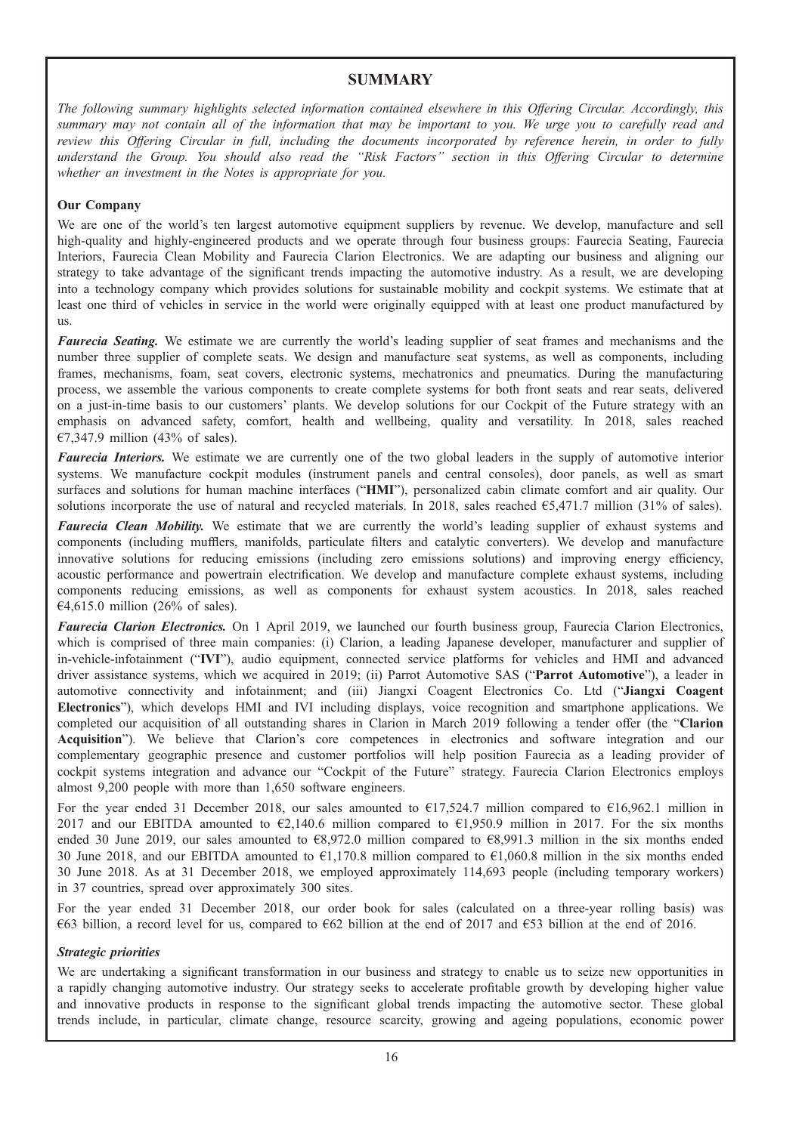# **SUMMARY**

The following summary highlights selected information contained elsewhere in this Offering Circular. Accordingly, this summary may not contain all of the information that may be important to you. We urge you to carefully read and review this Offering Circular in full, including the documents incorporated by reference herein, in order to fully understand the Group. You should also read the "Risk Factors" section in this Offering Circular to determine whether an investment in the Notes is appropriate for you.

## Our Company

We are one of the world's ten largest automotive equipment suppliers by revenue. We develop, manufacture and sell high-quality and highly-engineered products and we operate through four business groups: Faurecia Seating, Faurecia Interiors, Faurecia Clean Mobility and Faurecia Clarion Electronics. We are adapting our business and aligning our strategy to take advantage of the significant trends impacting the automotive industry. As a result, we are developing into a technology company which provides solutions for sustainable mobility and cockpit systems. We estimate that at least one third of vehicles in service in the world were originally equipped with at least one product manufactured by us.

Faurecia Seating. We estimate we are currently the world's leading supplier of seat frames and mechanisms and the number three supplier of complete seats. We design and manufacture seat systems, as well as components, including frames, mechanisms, foam, seat covers, electronic systems, mechatronics and pneumatics. During the manufacturing process, we assemble the various components to create complete systems for both front seats and rear seats, delivered on a just-in-time basis to our customers' plants. We develop solutions for our Cockpit of the Future strategy with an emphasis on advanced safety, comfort, health and wellbeing, quality and versatility. In 2018, sales reached €7,347.9 million (43% of sales).

Faurecia Interiors. We estimate we are currently one of the two global leaders in the supply of automotive interior systems. We manufacture cockpit modules (instrument panels and central consoles), door panels, as well as smart surfaces and solutions for human machine interfaces ("HMI"), personalized cabin climate comfort and air quality. Our solutions incorporate the use of natural and recycled materials. In 2018, sales reached  $\epsilon$ 5,471.7 million (31% of sales).

Faurecia Clean Mobility. We estimate that we are currently the world's leading supplier of exhaust systems and components (including mufflers, manifolds, particulate filters and catalytic converters). We develop and manufacture innovative solutions for reducing emissions (including zero emissions solutions) and improving energy efficiency, acoustic performance and powertrain electrification. We develop and manufacture complete exhaust systems, including components reducing emissions, as well as components for exhaust system acoustics. In 2018, sales reached  $\text{\textsterling}4,615.0$  million (26% of sales).

Faurecia Clarion Electronics. On 1 April 2019, we launched our fourth business group, Faurecia Clarion Electronics, which is comprised of three main companies: (i) Clarion, a leading Japanese developer, manufacturer and supplier of in-vehicle-infotainment ("IVI"), audio equipment, connected service platforms for vehicles and HMI and advanced driver assistance systems, which we acquired in 2019; (ii) Parrot Automotive SAS ("Parrot Automotive"), a leader in automotive connectivity and infotainment; and (iii) Jiangxi Coagent Electronics Co. Ltd ("Jiangxi Coagent Electronics"), which develops HMI and IVI including displays, voice recognition and smartphone applications. We completed our acquisition of all outstanding shares in Clarion in March 2019 following a tender offer (the "Clarion Acquisition"). We believe that Clarion's core competences in electronics and software integration and our complementary geographic presence and customer portfolios will help position Faurecia as a leading provider of cockpit systems integration and advance our "Cockpit of the Future" strategy. Faurecia Clarion Electronics employs almost 9,200 people with more than 1,650 software engineers.

For the year ended 31 December 2018, our sales amounted to  $\epsilon$ 17,524.7 million compared to  $\epsilon$ 16,962.1 million in 2017 and our EBITDA amounted to  $\epsilon$ 2,140.6 million compared to  $\epsilon$ 1,950.9 million in 2017. For the six months ended 30 June 2019, our sales amounted to €8,972.0 million compared to €8,991.3 million in the six months ended 30 June 2018, and our EBITDA amounted to €1,170.8 million compared to €1,060.8 million in the six months ended 30 June 2018. As at 31 December 2018, we employed approximately 114,693 people (including temporary workers) in 37 countries, spread over approximately 300 sites.

For the year ended 31 December 2018, our order book for sales (calculated on a three-year rolling basis) was €63 billion, a record level for us, compared to €62 billion at the end of 2017 and €53 billion at the end of 2016.

#### Strategic priorities

We are undertaking a significant transformation in our business and strategy to enable us to seize new opportunities in a rapidly changing automotive industry. Our strategy seeks to accelerate profitable growth by developing higher value and innovative products in response to the significant global trends impacting the automotive sector. These global trends include, in particular, climate change, resource scarcity, growing and ageing populations, economic power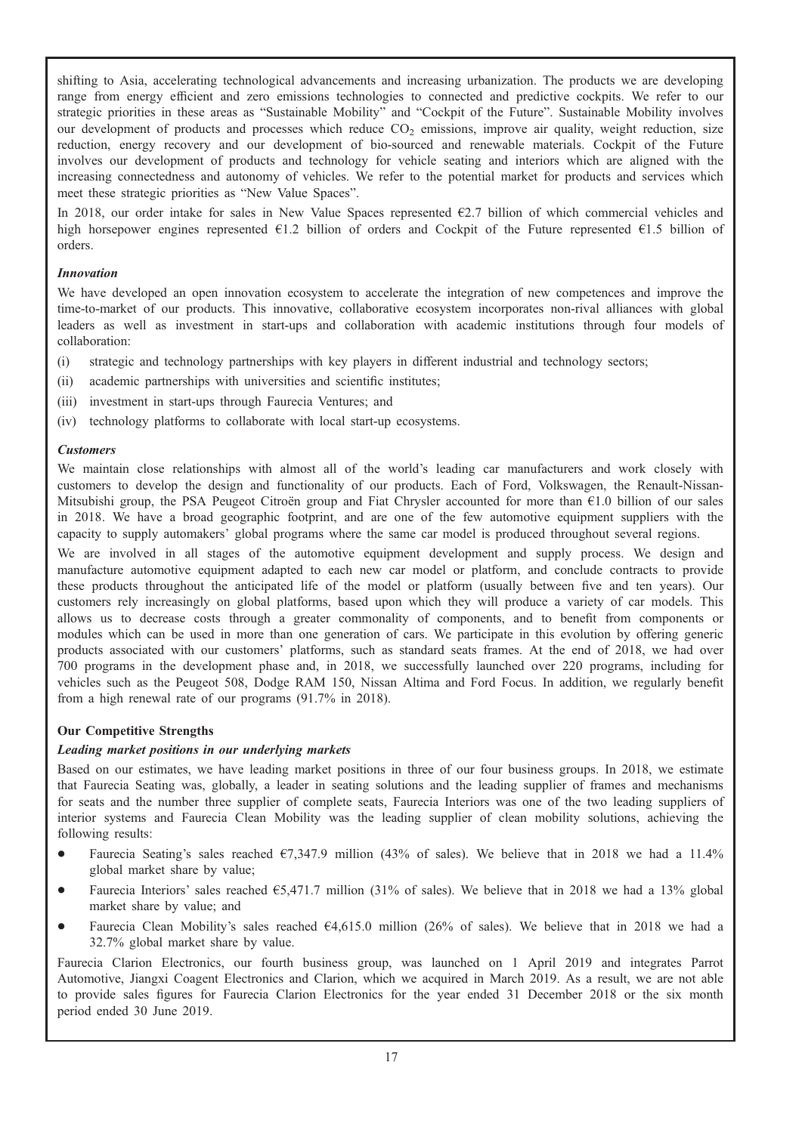shifting to Asia, accelerating technological advancements and increasing urbanization. The products we are developing range from energy efficient and zero emissions technologies to connected and predictive cockpits. We refer to our strategic priorities in these areas as "Sustainable Mobility" and "Cockpit of the Future". Sustainable Mobility involves our development of products and processes which reduce  $CO<sub>2</sub>$  emissions, improve air quality, weight reduction, size reduction, energy recovery and our development of bio-sourced and renewable materials. Cockpit of the Future involves our development of products and technology for vehicle seating and interiors which are aligned with the increasing connectedness and autonomy of vehicles. We refer to the potential market for products and services which meet these strategic priorities as "New Value Spaces".

In 2018, our order intake for sales in New Value Spaces represented €2.7 billion of which commercial vehicles and high horsepower engines represented €1.2 billion of orders and Cockpit of the Future represented €1.5 billion of orders.

# Innovation

We have developed an open innovation ecosystem to accelerate the integration of new competences and improve the time-to-market of our products. This innovative, collaborative ecosystem incorporates non-rival alliances with global leaders as well as investment in start-ups and collaboration with academic institutions through four models of collaboration:

- (i) strategic and technology partnerships with key players in different industrial and technology sectors;
- (ii) academic partnerships with universities and scientific institutes;
- (iii) investment in start-ups through Faurecia Ventures; and
- (iv) technology platforms to collaborate with local start-up ecosystems.

# **Customers**

We maintain close relationships with almost all of the world's leading car manufacturers and work closely with customers to develop the design and functionality of our products. Each of Ford, Volkswagen, the Renault-Nissan-Mitsubishi group, the PSA Peugeot Citroën group and Fiat Chrysler accounted for more than €1.0 billion of our sales in 2018. We have a broad geographic footprint, and are one of the few automotive equipment suppliers with the capacity to supply automakers' global programs where the same car model is produced throughout several regions.

We are involved in all stages of the automotive equipment development and supply process. We design and manufacture automotive equipment adapted to each new car model or platform, and conclude contracts to provide these products throughout the anticipated life of the model or platform (usually between five and ten years). Our customers rely increasingly on global platforms, based upon which they will produce a variety of car models. This allows us to decrease costs through a greater commonality of components, and to benefit from components or modules which can be used in more than one generation of cars. We participate in this evolution by offering generic products associated with our customers' platforms, such as standard seats frames. At the end of 2018, we had over 700 programs in the development phase and, in 2018, we successfully launched over 220 programs, including for vehicles such as the Peugeot 508, Dodge RAM 150, Nissan Altima and Ford Focus. In addition, we regularly benefit from a high renewal rate of our programs (91.7% in 2018).

# Our Competitive Strengths

# Leading market positions in our underlying markets

Based on our estimates, we have leading market positions in three of our four business groups. In 2018, we estimate that Faurecia Seating was, globally, a leader in seating solutions and the leading supplier of frames and mechanisms for seats and the number three supplier of complete seats, Faurecia Interiors was one of the two leading suppliers of interior systems and Faurecia Clean Mobility was the leading supplier of clean mobility solutions, achieving the following results:

- Faurecia Seating's sales reached  $\epsilon$ 7,347.9 million (43% of sales). We believe that in 2018 we had a 11.4% global market share by value;
- Faurecia Interiors' sales reached  $65,471.7$  million (31% of sales). We believe that in 2018 we had a 13% global market share by value; and
- Faurecia Clean Mobility's sales reached  $64,615.0$  million (26% of sales). We believe that in 2018 we had a 32.7% global market share by value.

Faurecia Clarion Electronics, our fourth business group, was launched on 1 April 2019 and integrates Parrot Automotive, Jiangxi Coagent Electronics and Clarion, which we acquired in March 2019. As a result, we are not able to provide sales figures for Faurecia Clarion Electronics for the year ended 31 December 2018 or the six month period ended 30 June 2019.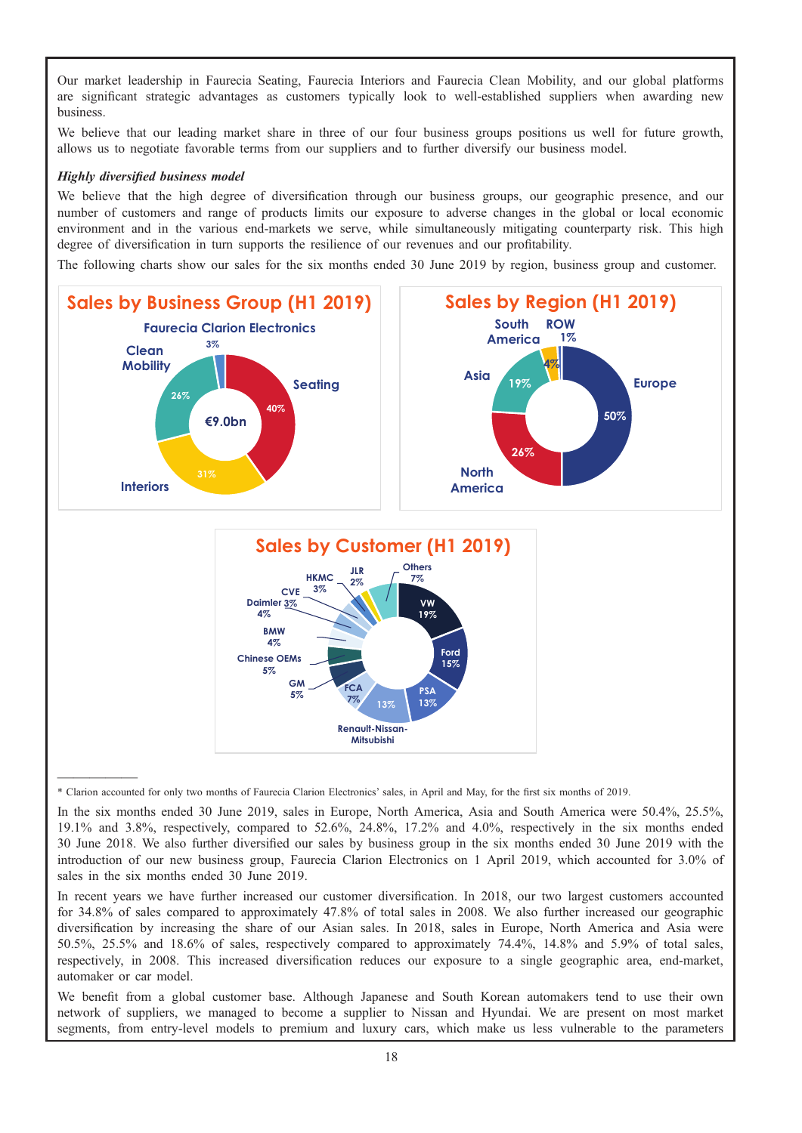Our market leadership in Faurecia Seating, Faurecia Interiors and Faurecia Clean Mobility, and our global platforms are significant strategic advantages as customers typically look to well-established suppliers when awarding new business.

We believe that our leading market share in three of our four business groups positions us well for future growth, allows us to negotiate favorable terms from our suppliers and to further diversify our business model.

## Highly diversified business model

We believe that the high degree of diversification through our business groups, our geographic presence, and our number of customers and range of products limits our exposure to adverse changes in the global or local economic environment and in the various end-markets we serve, while simultaneously mitigating counterparty risk. This high degree of diversification in turn supports the resilience of our revenues and our profitability.

The following charts show our sales for the six months ended 30 June 2019 by region, business group and customer.



<sup>\*</sup> Clarion accounted for only two months of Faurecia Clarion Electronics' sales, in April and May, for the first six months of 2019.

In recent years we have further increased our customer diversification. In 2018, our two largest customers accounted for 34.8% of sales compared to approximately 47.8% of total sales in 2008. We also further increased our geographic diversification by increasing the share of our Asian sales. In 2018, sales in Europe, North America and Asia were 50.5%, 25.5% and 18.6% of sales, respectively compared to approximately 74.4%, 14.8% and 5.9% of total sales, respectively, in 2008. This increased diversification reduces our exposure to a single geographic area, end-market, automaker or car model.

We benefit from a global customer base. Although Japanese and South Korean automakers tend to use their own network of suppliers, we managed to become a supplier to Nissan and Hyundai. We are present on most market segments, from entry-level models to premium and luxury cars, which make us less vulnerable to the parameters

In the six months ended 30 June 2019, sales in Europe, North America, Asia and South America were 50.4%, 25.5%, 19.1% and 3.8%, respectively, compared to 52.6%, 24.8%, 17.2% and 4.0%, respectively in the six months ended 30 June 2018. We also further diversified our sales by business group in the six months ended 30 June 2019 with the introduction of our new business group, Faurecia Clarion Electronics on 1 April 2019, which accounted for 3.0% of sales in the six months ended 30 June 2019.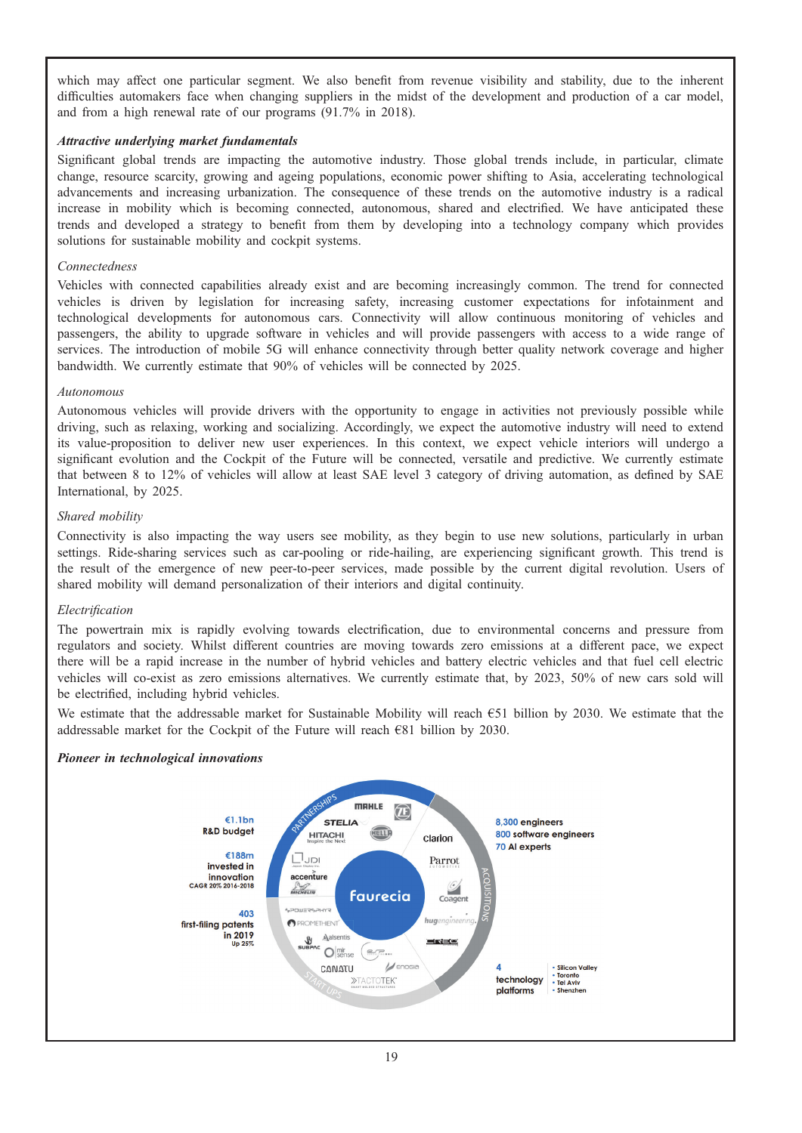which may affect one particular segment. We also benefit from revenue visibility and stability, due to the inherent difficulties automakers face when changing suppliers in the midst of the development and production of a car model, and from a high renewal rate of our programs (91.7% in 2018).

# Attractive underlying market fundamentals

Significant global trends are impacting the automotive industry. Those global trends include, in particular, climate change, resource scarcity, growing and ageing populations, economic power shifting to Asia, accelerating technological advancements and increasing urbanization. The consequence of these trends on the automotive industry is a radical increase in mobility which is becoming connected, autonomous, shared and electrified. We have anticipated these trends and developed a strategy to benefit from them by developing into a technology company which provides solutions for sustainable mobility and cockpit systems.

# Connectedness

Vehicles with connected capabilities already exist and are becoming increasingly common. The trend for connected vehicles is driven by legislation for increasing safety, increasing customer expectations for infotainment and technological developments for autonomous cars. Connectivity will allow continuous monitoring of vehicles and passengers, the ability to upgrade software in vehicles and will provide passengers with access to a wide range of services. The introduction of mobile 5G will enhance connectivity through better quality network coverage and higher bandwidth. We currently estimate that 90% of vehicles will be connected by 2025.

### Autonomous

Autonomous vehicles will provide drivers with the opportunity to engage in activities not previously possible while driving, such as relaxing, working and socializing. Accordingly, we expect the automotive industry will need to extend its value-proposition to deliver new user experiences. In this context, we expect vehicle interiors will undergo a significant evolution and the Cockpit of the Future will be connected, versatile and predictive. We currently estimate that between 8 to 12% of vehicles will allow at least SAE level 3 category of driving automation, as defined by SAE International, by 2025.

# Shared mobility

Connectivity is also impacting the way users see mobility, as they begin to use new solutions, particularly in urban settings. Ride-sharing services such as car-pooling or ride-hailing, are experiencing significant growth. This trend is the result of the emergence of new peer-to-peer services, made possible by the current digital revolution. Users of shared mobility will demand personalization of their interiors and digital continuity.

# Electrification

The powertrain mix is rapidly evolving towards electrification, due to environmental concerns and pressure from regulators and society. Whilst different countries are moving towards zero emissions at a different pace, we expect there will be a rapid increase in the number of hybrid vehicles and battery electric vehicles and that fuel cell electric vehicles will co-exist as zero emissions alternatives. We currently estimate that, by 2023, 50% of new cars sold will be electrified, including hybrid vehicles.

We estimate that the addressable market for Sustainable Mobility will reach €51 billion by 2030. We estimate that the addressable market for the Cockpit of the Future will reach €81 billion by 2030.

# Pioneer in technological innovations

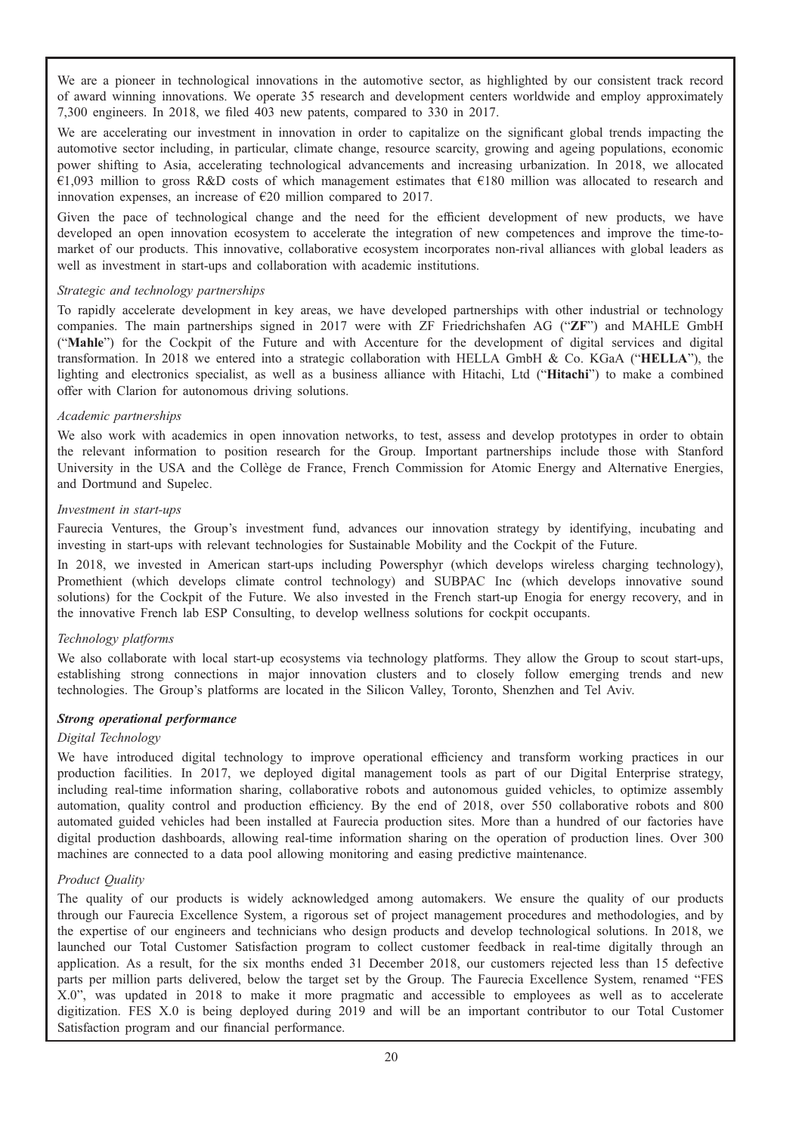We are a pioneer in technological innovations in the automotive sector, as highlighted by our consistent track record of award winning innovations. We operate 35 research and development centers worldwide and employ approximately 7,300 engineers. In 2018, we filed 403 new patents, compared to 330 in 2017.

We are accelerating our investment in innovation in order to capitalize on the significant global trends impacting the automotive sector including, in particular, climate change, resource scarcity, growing and ageing populations, economic power shifting to Asia, accelerating technological advancements and increasing urbanization. In 2018, we allocated €1,093 million to gross R&D costs of which management estimates that €180 million was allocated to research and innovation expenses, an increase of €20 million compared to 2017.

Given the pace of technological change and the need for the efficient development of new products, we have developed an open innovation ecosystem to accelerate the integration of new competences and improve the time-tomarket of our products. This innovative, collaborative ecosystem incorporates non-rival alliances with global leaders as well as investment in start-ups and collaboration with academic institutions.

# Strategic and technology partnerships

To rapidly accelerate development in key areas, we have developed partnerships with other industrial or technology companies. The main partnerships signed in 2017 were with ZF Friedrichshafen AG ("ZF") and MAHLE GmbH ("Mahle") for the Cockpit of the Future and with Accenture for the development of digital services and digital transformation. In 2018 we entered into a strategic collaboration with HELLA GmbH & Co. KGaA ("HELLA"), the lighting and electronics specialist, as well as a business alliance with Hitachi, Ltd ("Hitachi") to make a combined offer with Clarion for autonomous driving solutions.

# Academic partnerships

We also work with academics in open innovation networks, to test, assess and develop prototypes in order to obtain the relevant information to position research for the Group. Important partnerships include those with Stanford University in the USA and the Collège de France, French Commission for Atomic Energy and Alternative Energies, and Dortmund and Supelec.

# Investment in start-ups

Faurecia Ventures, the Group's investment fund, advances our innovation strategy by identifying, incubating and investing in start-ups with relevant technologies for Sustainable Mobility and the Cockpit of the Future.

In 2018, we invested in American start-ups including Powersphyr (which develops wireless charging technology), Promethient (which develops climate control technology) and SUBPAC Inc (which develops innovative sound solutions) for the Cockpit of the Future. We also invested in the French start-up Enogia for energy recovery, and in the innovative French lab ESP Consulting, to develop wellness solutions for cockpit occupants.

# Technology platforms

We also collaborate with local start-up ecosystems via technology platforms. They allow the Group to scout start-ups, establishing strong connections in major innovation clusters and to closely follow emerging trends and new technologies. The Group's platforms are located in the Silicon Valley, Toronto, Shenzhen and Tel Aviv.

# Strong operational performance

# Digital Technology

We have introduced digital technology to improve operational efficiency and transform working practices in our production facilities. In 2017, we deployed digital management tools as part of our Digital Enterprise strategy, including real-time information sharing, collaborative robots and autonomous guided vehicles, to optimize assembly automation, quality control and production efficiency. By the end of 2018, over 550 collaborative robots and 800 automated guided vehicles had been installed at Faurecia production sites. More than a hundred of our factories have digital production dashboards, allowing real-time information sharing on the operation of production lines. Over 300 machines are connected to a data pool allowing monitoring and easing predictive maintenance.

# Product Quality

The quality of our products is widely acknowledged among automakers. We ensure the quality of our products through our Faurecia Excellence System, a rigorous set of project management procedures and methodologies, and by the expertise of our engineers and technicians who design products and develop technological solutions. In 2018, we launched our Total Customer Satisfaction program to collect customer feedback in real-time digitally through an application. As a result, for the six months ended 31 December 2018, our customers rejected less than 15 defective parts per million parts delivered, below the target set by the Group. The Faurecia Excellence System, renamed "FES X.0", was updated in 2018 to make it more pragmatic and accessible to employees as well as to accelerate digitization. FES X.0 is being deployed during 2019 and will be an important contributor to our Total Customer Satisfaction program and our financial performance.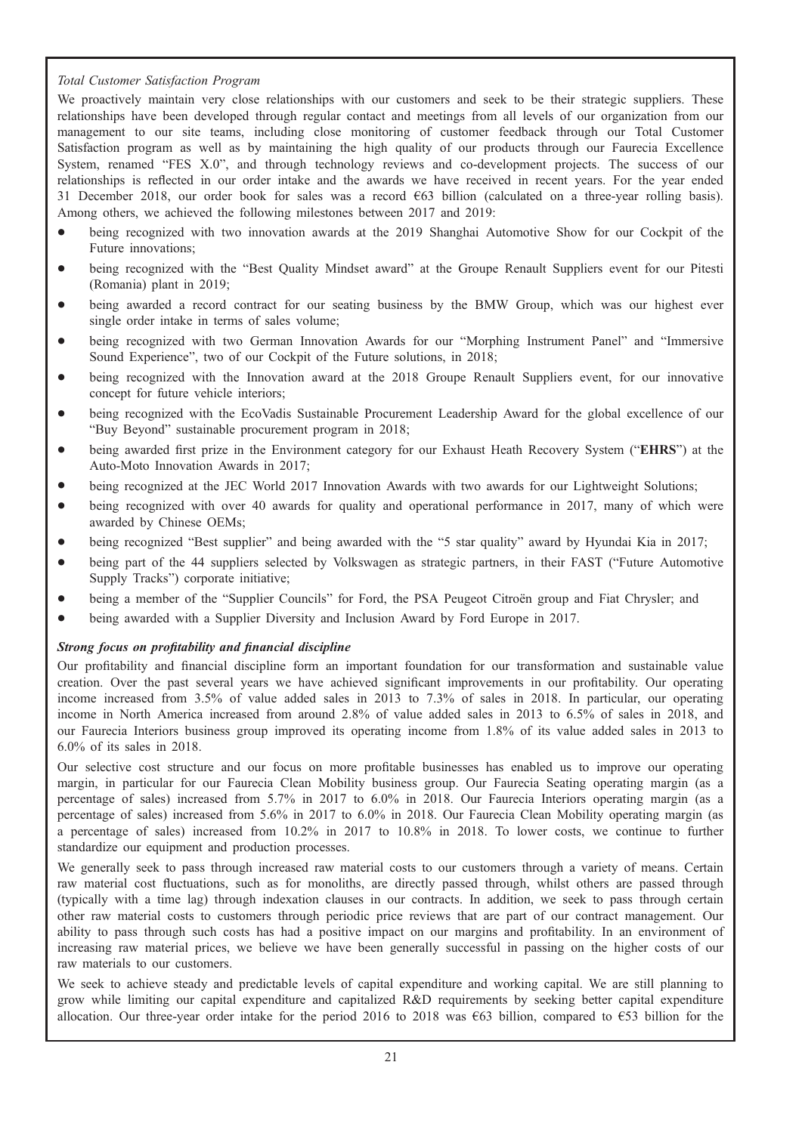# Total Customer Satisfaction Program

We proactively maintain very close relationships with our customers and seek to be their strategic suppliers. These relationships have been developed through regular contact and meetings from all levels of our organization from our management to our site teams, including close monitoring of customer feedback through our Total Customer Satisfaction program as well as by maintaining the high quality of our products through our Faurecia Excellence System, renamed "FES X.0", and through technology reviews and co-development projects. The success of our relationships is reflected in our order intake and the awards we have received in recent years. For the year ended 31 December 2018, our order book for sales was a record €63 billion (calculated on a three-year rolling basis). Among others, we achieved the following milestones between 2017 and 2019:

- being recognized with two innovation awards at the 2019 Shanghai Automotive Show for our Cockpit of the Future innovations;
- being recognized with the "Best Quality Mindset award" at the Groupe Renault Suppliers event for our Pitesti (Romania) plant in 2019;
- being awarded a record contract for our seating business by the BMW Group, which was our highest ever single order intake in terms of sales volume;
- \* being recognized with two German Innovation Awards for our "Morphing Instrument Panel" and "Immersive Sound Experience", two of our Cockpit of the Future solutions, in 2018;
- being recognized with the Innovation award at the 2018 Groupe Renault Suppliers event, for our innovative concept for future vehicle interiors;
- being recognized with the EcoVadis Sustainable Procurement Leadership Award for the global excellence of our "Buy Beyond" sustainable procurement program in 2018;
- being awarded first prize in the Environment category for our Exhaust Heath Recovery System ("EHRS") at the Auto-Moto Innovation Awards in 2017;
- being recognized at the JEC World 2017 Innovation Awards with two awards for our Lightweight Solutions;
- being recognized with over 40 awards for quality and operational performance in 2017, many of which were awarded by Chinese OEMs;
- being recognized "Best supplier" and being awarded with the "5 star quality" award by Hyundai Kia in 2017;
- being part of the 44 suppliers selected by Volkswagen as strategic partners, in their FAST ("Future Automotive Supply Tracks") corporate initiative;
- being a member of the "Supplier Councils" for Ford, the PSA Peugeot Citroën group and Fiat Chrysler; and
- being awarded with a Supplier Diversity and Inclusion Award by Ford Europe in 2017.

# Strong focus on profitability and financial discipline

Our profitability and financial discipline form an important foundation for our transformation and sustainable value creation. Over the past several years we have achieved significant improvements in our profitability. Our operating income increased from 3.5% of value added sales in 2013 to 7.3% of sales in 2018. In particular, our operating income in North America increased from around 2.8% of value added sales in 2013 to 6.5% of sales in 2018, and our Faurecia Interiors business group improved its operating income from 1.8% of its value added sales in 2013 to 6.0% of its sales in 2018.

Our selective cost structure and our focus on more profitable businesses has enabled us to improve our operating margin, in particular for our Faurecia Clean Mobility business group. Our Faurecia Seating operating margin (as a percentage of sales) increased from 5.7% in 2017 to 6.0% in 2018. Our Faurecia Interiors operating margin (as a percentage of sales) increased from 5.6% in 2017 to 6.0% in 2018. Our Faurecia Clean Mobility operating margin (as a percentage of sales) increased from 10.2% in 2017 to 10.8% in 2018. To lower costs, we continue to further standardize our equipment and production processes.

We generally seek to pass through increased raw material costs to our customers through a variety of means. Certain raw material cost fluctuations, such as for monoliths, are directly passed through, whilst others are passed through (typically with a time lag) through indexation clauses in our contracts. In addition, we seek to pass through certain other raw material costs to customers through periodic price reviews that are part of our contract management. Our ability to pass through such costs has had a positive impact on our margins and profitability. In an environment of increasing raw material prices, we believe we have been generally successful in passing on the higher costs of our raw materials to our customers.

We seek to achieve steady and predictable levels of capital expenditure and working capital. We are still planning to grow while limiting our capital expenditure and capitalized R&D requirements by seeking better capital expenditure allocation. Our three-year order intake for the period 2016 to 2018 was €63 billion, compared to €53 billion for the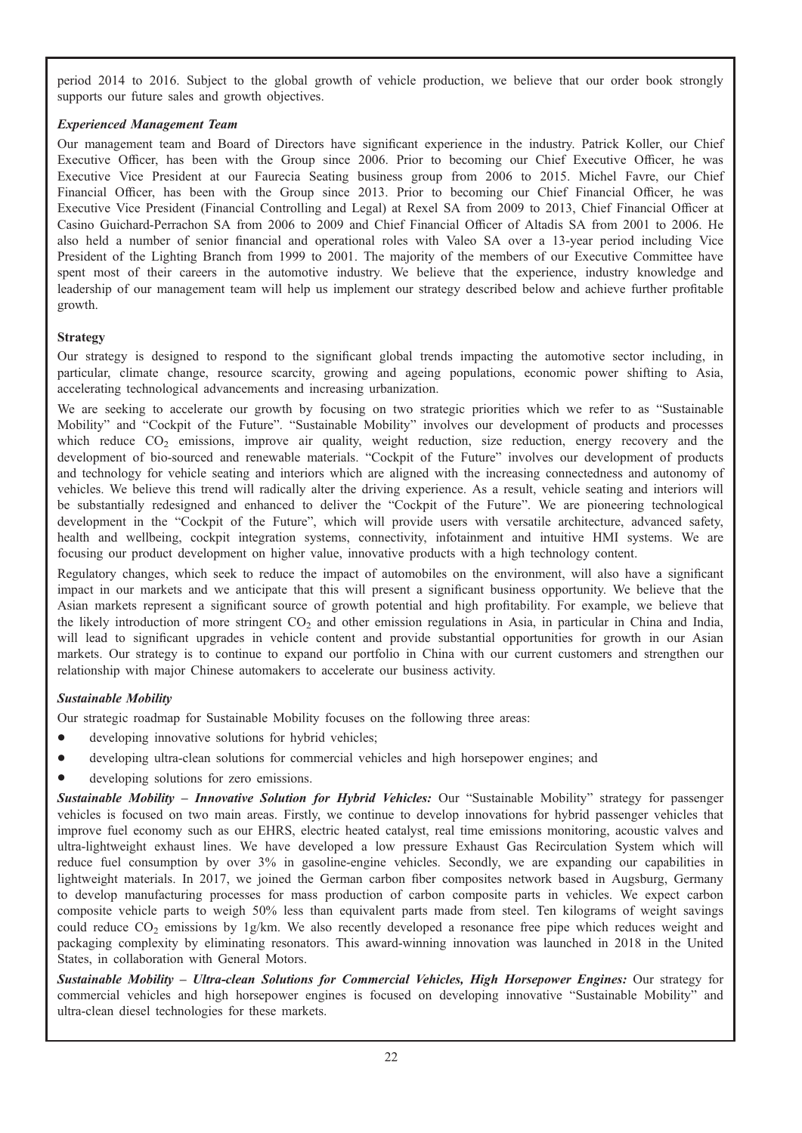period 2014 to 2016. Subject to the global growth of vehicle production, we believe that our order book strongly supports our future sales and growth objectives.

# Experienced Management Team

Our management team and Board of Directors have significant experience in the industry. Patrick Koller, our Chief Executive Officer, has been with the Group since 2006. Prior to becoming our Chief Executive Officer, he was Executive Vice President at our Faurecia Seating business group from 2006 to 2015. Michel Favre, our Chief Financial Officer, has been with the Group since 2013. Prior to becoming our Chief Financial Officer, he was Executive Vice President (Financial Controlling and Legal) at Rexel SA from 2009 to 2013, Chief Financial Officer at Casino Guichard-Perrachon SA from 2006 to 2009 and Chief Financial Officer of Altadis SA from 2001 to 2006. He also held a number of senior financial and operational roles with Valeo SA over a 13-year period including Vice President of the Lighting Branch from 1999 to 2001. The majority of the members of our Executive Committee have spent most of their careers in the automotive industry. We believe that the experience, industry knowledge and leadership of our management team will help us implement our strategy described below and achieve further profitable growth.

# Strategy

Our strategy is designed to respond to the significant global trends impacting the automotive sector including, in particular, climate change, resource scarcity, growing and ageing populations, economic power shifting to Asia, accelerating technological advancements and increasing urbanization.

We are seeking to accelerate our growth by focusing on two strategic priorities which we refer to as "Sustainable Mobility" and "Cockpit of the Future". "Sustainable Mobility" involves our development of products and processes which reduce  $CO<sub>2</sub>$  emissions, improve air quality, weight reduction, size reduction, energy recovery and the development of bio-sourced and renewable materials. "Cockpit of the Future" involves our development of products and technology for vehicle seating and interiors which are aligned with the increasing connectedness and autonomy of vehicles. We believe this trend will radically alter the driving experience. As a result, vehicle seating and interiors will be substantially redesigned and enhanced to deliver the "Cockpit of the Future". We are pioneering technological development in the "Cockpit of the Future", which will provide users with versatile architecture, advanced safety, health and wellbeing, cockpit integration systems, connectivity, infotainment and intuitive HMI systems. We are focusing our product development on higher value, innovative products with a high technology content.

Regulatory changes, which seek to reduce the impact of automobiles on the environment, will also have a significant impact in our markets and we anticipate that this will present a significant business opportunity. We believe that the Asian markets represent a significant source of growth potential and high profitability. For example, we believe that the likely introduction of more stringent  $CO<sub>2</sub>$  and other emission regulations in Asia, in particular in China and India, will lead to significant upgrades in vehicle content and provide substantial opportunities for growth in our Asian markets. Our strategy is to continue to expand our portfolio in China with our current customers and strengthen our relationship with major Chinese automakers to accelerate our business activity.

# Sustainable Mobility

Our strategic roadmap for Sustainable Mobility focuses on the following three areas:

- developing innovative solutions for hybrid vehicles;
- \* developing ultra-clean solutions for commercial vehicles and high horsepower engines; and
- developing solutions for zero emissions.

Sustainable Mobility - Innovative Solution for Hybrid Vehicles: Our "Sustainable Mobility" strategy for passenger vehicles is focused on two main areas. Firstly, we continue to develop innovations for hybrid passenger vehicles that improve fuel economy such as our EHRS, electric heated catalyst, real time emissions monitoring, acoustic valves and ultra-lightweight exhaust lines. We have developed a low pressure Exhaust Gas Recirculation System which will reduce fuel consumption by over 3% in gasoline-engine vehicles. Secondly, we are expanding our capabilities in lightweight materials. In 2017, we joined the German carbon fiber composites network based in Augsburg, Germany to develop manufacturing processes for mass production of carbon composite parts in vehicles. We expect carbon composite vehicle parts to weigh 50% less than equivalent parts made from steel. Ten kilograms of weight savings could reduce  $CO<sub>2</sub>$  emissions by 1g/km. We also recently developed a resonance free pipe which reduces weight and packaging complexity by eliminating resonators. This award-winning innovation was launched in 2018 in the United States, in collaboration with General Motors.

Sustainable Mobility – Ultra-clean Solutions for Commercial Vehicles, High Horsepower Engines: Our strategy for commercial vehicles and high horsepower engines is focused on developing innovative "Sustainable Mobility" and ultra-clean diesel technologies for these markets.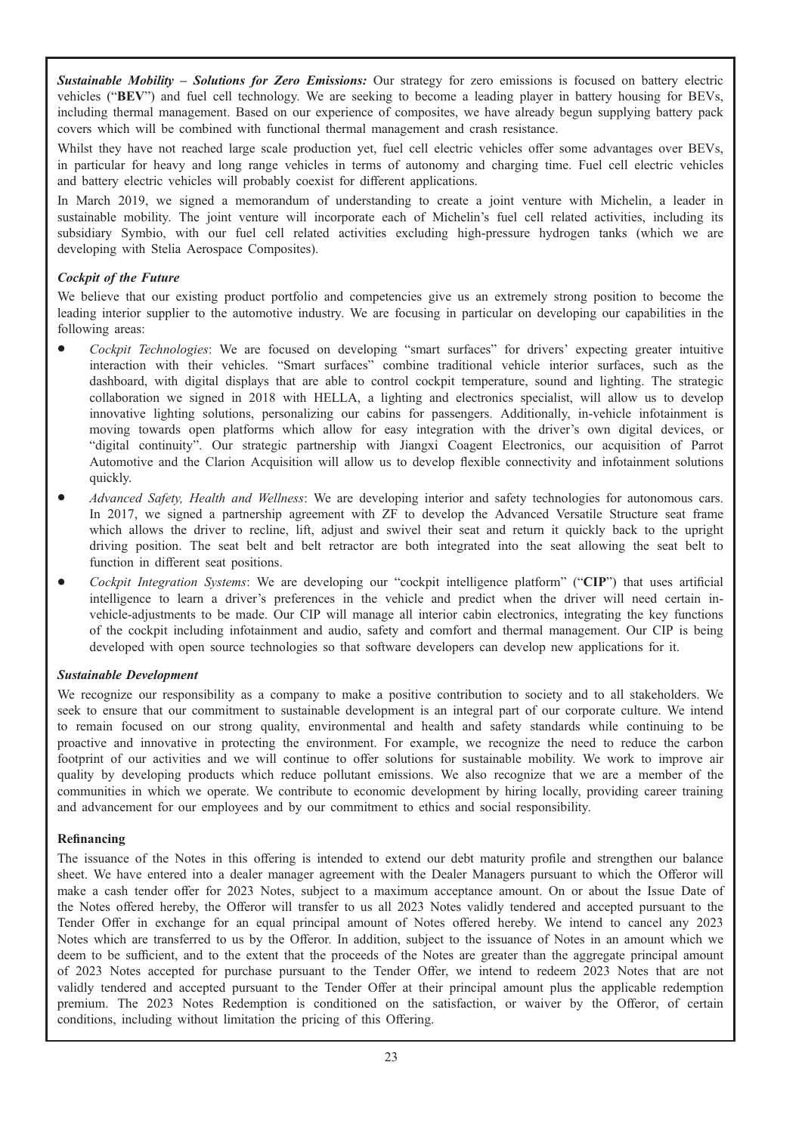Sustainable Mobility - Solutions for Zero Emissions: Our strategy for zero emissions is focused on battery electric vehicles ("BEV") and fuel cell technology. We are seeking to become a leading player in battery housing for BEVs, including thermal management. Based on our experience of composites, we have already begun supplying battery pack covers which will be combined with functional thermal management and crash resistance.

Whilst they have not reached large scale production yet, fuel cell electric vehicles offer some advantages over BEVs, in particular for heavy and long range vehicles in terms of autonomy and charging time. Fuel cell electric vehicles and battery electric vehicles will probably coexist for different applications.

In March 2019, we signed a memorandum of understanding to create a joint venture with Michelin, a leader in sustainable mobility. The joint venture will incorporate each of Michelin's fuel cell related activities, including its subsidiary Symbio, with our fuel cell related activities excluding high-pressure hydrogen tanks (which we are developing with Stelia Aerospace Composites).

# Cockpit of the Future

We believe that our existing product portfolio and competencies give us an extremely strong position to become the leading interior supplier to the automotive industry. We are focusing in particular on developing our capabilities in the following areas:

- Cockpit Technologies: We are focused on developing "smart surfaces" for drivers' expecting greater intuitive interaction with their vehicles. "Smart surfaces" combine traditional vehicle interior surfaces, such as the dashboard, with digital displays that are able to control cockpit temperature, sound and lighting. The strategic collaboration we signed in 2018 with HELLA, a lighting and electronics specialist, will allow us to develop innovative lighting solutions, personalizing our cabins for passengers. Additionally, in-vehicle infotainment is moving towards open platforms which allow for easy integration with the driver's own digital devices, or "digital continuity". Our strategic partnership with Jiangxi Coagent Electronics, our acquisition of Parrot Automotive and the Clarion Acquisition will allow us to develop flexible connectivity and infotainment solutions quickly.
- Advanced Safety, Health and Wellness: We are developing interior and safety technologies for autonomous cars. In 2017, we signed a partnership agreement with ZF to develop the Advanced Versatile Structure seat frame which allows the driver to recline, lift, adjust and swivel their seat and return it quickly back to the upright driving position. The seat belt and belt retractor are both integrated into the seat allowing the seat belt to function in different seat positions.
- Cockpit Integration Systems: We are developing our "cockpit intelligence platform" ("CIP") that uses artificial intelligence to learn a driver's preferences in the vehicle and predict when the driver will need certain invehicle-adjustments to be made. Our CIP will manage all interior cabin electronics, integrating the key functions of the cockpit including infotainment and audio, safety and comfort and thermal management. Our CIP is being developed with open source technologies so that software developers can develop new applications for it.

# Sustainable Development

We recognize our responsibility as a company to make a positive contribution to society and to all stakeholders. We seek to ensure that our commitment to sustainable development is an integral part of our corporate culture. We intend to remain focused on our strong quality, environmental and health and safety standards while continuing to be proactive and innovative in protecting the environment. For example, we recognize the need to reduce the carbon footprint of our activities and we will continue to offer solutions for sustainable mobility. We work to improve air quality by developing products which reduce pollutant emissions. We also recognize that we are a member of the communities in which we operate. We contribute to economic development by hiring locally, providing career training and advancement for our employees and by our commitment to ethics and social responsibility.

# Refinancing

The issuance of the Notes in this offering is intended to extend our debt maturity profile and strengthen our balance sheet. We have entered into a dealer manager agreement with the Dealer Managers pursuant to which the Offeror will make a cash tender offer for 2023 Notes, subject to a maximum acceptance amount. On or about the Issue Date of the Notes offered hereby, the Offeror will transfer to us all 2023 Notes validly tendered and accepted pursuant to the Tender Offer in exchange for an equal principal amount of Notes offered hereby. We intend to cancel any 2023 Notes which are transferred to us by the Offeror. In addition, subject to the issuance of Notes in an amount which we deem to be sufficient, and to the extent that the proceeds of the Notes are greater than the aggregate principal amount of 2023 Notes accepted for purchase pursuant to the Tender Offer, we intend to redeem 2023 Notes that are not validly tendered and accepted pursuant to the Tender Offer at their principal amount plus the applicable redemption premium. The 2023 Notes Redemption is conditioned on the satisfaction, or waiver by the Offeror, of certain conditions, including without limitation the pricing of this Offering.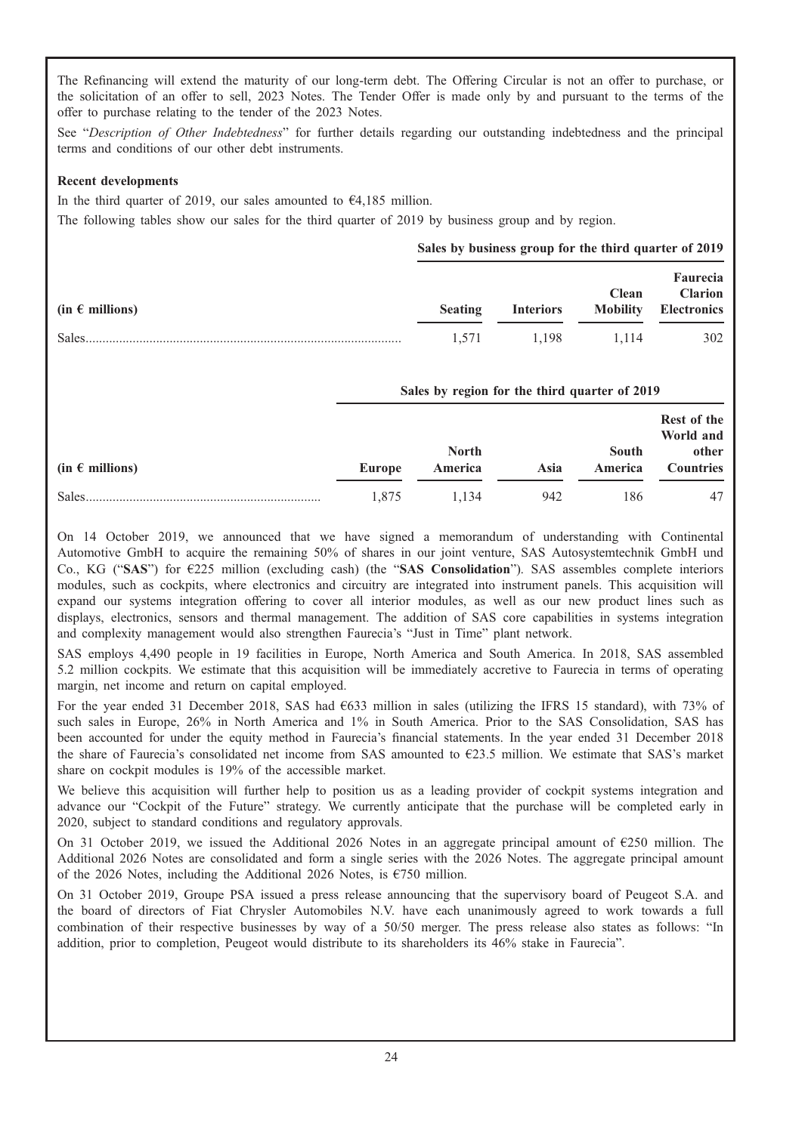The Refinancing will extend the maturity of our long-term debt. The Offering Circular is not an offer to purchase, or the solicitation of an offer to sell, 2023 Notes. The Tender Offer is made only by and pursuant to the terms of the offer to purchase relating to the tender of the 2023 Notes.

See "Description of Other Indebtedness" for further details regarding our outstanding indebtedness and the principal terms and conditions of our other debt instruments.

# Recent developments

In the third quarter of 2019, our sales amounted to  $\epsilon$ 4,185 million.

The following tables show our sales for the third quarter of 2019 by business group and by region.

| $(in \in millions)$ | <b>Seating</b> |       | <b>Clean</b> | <b>Faurecia</b><br><b>Clarion</b><br>Interiors Mobility Electronics |
|---------------------|----------------|-------|--------------|---------------------------------------------------------------------|
| Sales.              | 1.571          | 1.198 | 1.114        | 302                                                                 |

|                     | Sales by region for the third quarter of 2019 |                         |      |                         |                                                       |  |  |
|---------------------|-----------------------------------------------|-------------------------|------|-------------------------|-------------------------------------------------------|--|--|
| $(in \in millions)$ | <b>Europe</b>                                 | <b>North</b><br>America | Asia | <b>South</b><br>America | Rest of the<br>World and<br>other<br><b>Countries</b> |  |  |
| <b>Sales</b>        | 1.875                                         | 1.134                   | 942  | 186                     | 47                                                    |  |  |

On 14 October 2019, we announced that we have signed a memorandum of understanding with Continental Automotive GmbH to acquire the remaining 50% of shares in our joint venture, SAS Autosystemtechnik GmbH und Co., KG ("SAS") for  $E225$  million (excluding cash) (the "SAS Consolidation"). SAS assembles complete interiors modules, such as cockpits, where electronics and circuitry are integrated into instrument panels. This acquisition will expand our systems integration offering to cover all interior modules, as well as our new product lines such as displays, electronics, sensors and thermal management. The addition of SAS core capabilities in systems integration and complexity management would also strengthen Faurecia's "Just in Time" plant network.

SAS employs 4,490 people in 19 facilities in Europe, North America and South America. In 2018, SAS assembled 5.2 million cockpits. We estimate that this acquisition will be immediately accretive to Faurecia in terms of operating margin, net income and return on capital employed.

For the year ended 31 December 2018, SAS had €633 million in sales (utilizing the IFRS 15 standard), with 73% of such sales in Europe, 26% in North America and 1% in South America. Prior to the SAS Consolidation, SAS has been accounted for under the equity method in Faurecia's financial statements. In the year ended 31 December 2018 the share of Faurecia's consolidated net income from SAS amounted to €23.5 million. We estimate that SAS's market share on cockpit modules is 19% of the accessible market.

We believe this acquisition will further help to position us as a leading provider of cockpit systems integration and advance our "Cockpit of the Future" strategy. We currently anticipate that the purchase will be completed early in 2020, subject to standard conditions and regulatory approvals.

On 31 October 2019, we issued the Additional 2026 Notes in an aggregate principal amount of  $\epsilon$ 250 million. The Additional 2026 Notes are consolidated and form a single series with the 2026 Notes. The aggregate principal amount of the 2026 Notes, including the Additional 2026 Notes, is  $\epsilon$ 750 million.

On 31 October 2019, Groupe PSA issued a press release announcing that the supervisory board of Peugeot S.A. and the board of directors of Fiat Chrysler Automobiles N.V. have each unanimously agreed to work towards a full combination of their respective businesses by way of a 50/50 merger. The press release also states as follows: "In addition, prior to completion, Peugeot would distribute to its shareholders its 46% stake in Faurecia".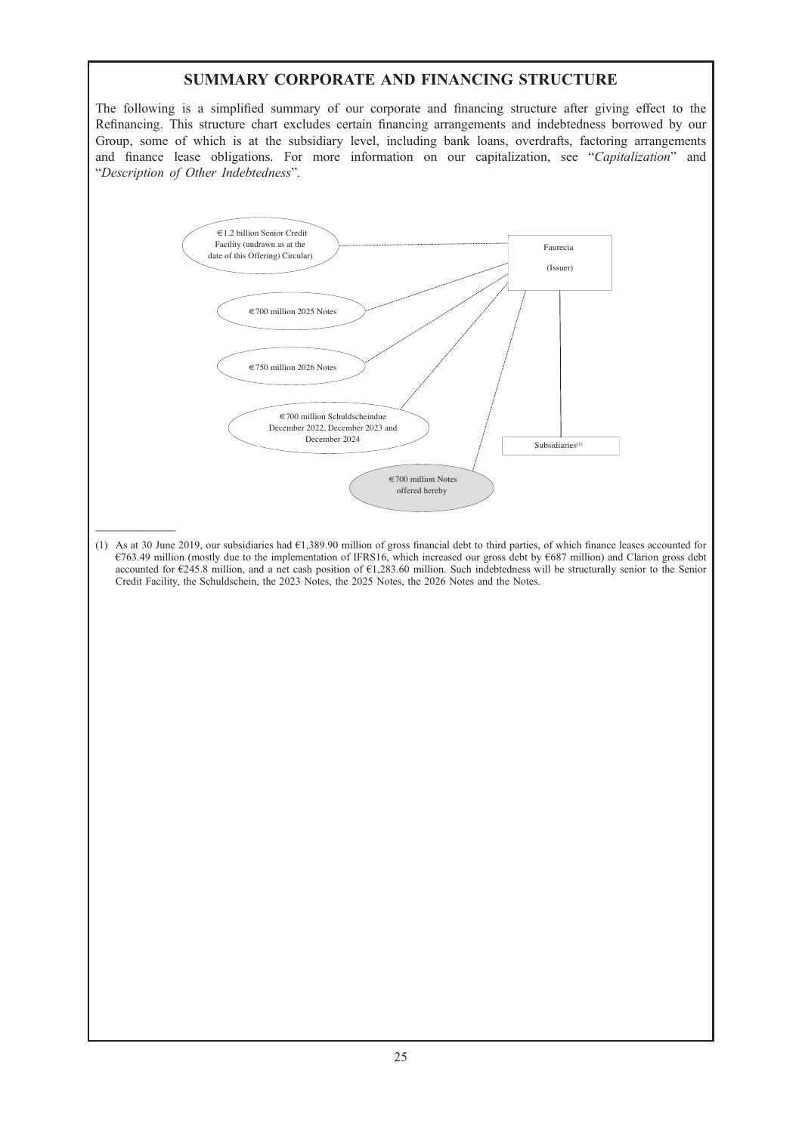# SUMMARY CORPORATE AND FINANCING STRUCTURE

The following is a simplified summary of our corporate and financing structure after giving effect to the Refinancing. This structure chart excludes certain financing arrangements and indebtedness borrowed by our Group, some of which is at the subsidiary level, including bank loans, overdrafts, factoring arrangements and finance lease obligations. For more information on our capitalization, see "Capitalization" and "Description of Other Indebtedness".

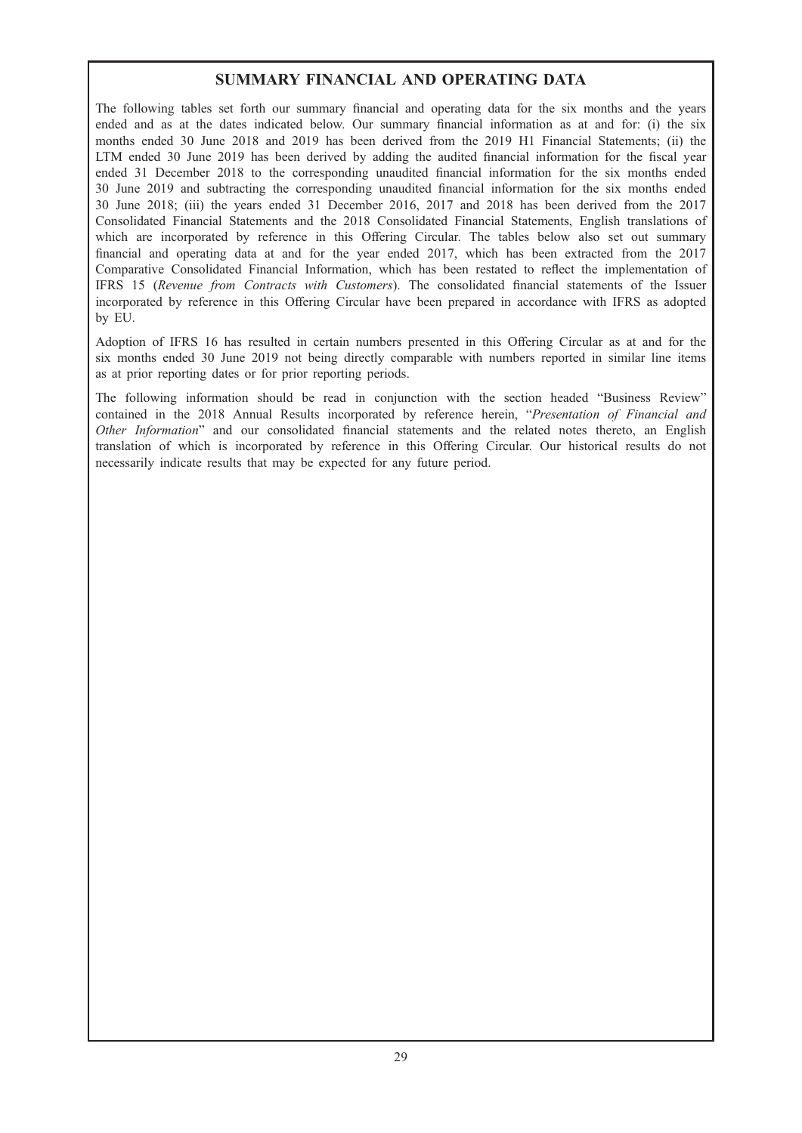# SUMMARY FINANCIAL AND OPERATING DATA

The following tables set forth our summary financial and operating data for the six months and the years ended and as at the dates indicated below. Our summary financial information as at and for: (i) the six months ended 30 June 2018 and 2019 has been derived from the 2019 H1 Financial Statements; (ii) the LTM ended 30 June 2019 has been derived by adding the audited financial information for the fiscal year ended 31 December 2018 to the corresponding unaudited financial information for the six months ended 30 June 2019 and subtracting the corresponding unaudited financial information for the six months ended 30 June 2018; (iii) the years ended 31 December 2016, 2017 and 2018 has been derived from the 2017 Consolidated Financial Statements and the 2018 Consolidated Financial Statements, English translations of which are incorporated by reference in this Offering Circular. The tables below also set out summary financial and operating data at and for the year ended 2017, which has been extracted from the 2017 Comparative Consolidated Financial Information, which has been restated to reflect the implementation of IFRS 15 (Revenue from Contracts with Customers). The consolidated financial statements of the Issuer incorporated by reference in this Offering Circular have been prepared in accordance with IFRS as adopted by EU.

Adoption of IFRS 16 has resulted in certain numbers presented in this Offering Circular as at and for the six months ended 30 June 2019 not being directly comparable with numbers reported in similar line items as at prior reporting dates or for prior reporting periods.

The following information should be read in conjunction with the section headed "Business Review" contained in the 2018 Annual Results incorporated by reference herein, "Presentation of Financial and Other Information" and our consolidated financial statements and the related notes thereto, an English translation of which is incorporated by reference in this Offering Circular. Our historical results do not necessarily indicate results that may be expected for any future period.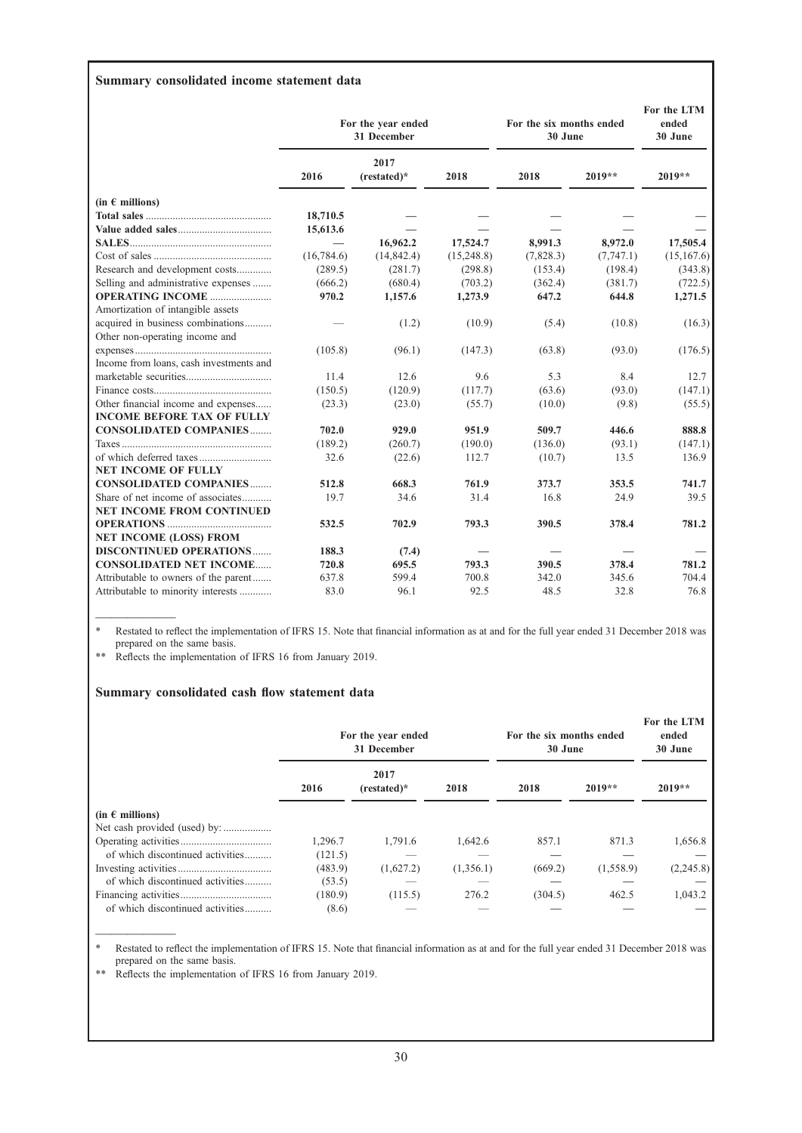# Summary consolidated income statement data

|                                         | For the year ended<br>31 December |                     |            | For the six months ended<br>30 June |           | For the LTM<br>ended<br>30 June |  |
|-----------------------------------------|-----------------------------------|---------------------|------------|-------------------------------------|-----------|---------------------------------|--|
|                                         | 2016                              | 2017<br>(restated)* | 2018       | 2018                                | $2019**$  | 2019**                          |  |
| (in $\epsilon$ millions)                |                                   |                     |            |                                     |           |                                 |  |
|                                         | 18,710.5                          |                     |            |                                     |           |                                 |  |
|                                         | 15,613.6                          |                     |            |                                     |           |                                 |  |
|                                         | $\overline{\phantom{0}}$          | 16,962.2            | 17,524.7   | 8,991.3                             | 8,972.0   | 17,505.4                        |  |
|                                         | (16,784.6)                        | (14, 842.4)         | (15,248.8) | (7,828.3)                           | (7,747.1) | (15,167.6)                      |  |
| Research and development costs          | (289.5)                           | (281.7)             | (298.8)    | (153.4)                             | (198.4)   | (343.8)                         |  |
| Selling and administrative expenses     | (666.2)                           | (680.4)             | (703.2)    | (362.4)                             | (381.7)   | (722.5)                         |  |
| <b>OPERATING INCOME </b>                | 970.2                             | 1,157.6             | 1,273.9    | 647.2                               | 644.8     | 1,271.5                         |  |
| Amortization of intangible assets       |                                   |                     |            |                                     |           |                                 |  |
| acquired in business combinations       |                                   | (1.2)               | (10.9)     | (5.4)                               | (10.8)    | (16.3)                          |  |
| Other non-operating income and          |                                   |                     |            |                                     |           |                                 |  |
|                                         | (105.8)                           | (96.1)              | (147.3)    | (63.8)                              | (93.0)    | (176.5)                         |  |
| Income from loans, cash investments and |                                   |                     |            |                                     |           |                                 |  |
|                                         | 11.4                              | 12.6                | 9.6        | 5.3                                 | 8.4       | 12.7                            |  |
|                                         | (150.5)                           | (120.9)             | (117.7)    | (63.6)                              | (93.0)    | (147.1)                         |  |
| Other financial income and expenses     | (23.3)                            | (23.0)              | (55.7)     | (10.0)                              | (9.8)     | (55.5)                          |  |
| <b>INCOME BEFORE TAX OF FULLY</b>       |                                   |                     |            |                                     |           |                                 |  |
| <b>CONSOLIDATED COMPANIES</b>           | 702.0                             | 929.0               | 951.9      | 509.7                               | 446.6     | 888.8                           |  |
|                                         | (189.2)                           | (260.7)             | (190.0)    | (136.0)                             | (93.1)    | (147.1)                         |  |
|                                         | 32.6                              | (22.6)              | 112.7      | (10.7)                              | 13.5      | 136.9                           |  |
| <b>NET INCOME OF FULLY</b>              |                                   |                     |            |                                     |           |                                 |  |
| <b>CONSOLIDATED COMPANIES</b>           | 512.8                             | 668.3               | 761.9      | 373.7                               | 353.5     | 741.7                           |  |
| Share of net income of associates       | 19.7                              | 34.6                | 31.4       | 16.8                                | 24.9      | 39.5                            |  |
| <b>NET INCOME FROM CONTINUED</b>        |                                   |                     |            |                                     |           |                                 |  |
|                                         | 532.5                             | 702.9               | 793.3      | 390.5                               | 378.4     | 781.2                           |  |
| <b>NET INCOME (LOSS) FROM</b>           |                                   |                     |            |                                     |           |                                 |  |
| <b>DISCONTINUED OPERATIONS</b>          | 188.3                             | (7.4)               |            |                                     |           |                                 |  |
| <b>CONSOLIDATED NET INCOME</b>          | 720.8                             | 695.5               | 793.3      | 390.5                               | 378.4     | 781.2                           |  |
| Attributable to owners of the parent    | 637.8                             | 599.4               | 700.8      | 342.0                               | 345.6     | 704.4                           |  |
| Attributable to minority interests      | 83.0                              | 96.1                | 92.5       | 48.5                                | 32.8      | 76.8                            |  |

————— \* Restated to reflect the implementation of IFRS 15. Note that financial information as at and for the full year ended 31 December 2018 was prepared on the same basis.

\*\* Reflects the implementation of IFRS 16 from January 2019.

## Summary consolidated cash flow statement data

|                                  | For the year ended<br>31 December |                     |           | For the six months ended<br>30 June | For the LTM<br>ended<br>30 June |           |
|----------------------------------|-----------------------------------|---------------------|-----------|-------------------------------------|---------------------------------|-----------|
|                                  | 2016                              | 2017<br>(restated)* | 2018      | 2018                                | $2019**$                        | $2019**$  |
| (in $\epsilon$ millions)         |                                   |                     |           |                                     |                                 |           |
|                                  |                                   |                     |           |                                     |                                 |           |
|                                  | 1.296.7                           | 1,791.6             | 1,642.6   | 857.1                               | 871.3                           | 1,656.8   |
| of which discontinued activities | (121.5)                           |                     |           |                                     |                                 |           |
|                                  | (483.9)                           | (1,627.2)           | (1,356.1) | (669.2)                             | (1,558.9)                       | (2,245.8) |
| of which discontinued activities | (53.5)                            | --                  |           |                                     |                                 |           |
|                                  | (180.9)                           | (115.5)             | 276.2     | (304.5)                             | 462.5                           | 1,043.2   |
| of which discontinued activities | (8.6)                             |                     |           |                                     |                                 |           |

\* Restated to reflect the implementation of IFRS 15. Note that financial information as at and for the full year ended 31 December 2018 was prepared on the same basis.

\*\* Reflects the implementation of IFRS 16 from January 2019.

—————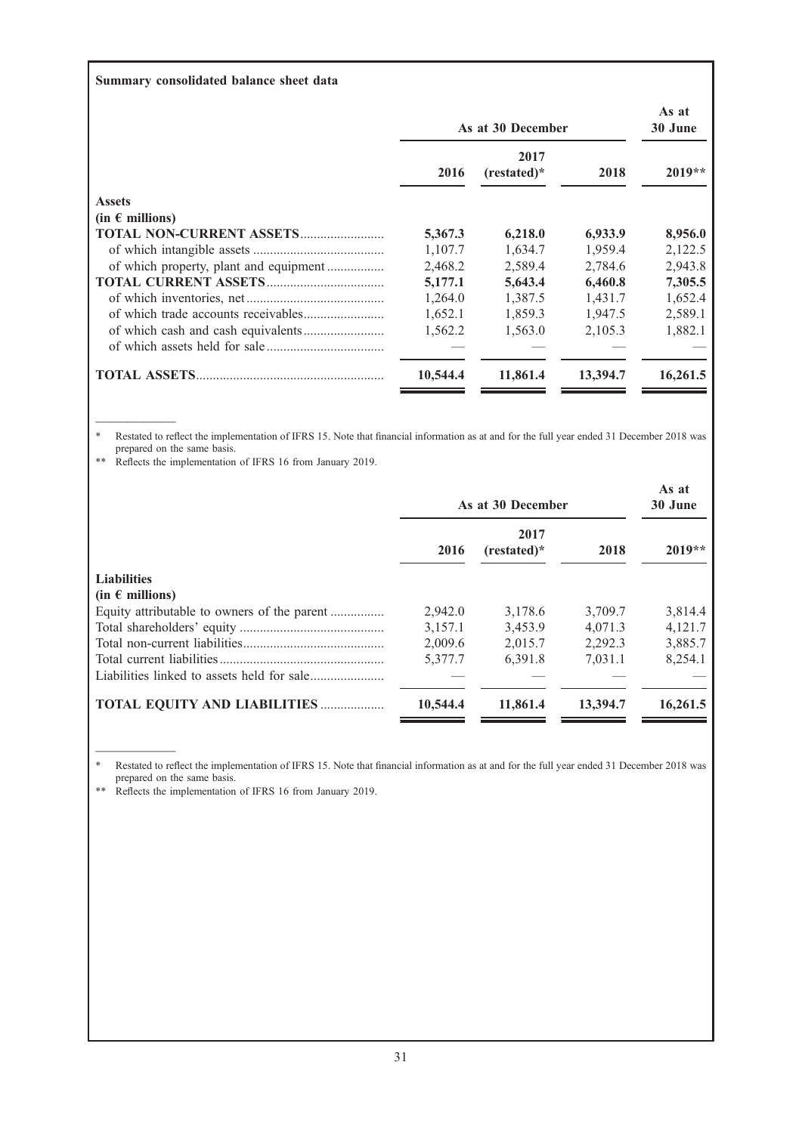# Summary consolidated balance sheet data

|                                        | As at 30 December |                     |          | As at<br>30 June |
|----------------------------------------|-------------------|---------------------|----------|------------------|
|                                        | 2016              | 2017<br>$(rested)*$ | 2018     | $2019**$         |
| <b>Assets</b>                          |                   |                     |          |                  |
| $(in \in millions)$                    |                   |                     |          |                  |
| <b>TOTAL NON-CURRENT ASSETS</b>        | 5,367.3           | 6,218.0             | 6,933.9  | 8,956.0          |
|                                        | 1,107.7           | 1,634.7             | 1,959.4  | 2,122.5          |
| of which property, plant and equipment | 2,468.2           | 2,589.4             | 2,784.6  | 2,943.8          |
|                                        | 5,177.1           | 5,643.4             | 6,460.8  | 7,305.5          |
|                                        | 1,264.0           | 1,387.5             | 1,431.7  | 1,652.4          |
|                                        | 1,652.1           | 1,859.3             | 1,947.5  | 2,589.1          |
|                                        | 1,562.2           | 1,563.0             | 2,105.3  | 1,882.1          |
|                                        |                   |                     |          |                  |
| <b>TOTAL ASSETS</b>                    | 10,544.4          | 11,861.4            | 13,394.7 | 16,261.5         |

————— \* Restated to reflect the implementation of IFRS 15. Note that financial information as at and for the full year ended 31 December 2018 was prepared on the same basis.

\*\* Reflects the implementation of IFRS 16 from January 2019.

|                                             | As at 30 December | As at<br>30 June    |          |          |
|---------------------------------------------|-------------------|---------------------|----------|----------|
|                                             | 2016              | 2017<br>$(rested)*$ | 2018     | $2019**$ |
| <b>Liabilities</b>                          |                   |                     |          |          |
| $(in \in millions)$                         |                   |                     |          |          |
| Equity attributable to owners of the parent | 2,942.0           | 3,178.6             | 3,709.7  | 3,814.4  |
|                                             | 3,157.1           | 3,453.9             | 4,071.3  | 4,121.7  |
|                                             | 2,009.6           | 2,015.7             | 2,292.3  | 3,885.7  |
|                                             | 5,377.7           | 6,391.8             | 7,031.1  | 8,254.1  |
|                                             |                   |                     |          |          |
| <b>TOTAL EQUITY AND LIABILITIES </b>        | 10,544.4          | 11,861.4            | 13,394.7 | 16,261.5 |

————— \* Restated to reflect the implementation of IFRS 15. Note that financial information as at and for the full year ended 31 December 2018 was prepared on the same basis.

\*\* Reflects the implementation of IFRS 16 from January 2019.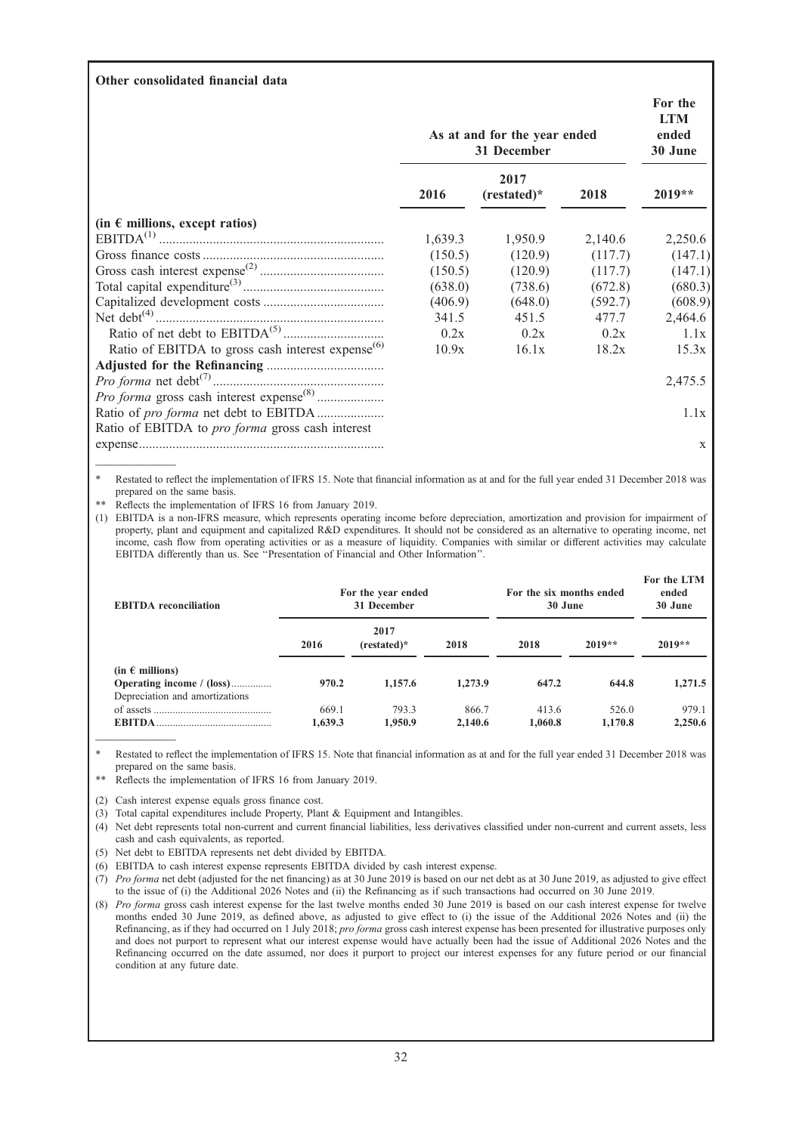# Other consolidated financial data

|                                                               | As at and for the year ended<br>31 December | For the<br><b>LTM</b><br>ended<br>30 June |         |              |
|---------------------------------------------------------------|---------------------------------------------|-------------------------------------------|---------|--------------|
|                                                               | 2016                                        | 2017<br>$(rested)*$                       | 2018    | $2019**$     |
| (in $\epsilon$ millions, except ratios)                       |                                             |                                           |         |              |
| EBITDA <sup>(1)</sup>                                         | 1,639.3                                     | 1,950.9                                   | 2,140.6 | 2,250.6      |
|                                                               | (150.5)                                     | (120.9)                                   | (117.7) | (147.1)      |
|                                                               | (150.5)                                     | (120.9)                                   | (117.7) | (147.1)      |
|                                                               | (638.0)                                     | (738.6)                                   | (672.8) | (680.3)      |
|                                                               | (406.9)                                     | (648.0)                                   | (592.7) | (608.9)      |
|                                                               | 341.5                                       | 451.5                                     | 477.7   | 2,464.6      |
|                                                               | 0.2x                                        | 0.2x                                      | 0.2x    | 1.1x         |
| Ratio of EBITDA to gross cash interest expense <sup>(6)</sup> | 10.9x                                       | 16.1x                                     | 18.2x   | 15.3x        |
|                                                               |                                             |                                           |         |              |
|                                                               |                                             |                                           |         | 2,475.5      |
|                                                               |                                             |                                           |         |              |
|                                                               |                                             |                                           |         | 1.1x         |
| Ratio of EBITDA to <i>pro forma</i> gross cash interest       |                                             |                                           |         |              |
|                                                               |                                             |                                           |         | $\mathbf{X}$ |
|                                                               |                                             |                                           |         |              |

Restated to reflect the implementation of IFRS 15. Note that financial information as at and for the full year ended 31 December 2018 was prepared on the same basis.

Reflects the implementation of IFRS 16 from January 2019.

(1) EBITDA is a non-IFRS measure, which represents operating income before depreciation, amortization and provision for impairment of property, plant and equipment and capitalized R&D expenditures. It should not be considered as an alternative to operating income, net income, cash flow from operating activities or as a measure of liquidity. Companies with similar or different activities may calculate EBITDA differently than us. See ''Presentation of Financial and Other Information''.

| <b>EBITDA</b> reconciliation   | For the year ended<br>31 December |                     |         | For the six months ended<br>30 June | <b>For the LTM</b><br>ended<br>30 June |          |
|--------------------------------|-----------------------------------|---------------------|---------|-------------------------------------|----------------------------------------|----------|
|                                | 2016                              | 2017<br>$(rested)*$ | 2018    | 2018                                | $2019**$                               | $2019**$ |
| (in $\epsilon$ millions)       |                                   |                     |         |                                     |                                        |          |
| Operating income / (loss)      | 970.2                             | 1,157.6             | 1,273.9 | 647.2                               | 644.8                                  | 1,271.5  |
| Depreciation and amortizations |                                   |                     |         |                                     |                                        |          |
|                                | 669.1                             | 793.3               | 866.7   | 413.6                               | 526.0                                  | 979.1    |
| <b>EBITDA</b>                  | 1.639.3                           | 1.950.9             | 2,140.6 | 1.060.8                             | 1,170.8                                | 2,250.6  |

————— Restated to reflect the implementation of IFRS 15. Note that financial information as at and for the full year ended 31 December 2018 was prepared on the same basis.

Reflects the implementation of IFRS 16 from January 2019.

(2) Cash interest expense equals gross finance cost.

(3) Total capital expenditures include Property, Plant & Equipment and Intangibles.

(4) Net debt represents total non-current and current financial liabilities, less derivatives classified under non-current and current assets, less cash and cash equivalents, as reported.

(5) Net debt to EBITDA represents net debt divided by EBITDA.

(6) EBITDA to cash interest expense represents EBITDA divided by cash interest expense.

(7) Pro forma net debt (adjusted for the net financing) as at 30 June 2019 is based on our net debt as at 30 June 2019, as adjusted to give effect to the issue of (i) the Additional 2026 Notes and (ii) the Refinancing as if such transactions had occurred on 30 June 2019.

(8) Pro forma gross cash interest expense for the last twelve months ended 30 June 2019 is based on our cash interest expense for twelve months ended 30 June 2019, as defined above, as adjusted to give effect to (i) the issue of the Additional 2026 Notes and (ii) the Refinancing, as if they had occurred on 1 July 2018; pro forma gross cash interest expense has been presented for illustrative purposes only and does not purport to represent what our interest expense would have actually been had the issue of Additional 2026 Notes and the Refinancing occurred on the date assumed, nor does it purport to project our interest expenses for any future period or our financial condition at any future date.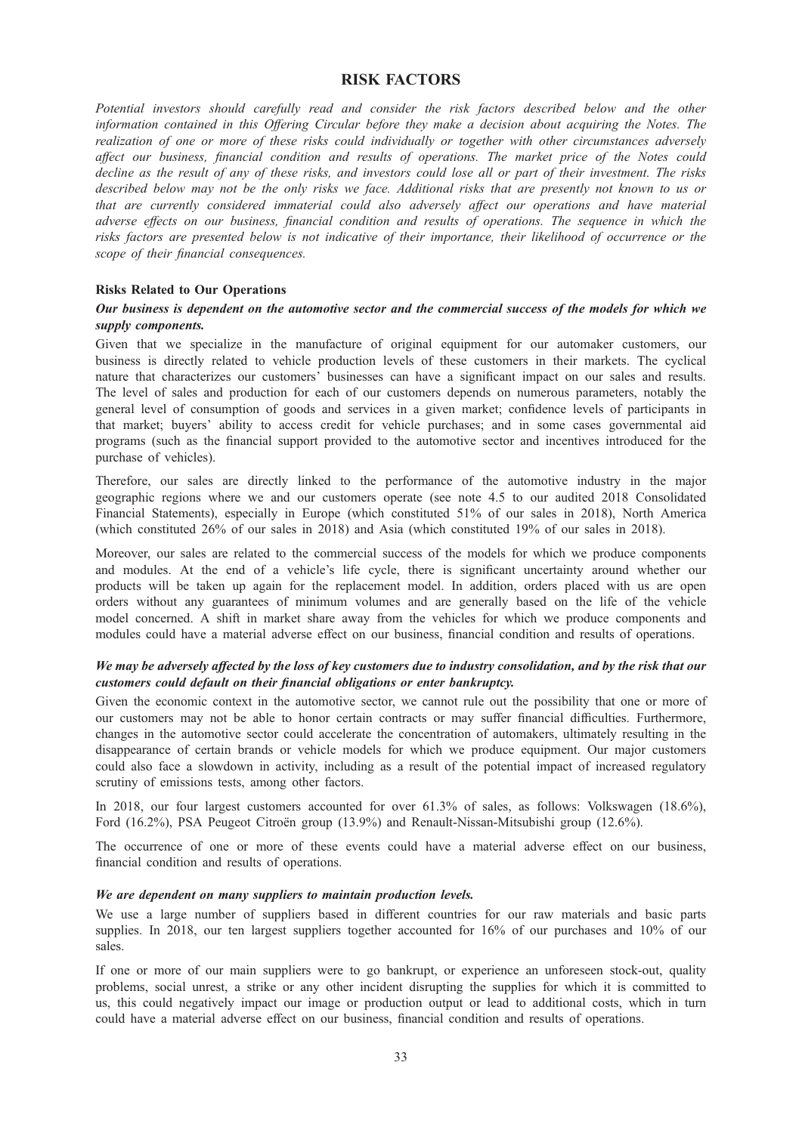# RISK FACTORS

Potential investors should carefully read and consider the risk factors described below and the other information contained in this Offering Circular before they make a decision about acquiring the Notes. The realization of one or more of these risks could individually or together with other circumstances adversely affect our business, financial condition and results of operations. The market price of the Notes could decline as the result of any of these risks, and investors could lose all or part of their investment. The risks described below may not be the only risks we face. Additional risks that are presently not known to us or that are currently considered immaterial could also adversely affect our operations and have material adverse effects on our business, financial condition and results of operations. The sequence in which the risks factors are presented below is not indicative of their importance, their likelihood of occurrence or the scope of their financial consequences.

## Risks Related to Our Operations

## Our business is dependent on the automotive sector and the commercial success of the models for which we supply components.

Given that we specialize in the manufacture of original equipment for our automaker customers, our business is directly related to vehicle production levels of these customers in their markets. The cyclical nature that characterizes our customers' businesses can have a significant impact on our sales and results. The level of sales and production for each of our customers depends on numerous parameters, notably the general level of consumption of goods and services in a given market; confidence levels of participants in that market; buyers' ability to access credit for vehicle purchases; and in some cases governmental aid programs (such as the financial support provided to the automotive sector and incentives introduced for the purchase of vehicles).

Therefore, our sales are directly linked to the performance of the automotive industry in the major geographic regions where we and our customers operate (see note 4.5 to our audited 2018 Consolidated Financial Statements), especially in Europe (which constituted 51% of our sales in 2018), North America (which constituted 26% of our sales in 2018) and Asia (which constituted 19% of our sales in 2018).

Moreover, our sales are related to the commercial success of the models for which we produce components and modules. At the end of a vehicle's life cycle, there is significant uncertainty around whether our products will be taken up again for the replacement model. In addition, orders placed with us are open orders without any guarantees of minimum volumes and are generally based on the life of the vehicle model concerned. A shift in market share away from the vehicles for which we produce components and modules could have a material adverse effect on our business, financial condition and results of operations.

# We may be adversely affected by the loss of key customers due to industry consolidation, and by the risk that our customers could default on their financial obligations or enter bankruptcy.

Given the economic context in the automotive sector, we cannot rule out the possibility that one or more of our customers may not be able to honor certain contracts or may suffer financial difficulties. Furthermore, changes in the automotive sector could accelerate the concentration of automakers, ultimately resulting in the disappearance of certain brands or vehicle models for which we produce equipment. Our major customers could also face a slowdown in activity, including as a result of the potential impact of increased regulatory scrutiny of emissions tests, among other factors.

In 2018, our four largest customers accounted for over 61.3% of sales, as follows: Volkswagen (18.6%), Ford (16.2%), PSA Peugeot Citroën group (13.9%) and Renault-Nissan-Mitsubishi group (12.6%).

The occurrence of one or more of these events could have a material adverse effect on our business, financial condition and results of operations.

#### We are dependent on many suppliers to maintain production levels.

We use a large number of suppliers based in different countries for our raw materials and basic parts supplies. In 2018, our ten largest suppliers together accounted for 16% of our purchases and 10% of our sales.

If one or more of our main suppliers were to go bankrupt, or experience an unforeseen stock-out, quality problems, social unrest, a strike or any other incident disrupting the supplies for which it is committed to us, this could negatively impact our image or production output or lead to additional costs, which in turn could have a material adverse effect on our business, financial condition and results of operations.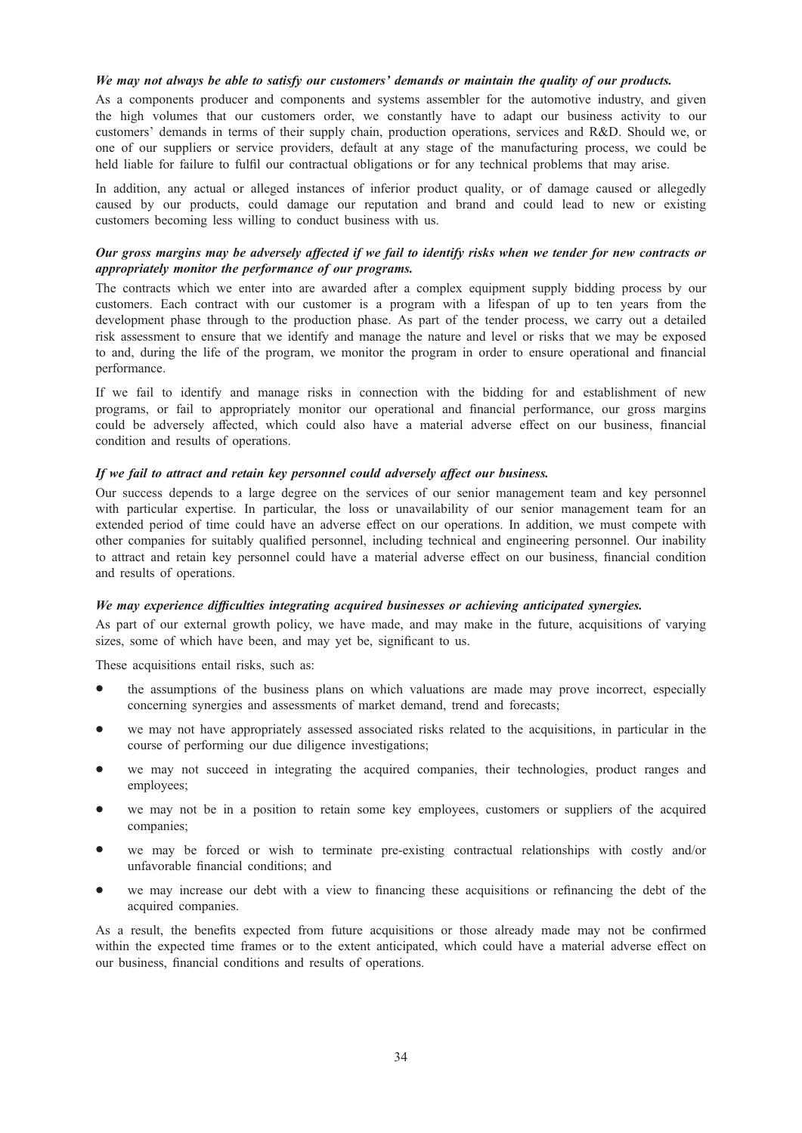### We may not always be able to satisfy our customers' demands or maintain the quality of our products.

As a components producer and components and systems assembler for the automotive industry, and given the high volumes that our customers order, we constantly have to adapt our business activity to our customers' demands in terms of their supply chain, production operations, services and R&D. Should we, or one of our suppliers or service providers, default at any stage of the manufacturing process, we could be held liable for failure to fulfil our contractual obligations or for any technical problems that may arise.

In addition, any actual or alleged instances of inferior product quality, or of damage caused or allegedly caused by our products, could damage our reputation and brand and could lead to new or existing customers becoming less willing to conduct business with us.

## Our gross margins may be adversely affected if we fail to identify risks when we tender for new contracts or appropriately monitor the performance of our programs.

The contracts which we enter into are awarded after a complex equipment supply bidding process by our customers. Each contract with our customer is a program with a lifespan of up to ten years from the development phase through to the production phase. As part of the tender process, we carry out a detailed risk assessment to ensure that we identify and manage the nature and level or risks that we may be exposed to and, during the life of the program, we monitor the program in order to ensure operational and financial performance.

If we fail to identify and manage risks in connection with the bidding for and establishment of new programs, or fail to appropriately monitor our operational and financial performance, our gross margins could be adversely affected, which could also have a material adverse effect on our business, financial condition and results of operations.

#### If we fail to attract and retain key personnel could adversely affect our business.

Our success depends to a large degree on the services of our senior management team and key personnel with particular expertise. In particular, the loss or unavailability of our senior management team for an extended period of time could have an adverse effect on our operations. In addition, we must compete with other companies for suitably qualified personnel, including technical and engineering personnel. Our inability to attract and retain key personnel could have a material adverse effect on our business, financial condition and results of operations.

#### We may experience difficulties integrating acquired businesses or achieving anticipated synergies.

As part of our external growth policy, we have made, and may make in the future, acquisitions of varying sizes, some of which have been, and may yet be, significant to us.

These acquisitions entail risks, such as:

- the assumptions of the business plans on which valuations are made may prove incorrect, especially concerning synergies and assessments of market demand, trend and forecasts;
- we may not have appropriately assessed associated risks related to the acquisitions, in particular in the course of performing our due diligence investigations;
- we may not succeed in integrating the acquired companies, their technologies, product ranges and employees;
- we may not be in a position to retain some key employees, customers or suppliers of the acquired companies;
- we may be forced or wish to terminate pre-existing contractual relationships with costly and/or unfavorable financial conditions; and
- we may increase our debt with a view to financing these acquisitions or refinancing the debt of the acquired companies.

As a result, the benefits expected from future acquisitions or those already made may not be confirmed within the expected time frames or to the extent anticipated, which could have a material adverse effect on our business, financial conditions and results of operations.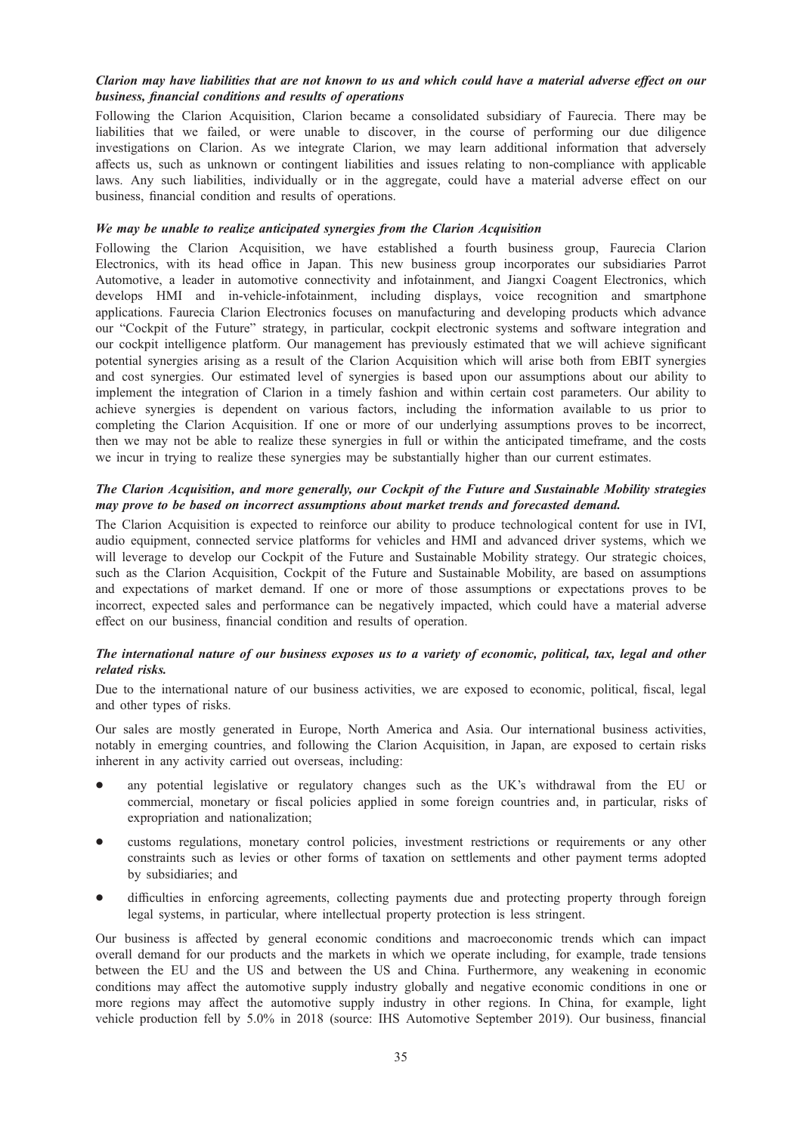# Clarion may have liabilities that are not known to us and which could have a material adverse effect on our business, financial conditions and results of operations

Following the Clarion Acquisition, Clarion became a consolidated subsidiary of Faurecia. There may be liabilities that we failed, or were unable to discover, in the course of performing our due diligence investigations on Clarion. As we integrate Clarion, we may learn additional information that adversely affects us, such as unknown or contingent liabilities and issues relating to non-compliance with applicable laws. Any such liabilities, individually or in the aggregate, could have a material adverse effect on our business, financial condition and results of operations.

### We may be unable to realize anticipated synergies from the Clarion Acquisition

Following the Clarion Acquisition, we have established a fourth business group, Faurecia Clarion Electronics, with its head office in Japan. This new business group incorporates our subsidiaries Parrot Automotive, a leader in automotive connectivity and infotainment, and Jiangxi Coagent Electronics, which develops HMI and in-vehicle-infotainment, including displays, voice recognition and smartphone applications. Faurecia Clarion Electronics focuses on manufacturing and developing products which advance our "Cockpit of the Future" strategy, in particular, cockpit electronic systems and software integration and our cockpit intelligence platform. Our management has previously estimated that we will achieve significant potential synergies arising as a result of the Clarion Acquisition which will arise both from EBIT synergies and cost synergies. Our estimated level of synergies is based upon our assumptions about our ability to implement the integration of Clarion in a timely fashion and within certain cost parameters. Our ability to achieve synergies is dependent on various factors, including the information available to us prior to completing the Clarion Acquisition. If one or more of our underlying assumptions proves to be incorrect, then we may not be able to realize these synergies in full or within the anticipated timeframe, and the costs we incur in trying to realize these synergies may be substantially higher than our current estimates.

## The Clarion Acquisition, and more generally, our Cockpit of the Future and Sustainable Mobility strategies may prove to be based on incorrect assumptions about market trends and forecasted demand.

The Clarion Acquisition is expected to reinforce our ability to produce technological content for use in IVI, audio equipment, connected service platforms for vehicles and HMI and advanced driver systems, which we will leverage to develop our Cockpit of the Future and Sustainable Mobility strategy. Our strategic choices, such as the Clarion Acquisition, Cockpit of the Future and Sustainable Mobility, are based on assumptions and expectations of market demand. If one or more of those assumptions or expectations proves to be incorrect, expected sales and performance can be negatively impacted, which could have a material adverse effect on our business, financial condition and results of operation.

# The international nature of our business exposes us to a variety of economic, political, tax, legal and other related risks.

Due to the international nature of our business activities, we are exposed to economic, political, fiscal, legal and other types of risks.

Our sales are mostly generated in Europe, North America and Asia. Our international business activities, notably in emerging countries, and following the Clarion Acquisition, in Japan, are exposed to certain risks inherent in any activity carried out overseas, including:

- any potential legislative or regulatory changes such as the UK's withdrawal from the EU or commercial, monetary or fiscal policies applied in some foreign countries and, in particular, risks of expropriation and nationalization;
- customs regulations, monetary control policies, investment restrictions or requirements or any other constraints such as levies or other forms of taxation on settlements and other payment terms adopted by subsidiaries; and
- difficulties in enforcing agreements, collecting payments due and protecting property through foreign legal systems, in particular, where intellectual property protection is less stringent.

Our business is affected by general economic conditions and macroeconomic trends which can impact overall demand for our products and the markets in which we operate including, for example, trade tensions between the EU and the US and between the US and China. Furthermore, any weakening in economic conditions may affect the automotive supply industry globally and negative economic conditions in one or more regions may affect the automotive supply industry in other regions. In China, for example, light vehicle production fell by 5.0% in 2018 (source: IHS Automotive September 2019). Our business, financial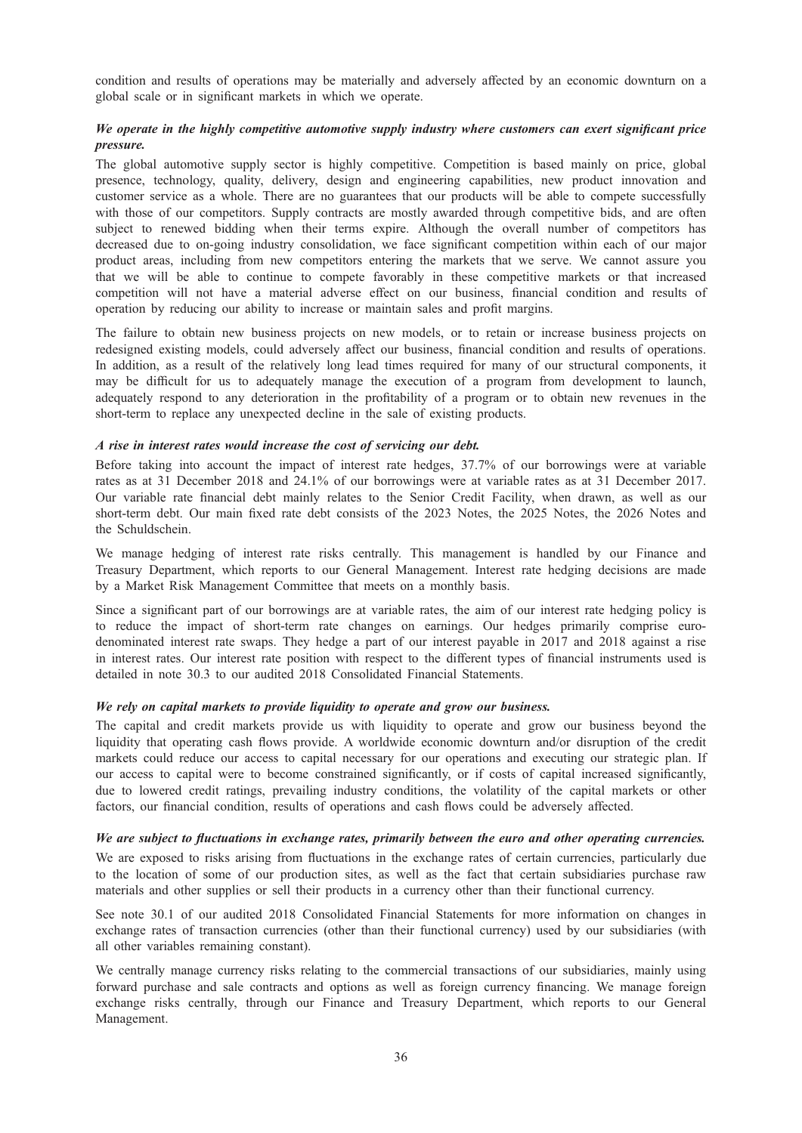condition and results of operations may be materially and adversely affected by an economic downturn on a global scale or in significant markets in which we operate.

# We operate in the highly competitive automotive supply industry where customers can exert significant price pressure.

The global automotive supply sector is highly competitive. Competition is based mainly on price, global presence, technology, quality, delivery, design and engineering capabilities, new product innovation and customer service as a whole. There are no guarantees that our products will be able to compete successfully with those of our competitors. Supply contracts are mostly awarded through competitive bids, and are often subject to renewed bidding when their terms expire. Although the overall number of competitors has decreased due to on-going industry consolidation, we face significant competition within each of our major product areas, including from new competitors entering the markets that we serve. We cannot assure you that we will be able to continue to compete favorably in these competitive markets or that increased competition will not have a material adverse effect on our business, financial condition and results of operation by reducing our ability to increase or maintain sales and profit margins.

The failure to obtain new business projects on new models, or to retain or increase business projects on redesigned existing models, could adversely affect our business, financial condition and results of operations. In addition, as a result of the relatively long lead times required for many of our structural components, it may be difficult for us to adequately manage the execution of a program from development to launch, adequately respond to any deterioration in the profitability of a program or to obtain new revenues in the short-term to replace any unexpected decline in the sale of existing products.

#### A rise in interest rates would increase the cost of servicing our debt.

Before taking into account the impact of interest rate hedges, 37.7% of our borrowings were at variable rates as at 31 December 2018 and 24.1% of our borrowings were at variable rates as at 31 December 2017. Our variable rate financial debt mainly relates to the Senior Credit Facility, when drawn, as well as our short-term debt. Our main fixed rate debt consists of the 2023 Notes, the 2025 Notes, the 2026 Notes and the Schuldschein.

We manage hedging of interest rate risks centrally. This management is handled by our Finance and Treasury Department, which reports to our General Management. Interest rate hedging decisions are made by a Market Risk Management Committee that meets on a monthly basis.

Since a significant part of our borrowings are at variable rates, the aim of our interest rate hedging policy is to reduce the impact of short-term rate changes on earnings. Our hedges primarily comprise eurodenominated interest rate swaps. They hedge a part of our interest payable in 2017 and 2018 against a rise in interest rates. Our interest rate position with respect to the different types of financial instruments used is detailed in note 30.3 to our audited 2018 Consolidated Financial Statements.

#### We rely on capital markets to provide liquidity to operate and grow our business.

The capital and credit markets provide us with liquidity to operate and grow our business beyond the liquidity that operating cash flows provide. A worldwide economic downturn and/or disruption of the credit markets could reduce our access to capital necessary for our operations and executing our strategic plan. If our access to capital were to become constrained significantly, or if costs of capital increased significantly, due to lowered credit ratings, prevailing industry conditions, the volatility of the capital markets or other factors, our financial condition, results of operations and cash flows could be adversely affected.

#### We are subject to fluctuations in exchange rates, primarily between the euro and other operating currencies.

We are exposed to risks arising from fluctuations in the exchange rates of certain currencies, particularly due to the location of some of our production sites, as well as the fact that certain subsidiaries purchase raw materials and other supplies or sell their products in a currency other than their functional currency.

See note 30.1 of our audited 2018 Consolidated Financial Statements for more information on changes in exchange rates of transaction currencies (other than their functional currency) used by our subsidiaries (with all other variables remaining constant).

We centrally manage currency risks relating to the commercial transactions of our subsidiaries, mainly using forward purchase and sale contracts and options as well as foreign currency financing. We manage foreign exchange risks centrally, through our Finance and Treasury Department, which reports to our General Management.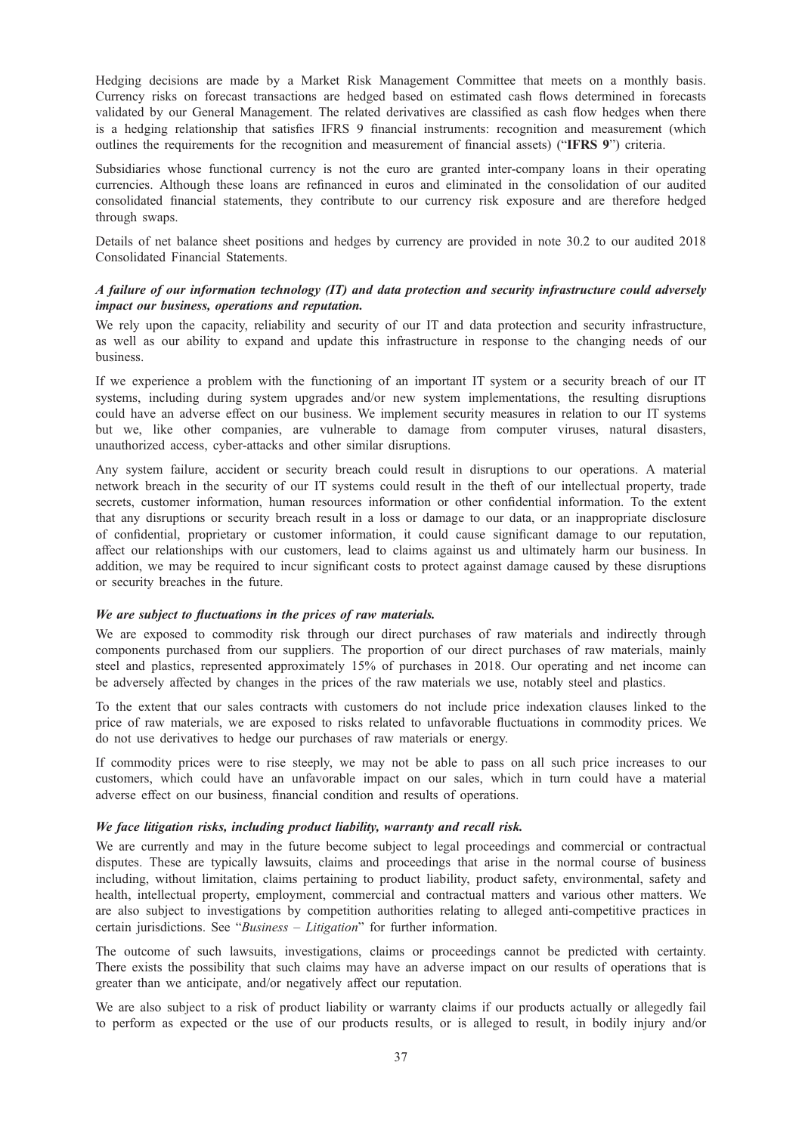Hedging decisions are made by a Market Risk Management Committee that meets on a monthly basis. Currency risks on forecast transactions are hedged based on estimated cash flows determined in forecasts validated by our General Management. The related derivatives are classified as cash flow hedges when there is a hedging relationship that satisfies IFRS 9 financial instruments: recognition and measurement (which outlines the requirements for the recognition and measurement of financial assets) ("IFRS 9") criteria.

Subsidiaries whose functional currency is not the euro are granted inter-company loans in their operating currencies. Although these loans are refinanced in euros and eliminated in the consolidation of our audited consolidated financial statements, they contribute to our currency risk exposure and are therefore hedged through swaps.

Details of net balance sheet positions and hedges by currency are provided in note 30.2 to our audited 2018 Consolidated Financial Statements.

### A failure of our information technology (IT) and data protection and security infrastructure could adversely impact our business, operations and reputation.

We rely upon the capacity, reliability and security of our IT and data protection and security infrastructure, as well as our ability to expand and update this infrastructure in response to the changing needs of our business.

If we experience a problem with the functioning of an important IT system or a security breach of our IT systems, including during system upgrades and/or new system implementations, the resulting disruptions could have an adverse effect on our business. We implement security measures in relation to our IT systems but we, like other companies, are vulnerable to damage from computer viruses, natural disasters, unauthorized access, cyber-attacks and other similar disruptions.

Any system failure, accident or security breach could result in disruptions to our operations. A material network breach in the security of our IT systems could result in the theft of our intellectual property, trade secrets, customer information, human resources information or other confidential information. To the extent that any disruptions or security breach result in a loss or damage to our data, or an inappropriate disclosure of confidential, proprietary or customer information, it could cause significant damage to our reputation, affect our relationships with our customers, lead to claims against us and ultimately harm our business. In addition, we may be required to incur significant costs to protect against damage caused by these disruptions or security breaches in the future.

#### We are subject to fluctuations in the prices of raw materials.

We are exposed to commodity risk through our direct purchases of raw materials and indirectly through components purchased from our suppliers. The proportion of our direct purchases of raw materials, mainly steel and plastics, represented approximately 15% of purchases in 2018. Our operating and net income can be adversely affected by changes in the prices of the raw materials we use, notably steel and plastics.

To the extent that our sales contracts with customers do not include price indexation clauses linked to the price of raw materials, we are exposed to risks related to unfavorable fluctuations in commodity prices. We do not use derivatives to hedge our purchases of raw materials or energy.

If commodity prices were to rise steeply, we may not be able to pass on all such price increases to our customers, which could have an unfavorable impact on our sales, which in turn could have a material adverse effect on our business, financial condition and results of operations.

#### We face litigation risks, including product liability, warranty and recall risk.

We are currently and may in the future become subject to legal proceedings and commercial or contractual disputes. These are typically lawsuits, claims and proceedings that arise in the normal course of business including, without limitation, claims pertaining to product liability, product safety, environmental, safety and health, intellectual property, employment, commercial and contractual matters and various other matters. We are also subject to investigations by competition authorities relating to alleged anti-competitive practices in certain jurisdictions. See "Business – Litigation" for further information.

The outcome of such lawsuits, investigations, claims or proceedings cannot be predicted with certainty. There exists the possibility that such claims may have an adverse impact on our results of operations that is greater than we anticipate, and/or negatively affect our reputation.

We are also subject to a risk of product liability or warranty claims if our products actually or allegedly fail to perform as expected or the use of our products results, or is alleged to result, in bodily injury and/or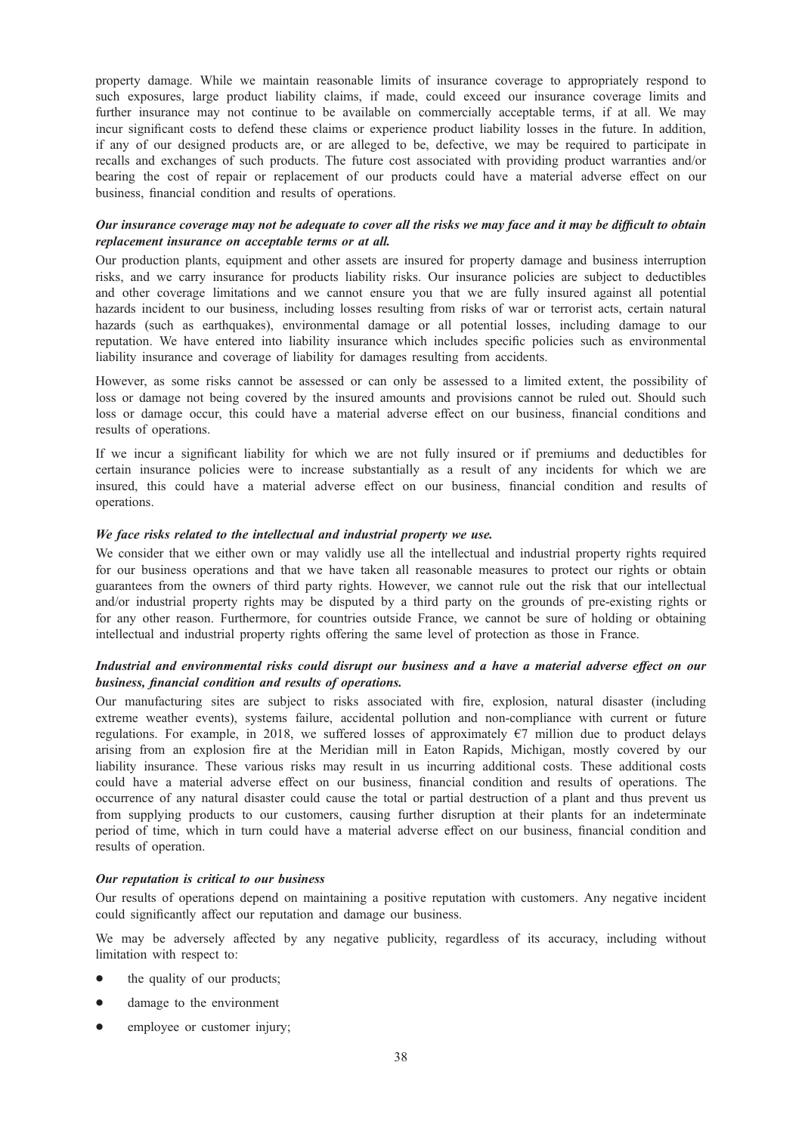property damage. While we maintain reasonable limits of insurance coverage to appropriately respond to such exposures, large product liability claims, if made, could exceed our insurance coverage limits and further insurance may not continue to be available on commercially acceptable terms, if at all. We may incur significant costs to defend these claims or experience product liability losses in the future. In addition, if any of our designed products are, or are alleged to be, defective, we may be required to participate in recalls and exchanges of such products. The future cost associated with providing product warranties and/or bearing the cost of repair or replacement of our products could have a material adverse effect on our business, financial condition and results of operations.

# Our insurance coverage may not be adequate to cover all the risks we may face and it may be difficult to obtain replacement insurance on acceptable terms or at all.

Our production plants, equipment and other assets are insured for property damage and business interruption risks, and we carry insurance for products liability risks. Our insurance policies are subject to deductibles and other coverage limitations and we cannot ensure you that we are fully insured against all potential hazards incident to our business, including losses resulting from risks of war or terrorist acts, certain natural hazards (such as earthquakes), environmental damage or all potential losses, including damage to our reputation. We have entered into liability insurance which includes specific policies such as environmental liability insurance and coverage of liability for damages resulting from accidents.

However, as some risks cannot be assessed or can only be assessed to a limited extent, the possibility of loss or damage not being covered by the insured amounts and provisions cannot be ruled out. Should such loss or damage occur, this could have a material adverse effect on our business, financial conditions and results of operations.

If we incur a significant liability for which we are not fully insured or if premiums and deductibles for certain insurance policies were to increase substantially as a result of any incidents for which we are insured, this could have a material adverse effect on our business, financial condition and results of operations.

#### We face risks related to the intellectual and industrial property we use.

We consider that we either own or may validly use all the intellectual and industrial property rights required for our business operations and that we have taken all reasonable measures to protect our rights or obtain guarantees from the owners of third party rights. However, we cannot rule out the risk that our intellectual and/or industrial property rights may be disputed by a third party on the grounds of pre-existing rights or for any other reason. Furthermore, for countries outside France, we cannot be sure of holding or obtaining intellectual and industrial property rights offering the same level of protection as those in France.

# Industrial and environmental risks could disrupt our business and a have a material adverse effect on our business, financial condition and results of operations.

Our manufacturing sites are subject to risks associated with fire, explosion, natural disaster (including extreme weather events), systems failure, accidental pollution and non-compliance with current or future regulations. For example, in 2018, we suffered losses of approximately  $\epsilon$ 7 million due to product delays arising from an explosion fire at the Meridian mill in Eaton Rapids, Michigan, mostly covered by our liability insurance. These various risks may result in us incurring additional costs. These additional costs could have a material adverse effect on our business, financial condition and results of operations. The occurrence of any natural disaster could cause the total or partial destruction of a plant and thus prevent us from supplying products to our customers, causing further disruption at their plants for an indeterminate period of time, which in turn could have a material adverse effect on our business, financial condition and results of operation.

#### Our reputation is critical to our business

Our results of operations depend on maintaining a positive reputation with customers. Any negative incident could significantly affect our reputation and damage our business.

We may be adversely affected by any negative publicity, regardless of its accuracy, including without limitation with respect to:

- the quality of our products;
- damage to the environment
- employee or customer injury;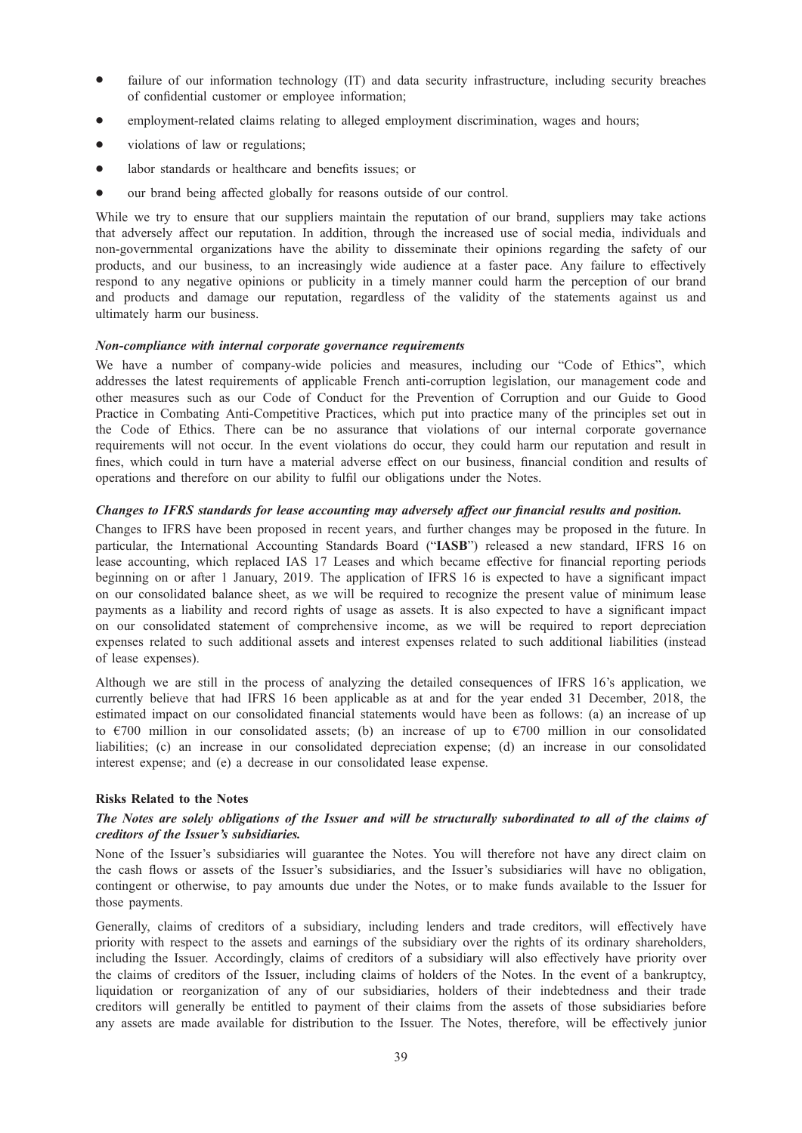- failure of our information technology (IT) and data security infrastructure, including security breaches of confidential customer or employee information;
- employment-related claims relating to alleged employment discrimination, wages and hours;
- violations of law or regulations;
- \* labor standards or healthcare and benefits issues; or
- our brand being affected globally for reasons outside of our control.

While we try to ensure that our suppliers maintain the reputation of our brand, suppliers may take actions that adversely affect our reputation. In addition, through the increased use of social media, individuals and non-governmental organizations have the ability to disseminate their opinions regarding the safety of our products, and our business, to an increasingly wide audience at a faster pace. Any failure to effectively respond to any negative opinions or publicity in a timely manner could harm the perception of our brand and products and damage our reputation, regardless of the validity of the statements against us and ultimately harm our business.

### Non-compliance with internal corporate governance requirements

We have a number of company-wide policies and measures, including our "Code of Ethics", which addresses the latest requirements of applicable French anti-corruption legislation, our management code and other measures such as our Code of Conduct for the Prevention of Corruption and our Guide to Good Practice in Combating Anti-Competitive Practices, which put into practice many of the principles set out in the Code of Ethics. There can be no assurance that violations of our internal corporate governance requirements will not occur. In the event violations do occur, they could harm our reputation and result in fines, which could in turn have a material adverse effect on our business, financial condition and results of operations and therefore on our ability to fulfil our obligations under the Notes.

# Changes to IFRS standards for lease accounting may adversely affect our financial results and position.

Changes to IFRS have been proposed in recent years, and further changes may be proposed in the future. In particular, the International Accounting Standards Board ("IASB") released a new standard, IFRS 16 on lease accounting, which replaced IAS 17 Leases and which became effective for financial reporting periods beginning on or after 1 January, 2019. The application of IFRS 16 is expected to have a significant impact on our consolidated balance sheet, as we will be required to recognize the present value of minimum lease payments as a liability and record rights of usage as assets. It is also expected to have a significant impact on our consolidated statement of comprehensive income, as we will be required to report depreciation expenses related to such additional assets and interest expenses related to such additional liabilities (instead of lease expenses).

Although we are still in the process of analyzing the detailed consequences of IFRS 16's application, we currently believe that had IFRS 16 been applicable as at and for the year ended 31 December, 2018, the estimated impact on our consolidated financial statements would have been as follows: (a) an increase of up to  $\epsilon$ 700 million in our consolidated assets; (b) an increase of up to  $\epsilon$ 700 million in our consolidated liabilities; (c) an increase in our consolidated depreciation expense; (d) an increase in our consolidated interest expense; and (e) a decrease in our consolidated lease expense.

# Risks Related to the Notes

# The Notes are solely obligations of the Issuer and will be structurally subordinated to all of the claims of creditors of the Issuer's subsidiaries.

None of the Issuer's subsidiaries will guarantee the Notes. You will therefore not have any direct claim on the cash flows or assets of the Issuer's subsidiaries, and the Issuer's subsidiaries will have no obligation, contingent or otherwise, to pay amounts due under the Notes, or to make funds available to the Issuer for those payments.

Generally, claims of creditors of a subsidiary, including lenders and trade creditors, will effectively have priority with respect to the assets and earnings of the subsidiary over the rights of its ordinary shareholders, including the Issuer. Accordingly, claims of creditors of a subsidiary will also effectively have priority over the claims of creditors of the Issuer, including claims of holders of the Notes. In the event of a bankruptcy, liquidation or reorganization of any of our subsidiaries, holders of their indebtedness and their trade creditors will generally be entitled to payment of their claims from the assets of those subsidiaries before any assets are made available for distribution to the Issuer. The Notes, therefore, will be effectively junior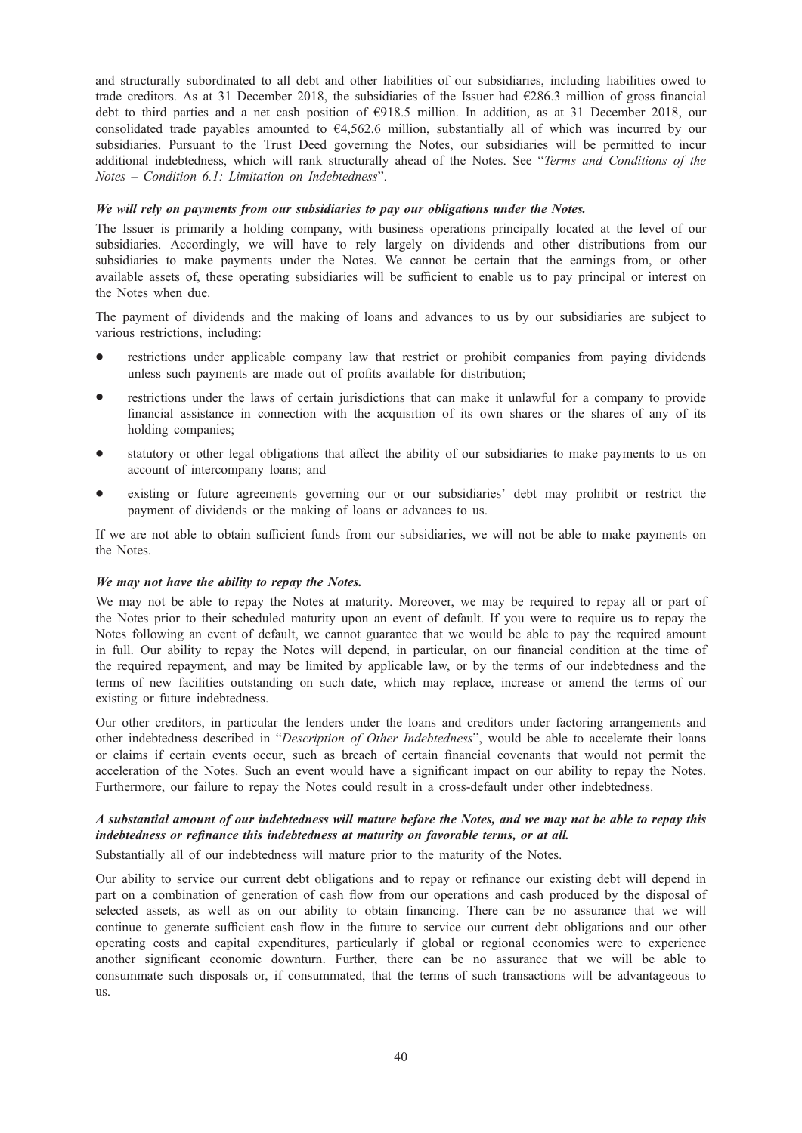and structurally subordinated to all debt and other liabilities of our subsidiaries, including liabilities owed to trade creditors. As at 31 December 2018, the subsidiaries of the Issuer had €286.3 million of gross financial debt to third parties and a net cash position of €918.5 million. In addition, as at 31 December 2018, our consolidated trade payables amounted to  $64,562.6$  million, substantially all of which was incurred by our subsidiaries. Pursuant to the Trust Deed governing the Notes, our subsidiaries will be permitted to incur additional indebtedness, which will rank structurally ahead of the Notes. See "Terms and Conditions of the Notes – Condition 6.1: Limitation on Indebtedness".

#### We will rely on payments from our subsidiaries to pay our obligations under the Notes.

The Issuer is primarily a holding company, with business operations principally located at the level of our subsidiaries. Accordingly, we will have to rely largely on dividends and other distributions from our subsidiaries to make payments under the Notes. We cannot be certain that the earnings from, or other available assets of, these operating subsidiaries will be sufficient to enable us to pay principal or interest on the Notes when due.

The payment of dividends and the making of loans and advances to us by our subsidiaries are subject to various restrictions, including:

- restrictions under applicable company law that restrict or prohibit companies from paying dividends unless such payments are made out of profits available for distribution;
- restrictions under the laws of certain jurisdictions that can make it unlawful for a company to provide financial assistance in connection with the acquisition of its own shares or the shares of any of its holding companies;
- statutory or other legal obligations that affect the ability of our subsidiaries to make payments to us on account of intercompany loans; and
- existing or future agreements governing our or our subsidiaries' debt may prohibit or restrict the payment of dividends or the making of loans or advances to us.

If we are not able to obtain sufficient funds from our subsidiaries, we will not be able to make payments on the Notes.

#### We may not have the ability to repay the Notes.

We may not be able to repay the Notes at maturity. Moreover, we may be required to repay all or part of the Notes prior to their scheduled maturity upon an event of default. If you were to require us to repay the Notes following an event of default, we cannot guarantee that we would be able to pay the required amount in full. Our ability to repay the Notes will depend, in particular, on our financial condition at the time of the required repayment, and may be limited by applicable law, or by the terms of our indebtedness and the terms of new facilities outstanding on such date, which may replace, increase or amend the terms of our existing or future indebtedness.

Our other creditors, in particular the lenders under the loans and creditors under factoring arrangements and other indebtedness described in "Description of Other Indebtedness", would be able to accelerate their loans or claims if certain events occur, such as breach of certain financial covenants that would not permit the acceleration of the Notes. Such an event would have a significant impact on our ability to repay the Notes. Furthermore, our failure to repay the Notes could result in a cross-default under other indebtedness.

# A substantial amount of our indebtedness will mature before the Notes, and we may not be able to repay this indebtedness or refinance this indebtedness at maturity on favorable terms, or at all.

Substantially all of our indebtedness will mature prior to the maturity of the Notes.

Our ability to service our current debt obligations and to repay or refinance our existing debt will depend in part on a combination of generation of cash flow from our operations and cash produced by the disposal of selected assets, as well as on our ability to obtain financing. There can be no assurance that we will continue to generate sufficient cash flow in the future to service our current debt obligations and our other operating costs and capital expenditures, particularly if global or regional economies were to experience another significant economic downturn. Further, there can be no assurance that we will be able to consummate such disposals or, if consummated, that the terms of such transactions will be advantageous to us.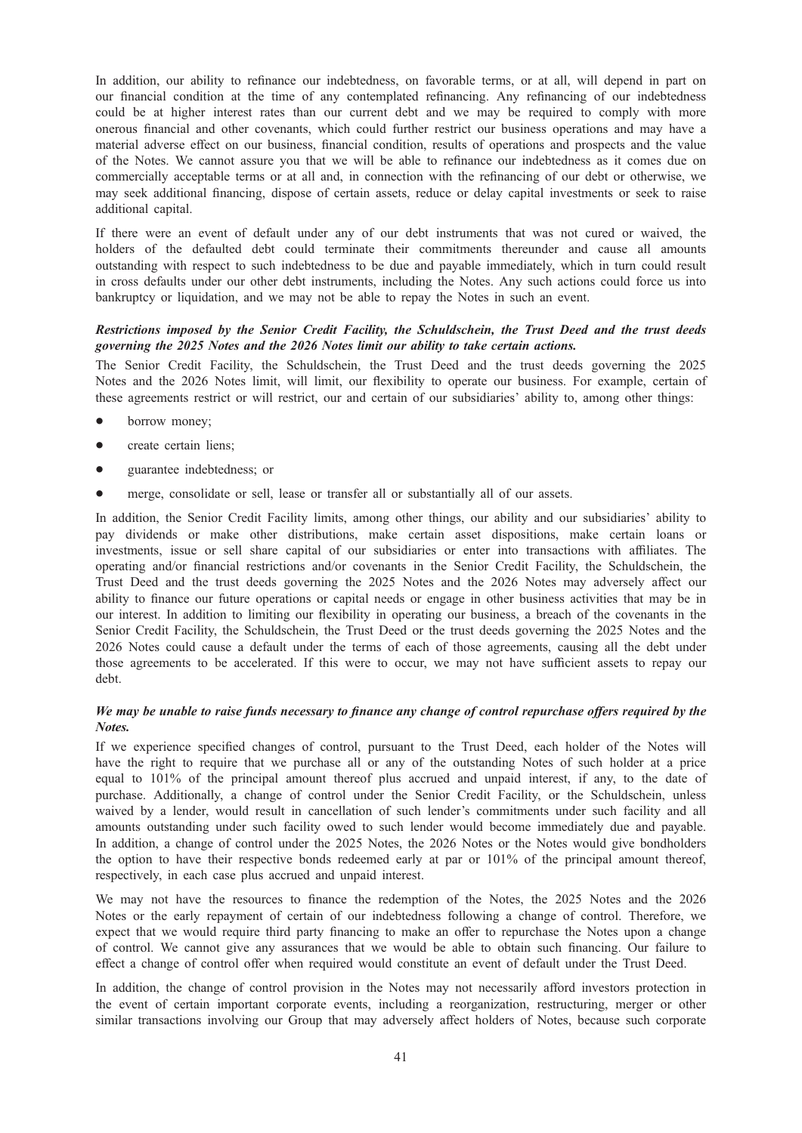In addition, our ability to refinance our indebtedness, on favorable terms, or at all, will depend in part on our financial condition at the time of any contemplated refinancing. Any refinancing of our indebtedness could be at higher interest rates than our current debt and we may be required to comply with more onerous financial and other covenants, which could further restrict our business operations and may have a material adverse effect on our business, financial condition, results of operations and prospects and the value of the Notes. We cannot assure you that we will be able to refinance our indebtedness as it comes due on commercially acceptable terms or at all and, in connection with the refinancing of our debt or otherwise, we may seek additional financing, dispose of certain assets, reduce or delay capital investments or seek to raise additional capital.

If there were an event of default under any of our debt instruments that was not cured or waived, the holders of the defaulted debt could terminate their commitments thereunder and cause all amounts outstanding with respect to such indebtedness to be due and payable immediately, which in turn could result in cross defaults under our other debt instruments, including the Notes. Any such actions could force us into bankruptcy or liquidation, and we may not be able to repay the Notes in such an event.

## Restrictions imposed by the Senior Credit Facility, the Schuldschein, the Trust Deed and the trust deeds governing the 2025 Notes and the 2026 Notes limit our ability to take certain actions.

The Senior Credit Facility, the Schuldschein, the Trust Deed and the trust deeds governing the 2025 Notes and the 2026 Notes limit, will limit, our flexibility to operate our business. For example, certain of these agreements restrict or will restrict, our and certain of our subsidiaries' ability to, among other things:

- borrow money;
- create certain liens;
- guarantee indebtedness; or
- merge, consolidate or sell, lease or transfer all or substantially all of our assets.

In addition, the Senior Credit Facility limits, among other things, our ability and our subsidiaries' ability to pay dividends or make other distributions, make certain asset dispositions, make certain loans or investments, issue or sell share capital of our subsidiaries or enter into transactions with affiliates. The operating and/or financial restrictions and/or covenants in the Senior Credit Facility, the Schuldschein, the Trust Deed and the trust deeds governing the 2025 Notes and the 2026 Notes may adversely affect our ability to finance our future operations or capital needs or engage in other business activities that may be in our interest. In addition to limiting our flexibility in operating our business, a breach of the covenants in the Senior Credit Facility, the Schuldschein, the Trust Deed or the trust deeds governing the 2025 Notes and the 2026 Notes could cause a default under the terms of each of those agreements, causing all the debt under those agreements to be accelerated. If this were to occur, we may not have sufficient assets to repay our debt.

# We may be unable to raise funds necessary to finance any change of control repurchase offers required by the Notes.

If we experience specified changes of control, pursuant to the Trust Deed, each holder of the Notes will have the right to require that we purchase all or any of the outstanding Notes of such holder at a price equal to 101% of the principal amount thereof plus accrued and unpaid interest, if any, to the date of purchase. Additionally, a change of control under the Senior Credit Facility, or the Schuldschein, unless waived by a lender, would result in cancellation of such lender's commitments under such facility and all amounts outstanding under such facility owed to such lender would become immediately due and payable. In addition, a change of control under the 2025 Notes, the 2026 Notes or the Notes would give bondholders the option to have their respective bonds redeemed early at par or 101% of the principal amount thereof, respectively, in each case plus accrued and unpaid interest.

We may not have the resources to finance the redemption of the Notes, the 2025 Notes and the 2026 Notes or the early repayment of certain of our indebtedness following a change of control. Therefore, we expect that we would require third party financing to make an offer to repurchase the Notes upon a change of control. We cannot give any assurances that we would be able to obtain such financing. Our failure to effect a change of control offer when required would constitute an event of default under the Trust Deed.

In addition, the change of control provision in the Notes may not necessarily afford investors protection in the event of certain important corporate events, including a reorganization, restructuring, merger or other similar transactions involving our Group that may adversely affect holders of Notes, because such corporate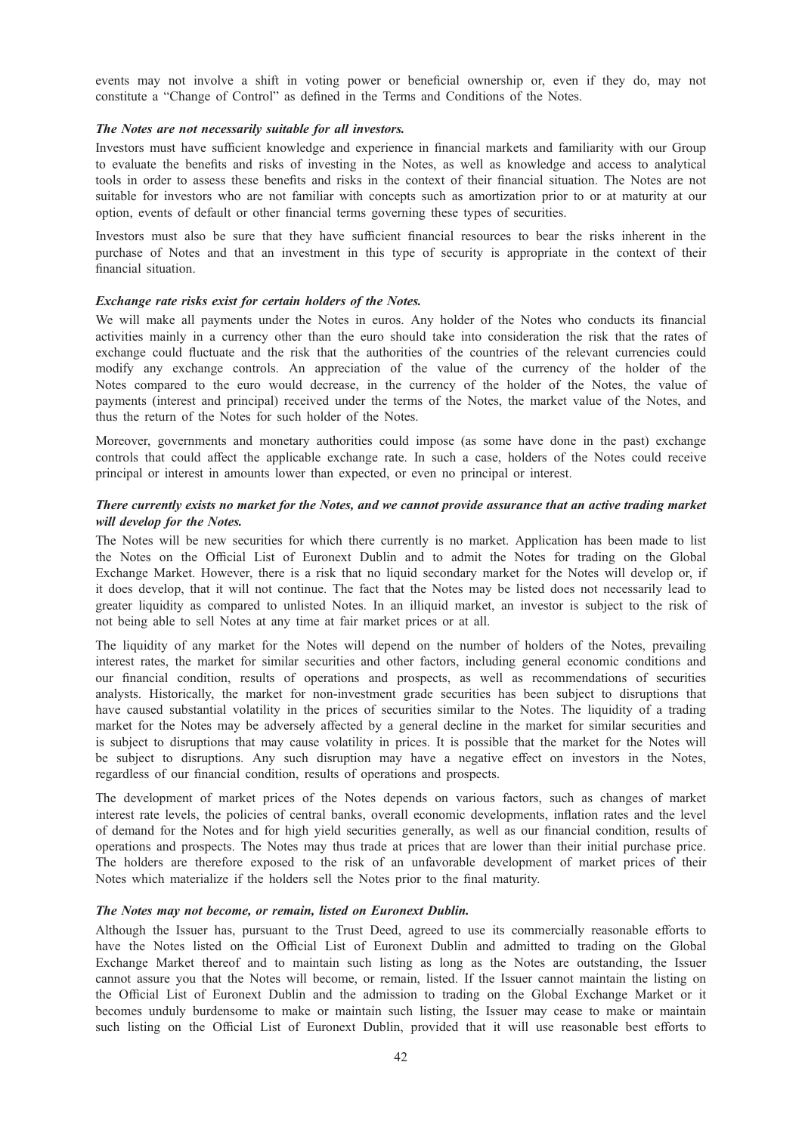events may not involve a shift in voting power or beneficial ownership or, even if they do, may not constitute a "Change of Control" as defined in the Terms and Conditions of the Notes.

### The Notes are not necessarily suitable for all investors.

Investors must have sufficient knowledge and experience in financial markets and familiarity with our Group to evaluate the benefits and risks of investing in the Notes, as well as knowledge and access to analytical tools in order to assess these benefits and risks in the context of their financial situation. The Notes are not suitable for investors who are not familiar with concepts such as amortization prior to or at maturity at our option, events of default or other financial terms governing these types of securities.

Investors must also be sure that they have sufficient financial resources to bear the risks inherent in the purchase of Notes and that an investment in this type of security is appropriate in the context of their financial situation.

#### Exchange rate risks exist for certain holders of the Notes.

We will make all payments under the Notes in euros. Any holder of the Notes who conducts its financial activities mainly in a currency other than the euro should take into consideration the risk that the rates of exchange could fluctuate and the risk that the authorities of the countries of the relevant currencies could modify any exchange controls. An appreciation of the value of the currency of the holder of the Notes compared to the euro would decrease, in the currency of the holder of the Notes, the value of payments (interest and principal) received under the terms of the Notes, the market value of the Notes, and thus the return of the Notes for such holder of the Notes.

Moreover, governments and monetary authorities could impose (as some have done in the past) exchange controls that could affect the applicable exchange rate. In such a case, holders of the Notes could receive principal or interest in amounts lower than expected, or even no principal or interest.

### There currently exists no market for the Notes, and we cannot provide assurance that an active trading market will develop for the Notes.

The Notes will be new securities for which there currently is no market. Application has been made to list the Notes on the Official List of Euronext Dublin and to admit the Notes for trading on the Global Exchange Market. However, there is a risk that no liquid secondary market for the Notes will develop or, if it does develop, that it will not continue. The fact that the Notes may be listed does not necessarily lead to greater liquidity as compared to unlisted Notes. In an illiquid market, an investor is subject to the risk of not being able to sell Notes at any time at fair market prices or at all.

The liquidity of any market for the Notes will depend on the number of holders of the Notes, prevailing interest rates, the market for similar securities and other factors, including general economic conditions and our financial condition, results of operations and prospects, as well as recommendations of securities analysts. Historically, the market for non-investment grade securities has been subject to disruptions that have caused substantial volatility in the prices of securities similar to the Notes. The liquidity of a trading market for the Notes may be adversely affected by a general decline in the market for similar securities and is subject to disruptions that may cause volatility in prices. It is possible that the market for the Notes will be subject to disruptions. Any such disruption may have a negative effect on investors in the Notes, regardless of our financial condition, results of operations and prospects.

The development of market prices of the Notes depends on various factors, such as changes of market interest rate levels, the policies of central banks, overall economic developments, inflation rates and the level of demand for the Notes and for high yield securities generally, as well as our financial condition, results of operations and prospects. The Notes may thus trade at prices that are lower than their initial purchase price. The holders are therefore exposed to the risk of an unfavorable development of market prices of their Notes which materialize if the holders sell the Notes prior to the final maturity.

#### The Notes may not become, or remain, listed on Euronext Dublin.

Although the Issuer has, pursuant to the Trust Deed, agreed to use its commercially reasonable efforts to have the Notes listed on the Official List of Euronext Dublin and admitted to trading on the Global Exchange Market thereof and to maintain such listing as long as the Notes are outstanding, the Issuer cannot assure you that the Notes will become, or remain, listed. If the Issuer cannot maintain the listing on the Official List of Euronext Dublin and the admission to trading on the Global Exchange Market or it becomes unduly burdensome to make or maintain such listing, the Issuer may cease to make or maintain such listing on the Official List of Euronext Dublin, provided that it will use reasonable best efforts to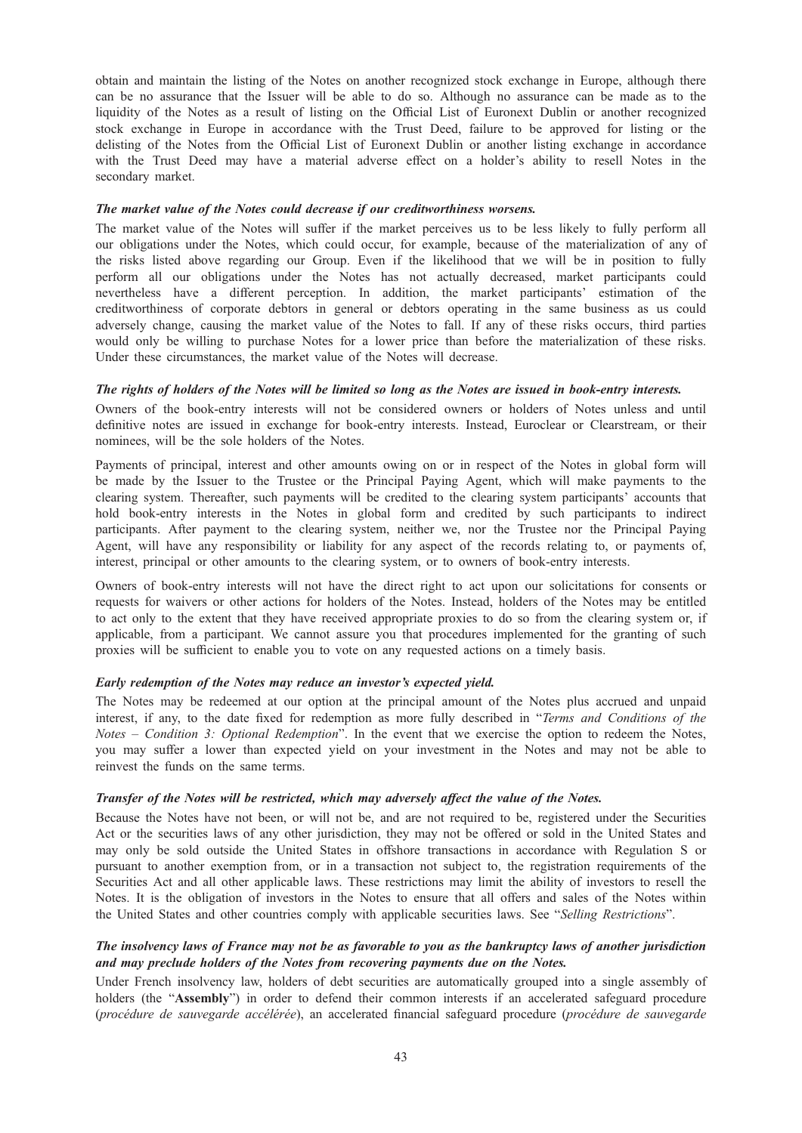obtain and maintain the listing of the Notes on another recognized stock exchange in Europe, although there can be no assurance that the Issuer will be able to do so. Although no assurance can be made as to the liquidity of the Notes as a result of listing on the Official List of Euronext Dublin or another recognized stock exchange in Europe in accordance with the Trust Deed, failure to be approved for listing or the delisting of the Notes from the Official List of Euronext Dublin or another listing exchange in accordance with the Trust Deed may have a material adverse effect on a holder's ability to resell Notes in the secondary market.

#### The market value of the Notes could decrease if our creditworthiness worsens.

The market value of the Notes will suffer if the market perceives us to be less likely to fully perform all our obligations under the Notes, which could occur, for example, because of the materialization of any of the risks listed above regarding our Group. Even if the likelihood that we will be in position to fully perform all our obligations under the Notes has not actually decreased, market participants could nevertheless have a different perception. In addition, the market participants' estimation of the creditworthiness of corporate debtors in general or debtors operating in the same business as us could adversely change, causing the market value of the Notes to fall. If any of these risks occurs, third parties would only be willing to purchase Notes for a lower price than before the materialization of these risks. Under these circumstances, the market value of the Notes will decrease.

### The rights of holders of the Notes will be limited so long as the Notes are issued in book-entry interests.

Owners of the book-entry interests will not be considered owners or holders of Notes unless and until definitive notes are issued in exchange for book-entry interests. Instead, Euroclear or Clearstream, or their nominees, will be the sole holders of the Notes.

Payments of principal, interest and other amounts owing on or in respect of the Notes in global form will be made by the Issuer to the Trustee or the Principal Paying Agent, which will make payments to the clearing system. Thereafter, such payments will be credited to the clearing system participants' accounts that hold book-entry interests in the Notes in global form and credited by such participants to indirect participants. After payment to the clearing system, neither we, nor the Trustee nor the Principal Paying Agent, will have any responsibility or liability for any aspect of the records relating to, or payments of, interest, principal or other amounts to the clearing system, or to owners of book-entry interests.

Owners of book-entry interests will not have the direct right to act upon our solicitations for consents or requests for waivers or other actions for holders of the Notes. Instead, holders of the Notes may be entitled to act only to the extent that they have received appropriate proxies to do so from the clearing system or, if applicable, from a participant. We cannot assure you that procedures implemented for the granting of such proxies will be sufficient to enable you to vote on any requested actions on a timely basis.

# Early redemption of the Notes may reduce an investor's expected yield.

The Notes may be redeemed at our option at the principal amount of the Notes plus accrued and unpaid interest, if any, to the date fixed for redemption as more fully described in "Terms and Conditions of the Notes – Condition 3: Optional Redemption". In the event that we exercise the option to redeem the Notes, you may suffer a lower than expected yield on your investment in the Notes and may not be able to reinvest the funds on the same terms.

# Transfer of the Notes will be restricted, which may adversely affect the value of the Notes.

Because the Notes have not been, or will not be, and are not required to be, registered under the Securities Act or the securities laws of any other jurisdiction, they may not be offered or sold in the United States and may only be sold outside the United States in offshore transactions in accordance with Regulation S or pursuant to another exemption from, or in a transaction not subject to, the registration requirements of the Securities Act and all other applicable laws. These restrictions may limit the ability of investors to resell the Notes. It is the obligation of investors in the Notes to ensure that all offers and sales of the Notes within the United States and other countries comply with applicable securities laws. See "Selling Restrictions".

# The insolvency laws of France may not be as favorable to you as the bankruptcy laws of another jurisdiction and may preclude holders of the Notes from recovering payments due on the Notes.

Under French insolvency law, holders of debt securities are automatically grouped into a single assembly of holders (the "Assembly") in order to defend their common interests if an accelerated safeguard procedure (procédure de sauvegarde accélérée), an accelerated financial safeguard procedure (procédure de sauvegarde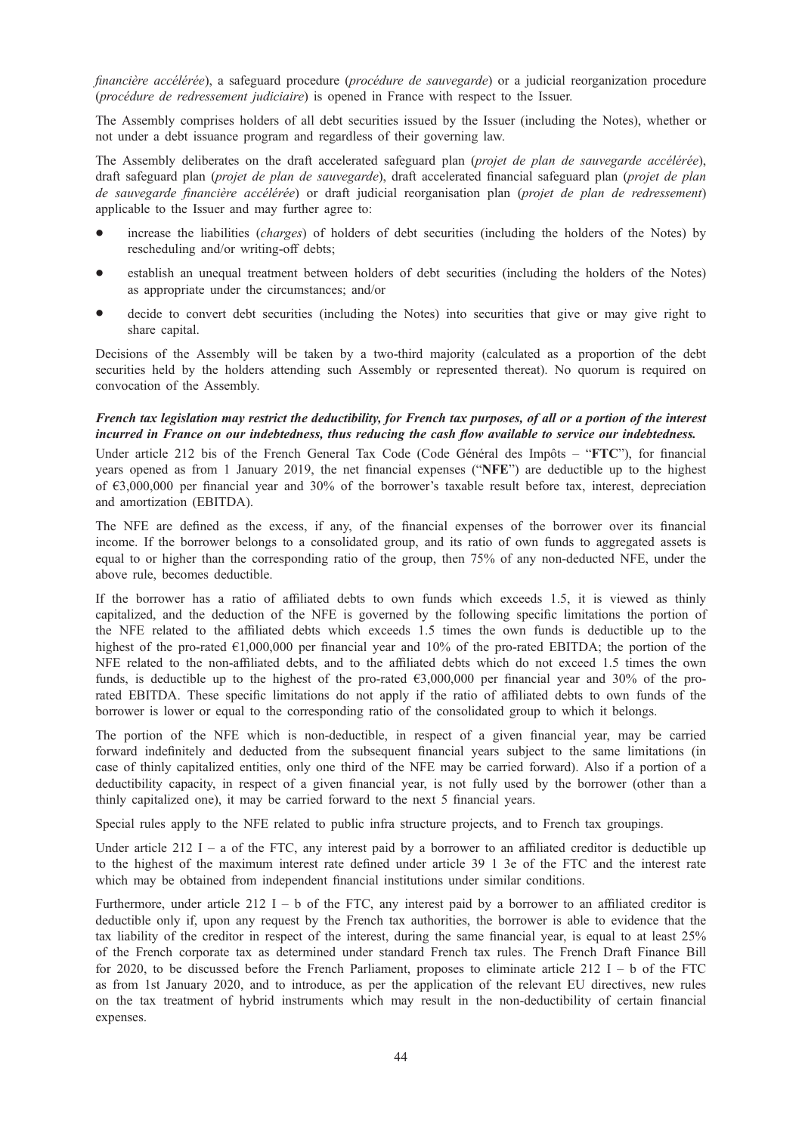financière accélérée), a safeguard procedure (procédure de sauvegarde) or a judicial reorganization procedure (procédure de redressement judiciaire) is opened in France with respect to the Issuer.

The Assembly comprises holders of all debt securities issued by the Issuer (including the Notes), whether or not under a debt issuance program and regardless of their governing law.

The Assembly deliberates on the draft accelerated safeguard plan (projet de plan de sauvegarde accélérée), draft safeguard plan (projet de plan de sauvegarde), draft accelerated financial safeguard plan (projet de plan de sauvegarde financière accélérée) or draft judicial reorganisation plan (projet de plan de redressement) applicable to the Issuer and may further agree to:

- increase the liabilities (*charges*) of holders of debt securities (including the holders of the Notes) by rescheduling and/or writing-off debts;
- establish an unequal treatment between holders of debt securities (including the holders of the Notes) as appropriate under the circumstances; and/or
- decide to convert debt securities (including the Notes) into securities that give or may give right to share capital.

Decisions of the Assembly will be taken by a two-third majority (calculated as a proportion of the debt securities held by the holders attending such Assembly or represented thereat). No quorum is required on convocation of the Assembly.

## French tax legislation may restrict the deductibility, for French tax purposes, of all or a portion of the interest incurred in France on our indebtedness, thus reducing the cash flow available to service our indebtedness.

Under article 212 bis of the French General Tax Code (Code Général des Impôts – "FTC"), for financial years opened as from 1 January 2019, the net financial expenses ("NFE") are deductible up to the highest of €3,000,000 per financial year and 30% of the borrower's taxable result before tax, interest, depreciation and amortization (EBITDA).

The NFE are defined as the excess, if any, of the financial expenses of the borrower over its financial income. If the borrower belongs to a consolidated group, and its ratio of own funds to aggregated assets is equal to or higher than the corresponding ratio of the group, then 75% of any non-deducted NFE, under the above rule, becomes deductible.

If the borrower has a ratio of affiliated debts to own funds which exceeds 1.5, it is viewed as thinly capitalized, and the deduction of the NFE is governed by the following specific limitations the portion of the NFE related to the affiliated debts which exceeds 1.5 times the own funds is deductible up to the highest of the pro-rated €1,000,000 per financial year and 10% of the pro-rated EBITDA; the portion of the NFE related to the non-affiliated debts, and to the affiliated debts which do not exceed 1.5 times the own funds, is deductible up to the highest of the pro-rated  $\epsilon$ 3,000,000 per financial year and 30% of the prorated EBITDA. These specific limitations do not apply if the ratio of affiliated debts to own funds of the borrower is lower or equal to the corresponding ratio of the consolidated group to which it belongs.

The portion of the NFE which is non-deductible, in respect of a given financial year, may be carried forward indefinitely and deducted from the subsequent financial years subject to the same limitations (in case of thinly capitalized entities, only one third of the NFE may be carried forward). Also if a portion of a deductibility capacity, in respect of a given financial year, is not fully used by the borrower (other than a thinly capitalized one), it may be carried forward to the next 5 financial years.

Special rules apply to the NFE related to public infra structure projects, and to French tax groupings.

Under article  $212$  I – a of the FTC, any interest paid by a borrower to an affiliated creditor is deductible up to the highest of the maximum interest rate defined under article 39 1 3e of the FTC and the interest rate which may be obtained from independent financial institutions under similar conditions.

Furthermore, under article 212 I – b of the FTC, any interest paid by a borrower to an affiliated creditor is deductible only if, upon any request by the French tax authorities, the borrower is able to evidence that the tax liability of the creditor in respect of the interest, during the same financial year, is equal to at least 25% of the French corporate tax as determined under standard French tax rules. The French Draft Finance Bill for 2020, to be discussed before the French Parliament, proposes to eliminate article 212 I – b of the FTC as from 1st January 2020, and to introduce, as per the application of the relevant EU directives, new rules on the tax treatment of hybrid instruments which may result in the non-deductibility of certain financial expenses.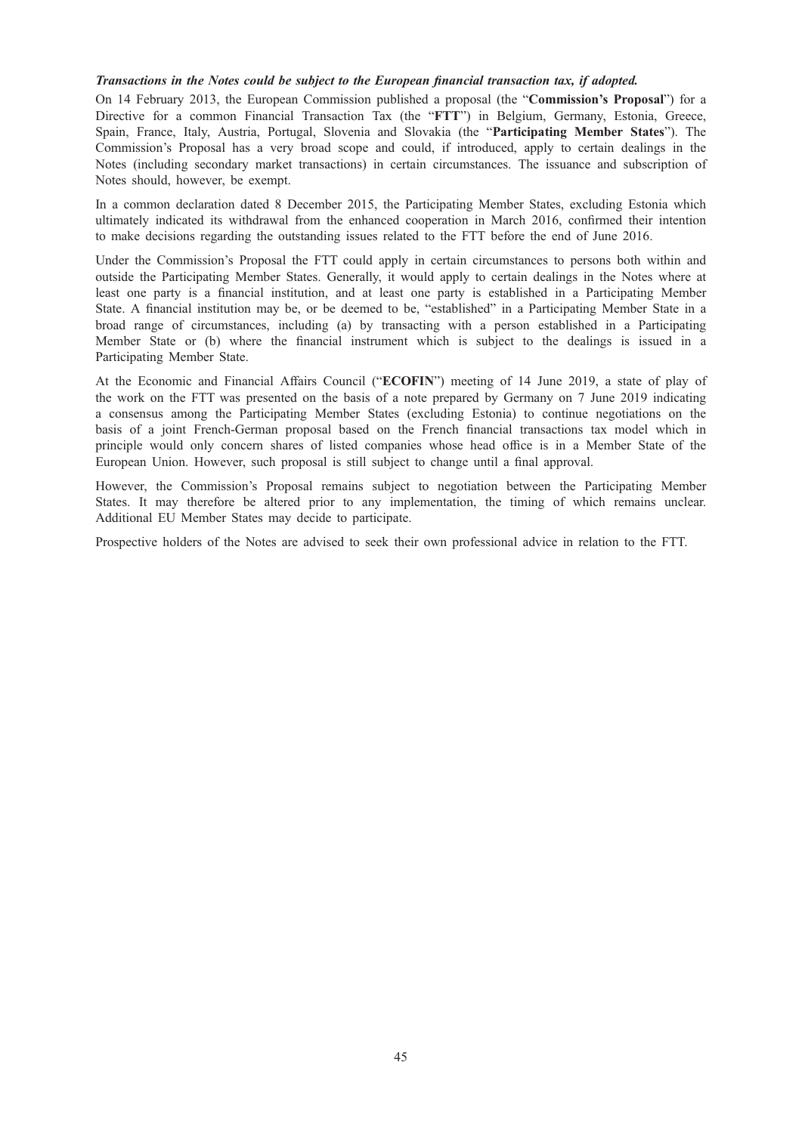### Transactions in the Notes could be subject to the European financial transaction tax, if adopted.

On 14 February 2013, the European Commission published a proposal (the "Commission's Proposal") for a Directive for a common Financial Transaction Tax (the "FTT") in Belgium, Germany, Estonia, Greece, Spain, France, Italy, Austria, Portugal, Slovenia and Slovakia (the "Participating Member States"). The Commission's Proposal has a very broad scope and could, if introduced, apply to certain dealings in the Notes (including secondary market transactions) in certain circumstances. The issuance and subscription of Notes should, however, be exempt.

In a common declaration dated 8 December 2015, the Participating Member States, excluding Estonia which ultimately indicated its withdrawal from the enhanced cooperation in March 2016, confirmed their intention to make decisions regarding the outstanding issues related to the FTT before the end of June 2016.

Under the Commission's Proposal the FTT could apply in certain circumstances to persons both within and outside the Participating Member States. Generally, it would apply to certain dealings in the Notes where at least one party is a financial institution, and at least one party is established in a Participating Member State. A financial institution may be, or be deemed to be, "established" in a Participating Member State in a broad range of circumstances, including (a) by transacting with a person established in a Participating Member State or (b) where the financial instrument which is subject to the dealings is issued in a Participating Member State.

At the Economic and Financial Affairs Council ("ECOFIN") meeting of 14 June 2019, a state of play of the work on the FTT was presented on the basis of a note prepared by Germany on 7 June 2019 indicating a consensus among the Participating Member States (excluding Estonia) to continue negotiations on the basis of a joint French-German proposal based on the French financial transactions tax model which in principle would only concern shares of listed companies whose head office is in a Member State of the European Union. However, such proposal is still subject to change until a final approval.

However, the Commission's Proposal remains subject to negotiation between the Participating Member States. It may therefore be altered prior to any implementation, the timing of which remains unclear. Additional EU Member States may decide to participate.

Prospective holders of the Notes are advised to seek their own professional advice in relation to the FTT.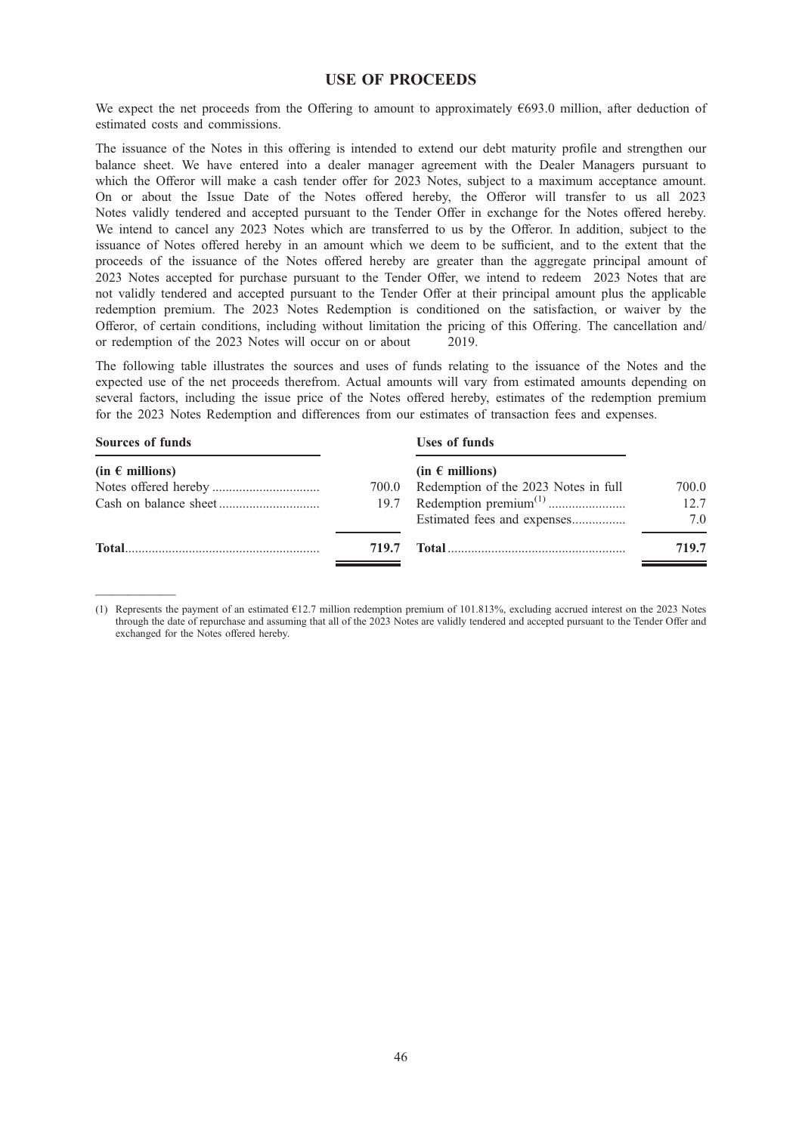# USE OF PROCEEDS

We expect the net proceeds from the Offering to amount to approximately  $6693.0$  million, after deduction of estimated costs and commissions.

The issuance of the Notes in this offering is intended to extend our debt maturity profile and strengthen our balance sheet. We have entered into a dealer manager agreement with the Dealer Managers pursuant to which the Offeror will make a cash tender offer for 2023 Notes, subject to a maximum acceptance amount. On or about the Issue Date of the Notes offered hereby, the Offeror will transfer to us all 2023 Notes validly tendered and accepted pursuant to the Tender Offer in exchange for the Notes offered hereby. We intend to cancel any 2023 Notes which are transferred to us by the Offeror. In addition, subject to the issuance of Notes offered hereby in an amount which we deem to be sufficient, and to the extent that the proceeds of the issuance of the Notes offered hereby are greater than the aggregate principal amount of 2023 Notes accepted for purchase pursuant to the Tender Offer, we intend to redeem 2023 Notes that are not validly tendered and accepted pursuant to the Tender Offer at their principal amount plus the applicable redemption premium. The 2023 Notes Redemption is conditioned on the satisfaction, or waiver by the Offeror, of certain conditions, including without limitation the pricing of this Offering. The cancellation and/ or redemption of the 2023 Notes will occur on or about 2019.

The following table illustrates the sources and uses of funds relating to the issuance of the Notes and the expected use of the net proceeds therefrom. Actual amounts will vary from estimated amounts depending on several factors, including the issue price of the Notes offered hereby, estimates of the redemption premium for the 2023 Notes Redemption and differences from our estimates of transaction fees and expenses.

| Sources of funds    |       | <b>Uses of funds</b>                       |       |
|---------------------|-------|--------------------------------------------|-------|
| $(in \in millions)$ |       | $(in \in millions)$                        |       |
|                     |       | 700.0 Redemption of the 2023 Notes in full | 700.0 |
|                     |       |                                            | 12.7  |
|                     |       | Estimated fees and expenses                | 7.0   |
| <b>Total</b>        | 719.7 | Total                                      | 719.7 |

<sup>(1)</sup> Represents the payment of an estimated €12.7 million redemption premium of 101.813%, excluding accrued interest on the 2023 Notes through the date of repurchase and assuming that all of the 2023 Notes are validly tendered and accepted pursuant to the Tender Offer and exchanged for the Notes offered hereby.

—————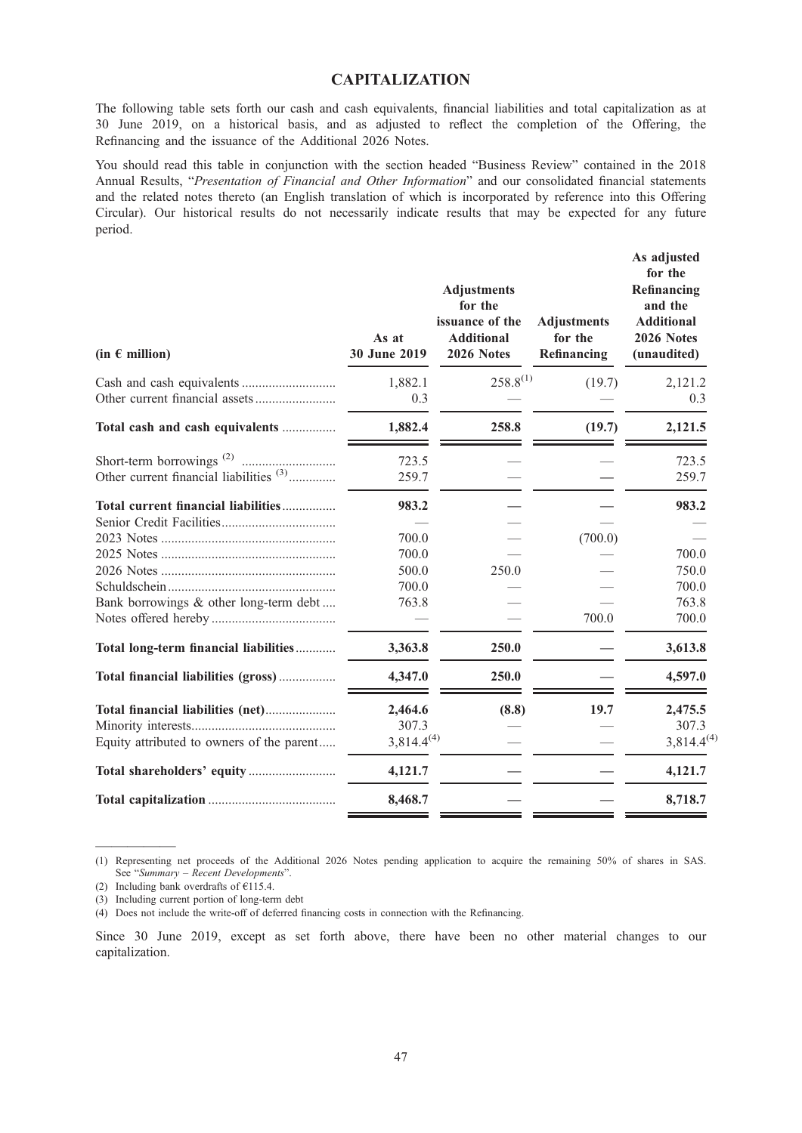# CAPITALIZATION

The following table sets forth our cash and cash equivalents, financial liabilities and total capitalization as at 30 June 2019, on a historical basis, and as adjusted to reflect the completion of the Offering, the Refinancing and the issuance of the Additional 2026 Notes.

You should read this table in conjunction with the section headed "Business Review" contained in the 2018 Annual Results, "Presentation of Financial and Other Information" and our consolidated financial statements and the related notes thereto (an English translation of which is incorporated by reference into this Offering Circular). Our historical results do not necessarily indicate results that may be expected for any future period.

| $(in \in million)$                                 | As at<br>30 June 2019 | <b>Adjustments</b><br>for the<br>issuance of the<br><b>Additional</b><br>2026 Notes | <b>Adjustments</b><br>for the<br>Refinancing | As adjusted<br>for the<br>Refinancing<br>and the<br><b>Additional</b><br>2026 Notes<br>(unaudited) |
|----------------------------------------------------|-----------------------|-------------------------------------------------------------------------------------|----------------------------------------------|----------------------------------------------------------------------------------------------------|
|                                                    | 1,882.1               | $258.8^{(1)}$                                                                       | (19.7)                                       | 2,121.2                                                                                            |
|                                                    | 0.3                   |                                                                                     |                                              | 0.3                                                                                                |
| Total cash and cash equivalents                    | 1,882.4               | 258.8                                                                               | (19.7)                                       | 2,121.5                                                                                            |
|                                                    | 723.5                 |                                                                                     |                                              | 723.5                                                                                              |
| Other current financial liabilities <sup>(3)</sup> | 259.7                 |                                                                                     |                                              | 259.7                                                                                              |
| Total current financial liabilities                | 983.2                 |                                                                                     |                                              | 983.2                                                                                              |
|                                                    |                       |                                                                                     |                                              |                                                                                                    |
|                                                    | 700.0                 |                                                                                     | (700.0)                                      |                                                                                                    |
|                                                    | 700.0                 |                                                                                     |                                              | 700.0                                                                                              |
|                                                    | 500.0                 | 250.0                                                                               |                                              | 750.0                                                                                              |
|                                                    | 700.0                 |                                                                                     |                                              | 700.0                                                                                              |
| Bank borrowings & other long-term debt             | 763.8                 |                                                                                     |                                              | 763.8                                                                                              |
|                                                    |                       |                                                                                     | 700.0                                        | 700.0                                                                                              |
| Total long-term financial liabilities              | 3,363.8               | 250.0                                                                               |                                              | 3,613.8                                                                                            |
| Total financial liabilities (gross)                | 4,347.0               | 250.0                                                                               |                                              | 4,597.0                                                                                            |
| Total financial liabilities (net)                  | 2,464.6               | (8.8)                                                                               | 19.7                                         | 2,475.5                                                                                            |
|                                                    | 307.3                 |                                                                                     |                                              | 307.3                                                                                              |
| Equity attributed to owners of the parent          | $3,814.4^{(4)}$       |                                                                                     |                                              | $3,814.4^{(4)}$                                                                                    |
|                                                    | 4,121.7               |                                                                                     |                                              | 4,121.7                                                                                            |
|                                                    | 8,468.7               |                                                                                     |                                              | 8,718.7                                                                                            |

<sup>(1)</sup> Representing net proceeds of the Additional 2026 Notes pending application to acquire the remaining 50% of shares in SAS. See "Summary – Recent Developments".

(2) Including bank overdrafts of  $£115.4$ .

—————

(3) Including current portion of long-term debt

(4) Does not include the write-off of deferred financing costs in connection with the Refinancing.

Since 30 June 2019, except as set forth above, there have been no other material changes to our capitalization.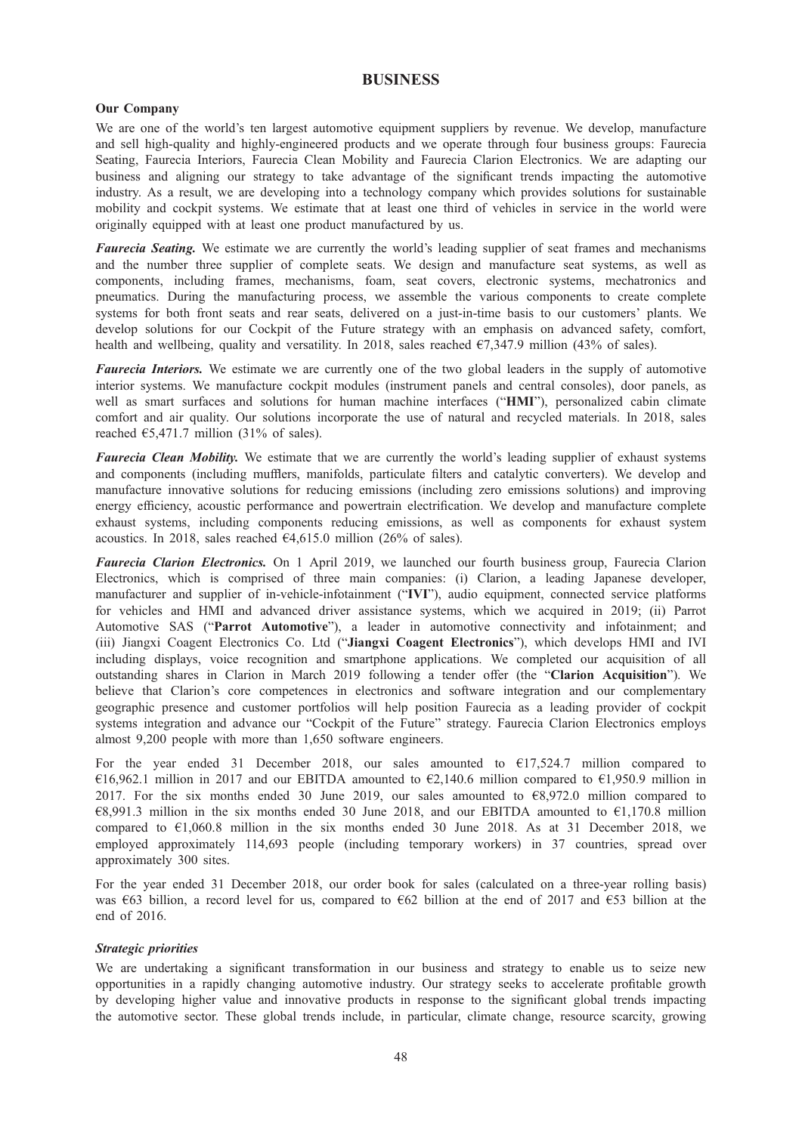# **BUSINESS**

### Our Company

We are one of the world's ten largest automotive equipment suppliers by revenue. We develop, manufacture and sell high-quality and highly-engineered products and we operate through four business groups: Faurecia Seating, Faurecia Interiors, Faurecia Clean Mobility and Faurecia Clarion Electronics. We are adapting our business and aligning our strategy to take advantage of the significant trends impacting the automotive industry. As a result, we are developing into a technology company which provides solutions for sustainable mobility and cockpit systems. We estimate that at least one third of vehicles in service in the world were originally equipped with at least one product manufactured by us.

**Faurecia Seating.** We estimate we are currently the world's leading supplier of seat frames and mechanisms and the number three supplier of complete seats. We design and manufacture seat systems, as well as components, including frames, mechanisms, foam, seat covers, electronic systems, mechatronics and pneumatics. During the manufacturing process, we assemble the various components to create complete systems for both front seats and rear seats, delivered on a just-in-time basis to our customers' plants. We develop solutions for our Cockpit of the Future strategy with an emphasis on advanced safety, comfort, health and wellbeing, quality and versatility. In 2018, sales reached  $\epsilon$ 7,347.9 million (43% of sales).

Faurecia Interiors. We estimate we are currently one of the two global leaders in the supply of automotive interior systems. We manufacture cockpit modules (instrument panels and central consoles), door panels, as well as smart surfaces and solutions for human machine interfaces ("HMI"), personalized cabin climate comfort and air quality. Our solutions incorporate the use of natural and recycled materials. In 2018, sales reached  $65,471.7$  million  $(31\% \text{ of sales})$ .

Faurecia Clean Mobility. We estimate that we are currently the world's leading supplier of exhaust systems and components (including mufflers, manifolds, particulate filters and catalytic converters). We develop and manufacture innovative solutions for reducing emissions (including zero emissions solutions) and improving energy efficiency, acoustic performance and powertrain electrification. We develop and manufacture complete exhaust systems, including components reducing emissions, as well as components for exhaust system acoustics. In 2018, sales reached  $64,615.0$  million (26% of sales).

Faurecia Clarion Electronics. On 1 April 2019, we launched our fourth business group, Faurecia Clarion Electronics, which is comprised of three main companies: (i) Clarion, a leading Japanese developer, manufacturer and supplier of in-vehicle-infotainment ("IVI"), audio equipment, connected service platforms for vehicles and HMI and advanced driver assistance systems, which we acquired in 2019; (ii) Parrot Automotive SAS ("Parrot Automotive"), a leader in automotive connectivity and infotainment; and (iii) Jiangxi Coagent Electronics Co. Ltd ("Jiangxi Coagent Electronics"), which develops HMI and IVI including displays, voice recognition and smartphone applications. We completed our acquisition of all outstanding shares in Clarion in March 2019 following a tender offer (the "Clarion Acquisition"). We believe that Clarion's core competences in electronics and software integration and our complementary geographic presence and customer portfolios will help position Faurecia as a leading provider of cockpit systems integration and advance our "Cockpit of the Future" strategy. Faurecia Clarion Electronics employs almost 9,200 people with more than 1,650 software engineers.

For the year ended 31 December 2018, our sales amounted to  $£17,524.7$  million compared to €16,962.1 million in 2017 and our EBITDA amounted to  $€2,140.6$  million compared to  $€1,950.9$  million in 2017. For the six months ended 30 June 2019, our sales amounted to  $\epsilon$ 8,972.0 million compared to  $€8,991.3$  million in the six months ended 30 June 2018, and our EBITDA amounted to  $€1,170.8$  million compared to €1,060.8 million in the six months ended 30 June 2018. As at 31 December 2018, we employed approximately 114,693 people (including temporary workers) in 37 countries, spread over approximately 300 sites.

For the year ended 31 December 2018, our order book for sales (calculated on a three-year rolling basis) was €63 billion, a record level for us, compared to €62 billion at the end of 2017 and €53 billion at the end of 2016.

### Strategic priorities

We are undertaking a significant transformation in our business and strategy to enable us to seize new opportunities in a rapidly changing automotive industry. Our strategy seeks to accelerate profitable growth by developing higher value and innovative products in response to the significant global trends impacting the automotive sector. These global trends include, in particular, climate change, resource scarcity, growing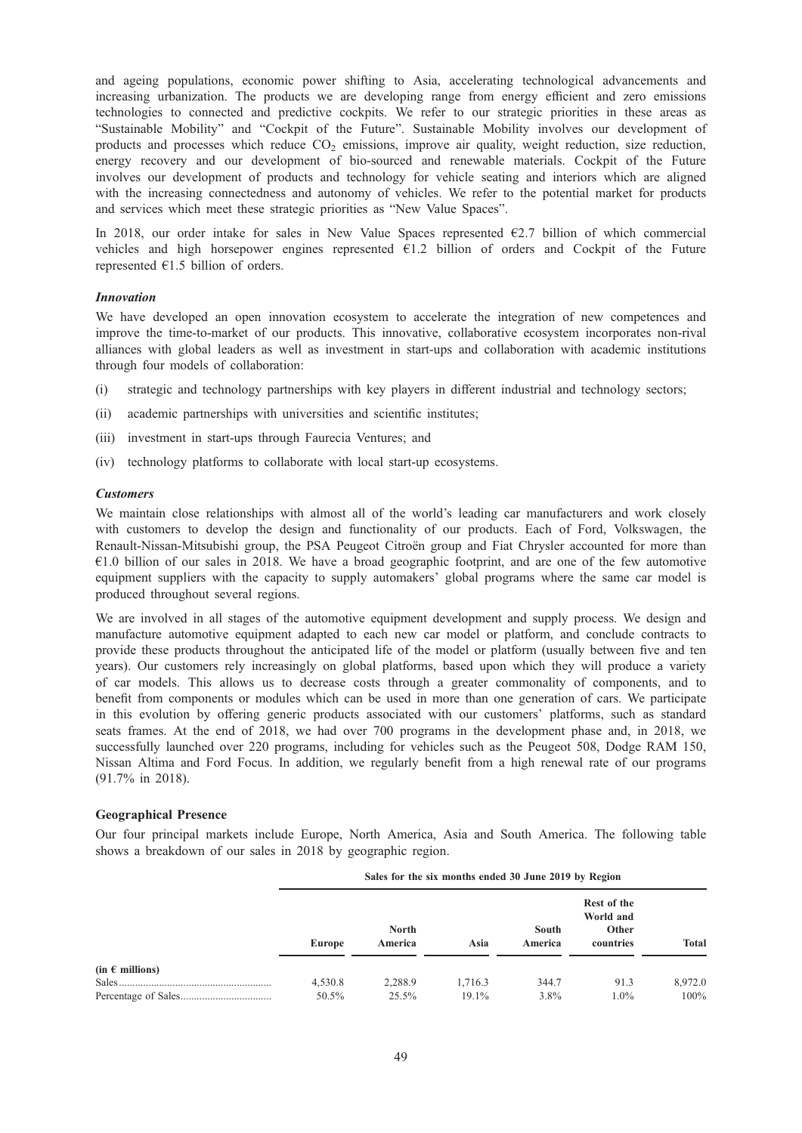and ageing populations, economic power shifting to Asia, accelerating technological advancements and increasing urbanization. The products we are developing range from energy efficient and zero emissions technologies to connected and predictive cockpits. We refer to our strategic priorities in these areas as "Sustainable Mobility" and "Cockpit of the Future". Sustainable Mobility involves our development of products and processes which reduce  $CO<sub>2</sub>$  emissions, improve air quality, weight reduction, size reduction, energy recovery and our development of bio-sourced and renewable materials. Cockpit of the Future involves our development of products and technology for vehicle seating and interiors which are aligned with the increasing connectedness and autonomy of vehicles. We refer to the potential market for products and services which meet these strategic priorities as "New Value Spaces".

In 2018, our order intake for sales in New Value Spaces represented  $\epsilon$ 2.7 billion of which commercial vehicles and high horsepower engines represented  $E1.2$  billion of orders and Cockpit of the Future represented  $E1.5$  billion of orders.

### Innovation

We have developed an open innovation ecosystem to accelerate the integration of new competences and improve the time-to-market of our products. This innovative, collaborative ecosystem incorporates non-rival alliances with global leaders as well as investment in start-ups and collaboration with academic institutions through four models of collaboration:

- (i) strategic and technology partnerships with key players in different industrial and technology sectors;
- (ii) academic partnerships with universities and scientific institutes;
- (iii) investment in start-ups through Faurecia Ventures; and
- (iv) technology platforms to collaborate with local start-up ecosystems.

### **Customers**

We maintain close relationships with almost all of the world's leading car manufacturers and work closely with customers to develop the design and functionality of our products. Each of Ford, Volkswagen, the Renault-Nissan-Mitsubishi group, the PSA Peugeot Citroën group and Fiat Chrysler accounted for more than  $€1.0$  billion of our sales in 2018. We have a broad geographic footprint, and are one of the few automotive equipment suppliers with the capacity to supply automakers' global programs where the same car model is produced throughout several regions.

We are involved in all stages of the automotive equipment development and supply process. We design and manufacture automotive equipment adapted to each new car model or platform, and conclude contracts to provide these products throughout the anticipated life of the model or platform (usually between five and ten years). Our customers rely increasingly on global platforms, based upon which they will produce a variety of car models. This allows us to decrease costs through a greater commonality of components, and to benefit from components or modules which can be used in more than one generation of cars. We participate in this evolution by offering generic products associated with our customers' platforms, such as standard seats frames. At the end of 2018, we had over 700 programs in the development phase and, in 2018, we successfully launched over 220 programs, including for vehicles such as the Peugeot 508, Dodge RAM 150, Nissan Altima and Ford Focus. In addition, we regularly benefit from a high renewal rate of our programs (91.7% in 2018).

#### Geographical Presence

Our four principal markets include Europe, North America, Asia and South America. The following table shows a breakdown of our sales in 2018 by geographic region.

#### Sales for the six months ended 30 June 2019 by Region

|                          | Europe  | <b>North</b><br>America | Asia     | South<br>America | Rest of the<br>World and<br>Other<br>countries | <b>Total</b> |
|--------------------------|---------|-------------------------|----------|------------------|------------------------------------------------|--------------|
| (in $\epsilon$ millions) |         |                         |          |                  |                                                |              |
|                          | 4,530.8 | 2,288.9                 | 1,716.3  | 344.7            | 91.3                                           | 8,972.0      |
|                          | 50.5%   | 25.5%                   | $19.1\%$ | $3.8\%$          | $1.0\%$                                        | $100\%$      |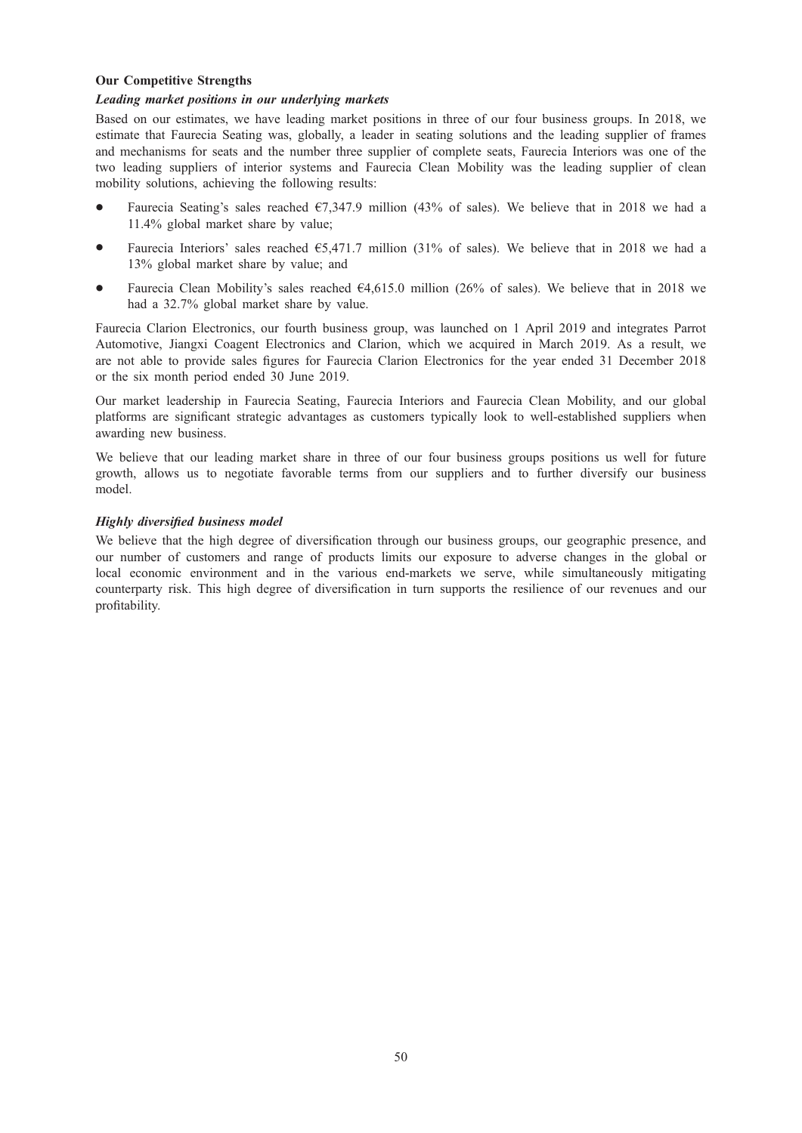### Our Competitive Strengths

## Leading market positions in our underlying markets

Based on our estimates, we have leading market positions in three of our four business groups. In 2018, we estimate that Faurecia Seating was, globally, a leader in seating solutions and the leading supplier of frames and mechanisms for seats and the number three supplier of complete seats, Faurecia Interiors was one of the two leading suppliers of interior systems and Faurecia Clean Mobility was the leading supplier of clean mobility solutions, achieving the following results:

- Faurecia Seating's sales reached  $\epsilon$ 7,347.9 million (43% of sales). We believe that in 2018 we had a 11.4% global market share by value;
- Faurecia Interiors' sales reached  $65,471.7$  million (31% of sales). We believe that in 2018 we had a 13% global market share by value; and
- \* Faurecia Clean Mobility's sales reached €4,615.0 million (26% of sales). We believe that in 2018 we had a 32.7% global market share by value.

Faurecia Clarion Electronics, our fourth business group, was launched on 1 April 2019 and integrates Parrot Automotive, Jiangxi Coagent Electronics and Clarion, which we acquired in March 2019. As a result, we are not able to provide sales figures for Faurecia Clarion Electronics for the year ended 31 December 2018 or the six month period ended 30 June 2019.

Our market leadership in Faurecia Seating, Faurecia Interiors and Faurecia Clean Mobility, and our global platforms are significant strategic advantages as customers typically look to well-established suppliers when awarding new business.

We believe that our leading market share in three of our four business groups positions us well for future growth, allows us to negotiate favorable terms from our suppliers and to further diversify our business model.

# Highly diversified business model

We believe that the high degree of diversification through our business groups, our geographic presence, and our number of customers and range of products limits our exposure to adverse changes in the global or local economic environment and in the various end-markets we serve, while simultaneously mitigating counterparty risk. This high degree of diversification in turn supports the resilience of our revenues and our profitability.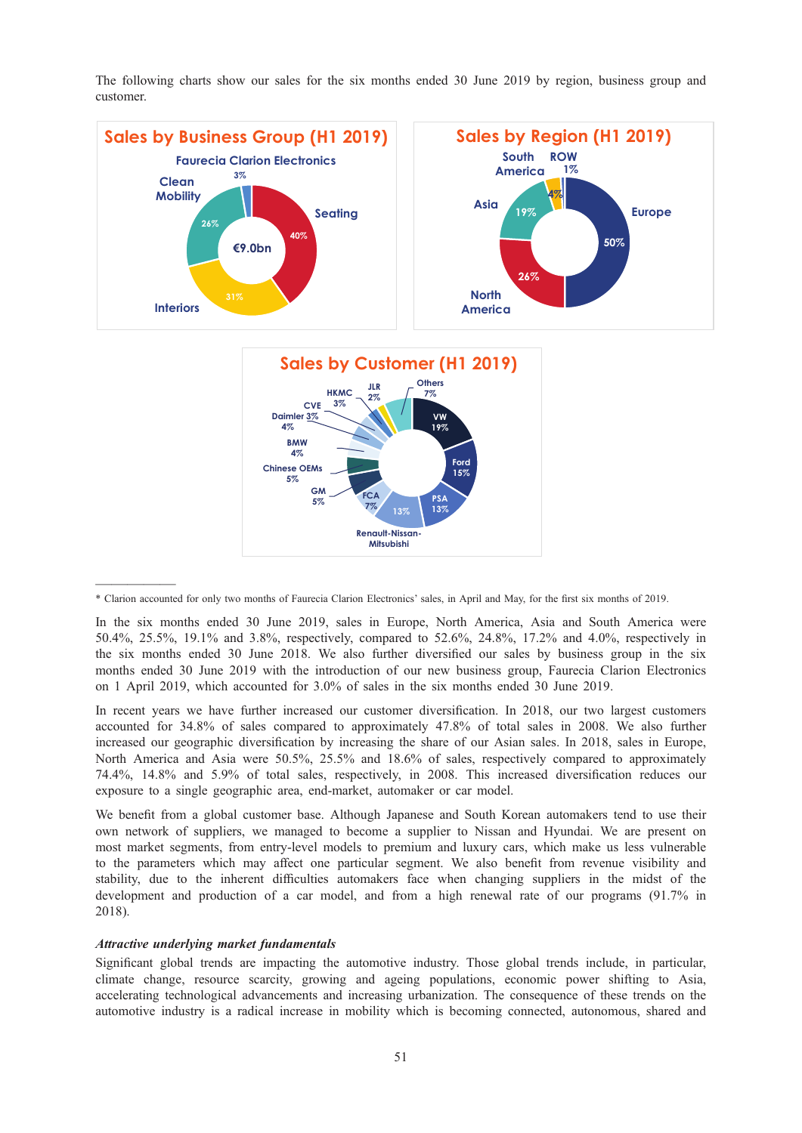The following charts show our sales for the six months ended 30 June 2019 by region, business group and customer.



<sup>\*</sup> Clarion accounted for only two months of Faurecia Clarion Electronics' sales, in April and May, for the first six months of 2019.

In the six months ended 30 June 2019, sales in Europe, North America, Asia and South America were 50.4%, 25.5%, 19.1% and 3.8%, respectively, compared to 52.6%, 24.8%, 17.2% and 4.0%, respectively in the six months ended 30 June 2018. We also further diversified our sales by business group in the six months ended 30 June 2019 with the introduction of our new business group, Faurecia Clarion Electronics on 1 April 2019, which accounted for 3.0% of sales in the six months ended 30 June 2019.

In recent years we have further increased our customer diversification. In 2018, our two largest customers accounted for 34.8% of sales compared to approximately 47.8% of total sales in 2008. We also further increased our geographic diversification by increasing the share of our Asian sales. In 2018, sales in Europe, North America and Asia were 50.5%, 25.5% and 18.6% of sales, respectively compared to approximately 74.4%, 14.8% and 5.9% of total sales, respectively, in 2008. This increased diversification reduces our exposure to a single geographic area, end-market, automaker or car model.

We benefit from a global customer base. Although Japanese and South Korean automakers tend to use their own network of suppliers, we managed to become a supplier to Nissan and Hyundai. We are present on most market segments, from entry-level models to premium and luxury cars, which make us less vulnerable to the parameters which may affect one particular segment. We also benefit from revenue visibility and stability, due to the inherent difficulties automakers face when changing suppliers in the midst of the development and production of a car model, and from a high renewal rate of our programs (91.7% in 2018).

#### Attractive underlying market fundamentals

—————

Significant global trends are impacting the automotive industry. Those global trends include, in particular, climate change, resource scarcity, growing and ageing populations, economic power shifting to Asia, accelerating technological advancements and increasing urbanization. The consequence of these trends on the automotive industry is a radical increase in mobility which is becoming connected, autonomous, shared and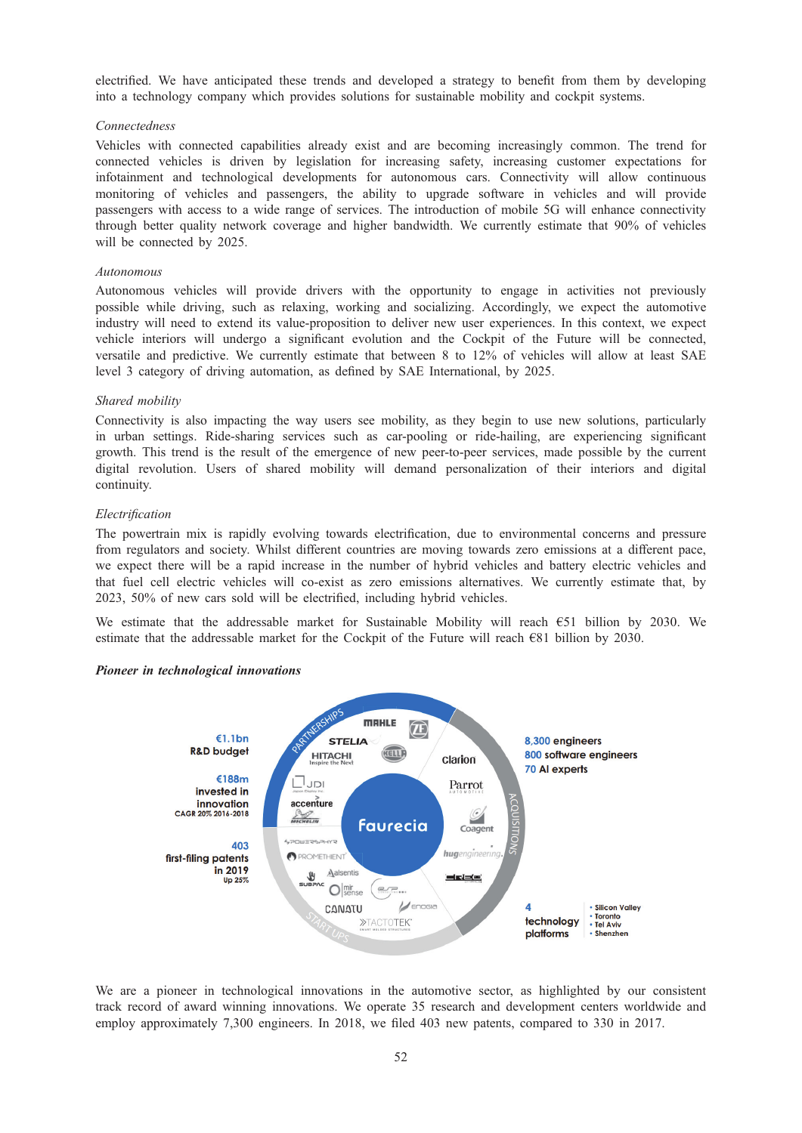electrified. We have anticipated these trends and developed a strategy to benefit from them by developing into a technology company which provides solutions for sustainable mobility and cockpit systems.

# Connectedness

Vehicles with connected capabilities already exist and are becoming increasingly common. The trend for connected vehicles is driven by legislation for increasing safety, increasing customer expectations for infotainment and technological developments for autonomous cars. Connectivity will allow continuous monitoring of vehicles and passengers, the ability to upgrade software in vehicles and will provide passengers with access to a wide range of services. The introduction of mobile 5G will enhance connectivity through better quality network coverage and higher bandwidth. We currently estimate that 90% of vehicles will be connected by 2025.

#### Autonomous

Autonomous vehicles will provide drivers with the opportunity to engage in activities not previously possible while driving, such as relaxing, working and socializing. Accordingly, we expect the automotive industry will need to extend its value-proposition to deliver new user experiences. In this context, we expect vehicle interiors will undergo a significant evolution and the Cockpit of the Future will be connected, versatile and predictive. We currently estimate that between 8 to 12% of vehicles will allow at least SAE level 3 category of driving automation, as defined by SAE International, by 2025.

### Shared mobility

Connectivity is also impacting the way users see mobility, as they begin to use new solutions, particularly in urban settings. Ride-sharing services such as car-pooling or ride-hailing, are experiencing significant growth. This trend is the result of the emergence of new peer-to-peer services, made possible by the current digital revolution. Users of shared mobility will demand personalization of their interiors and digital continuity.

### Electrification

The powertrain mix is rapidly evolving towards electrification, due to environmental concerns and pressure from regulators and society. Whilst different countries are moving towards zero emissions at a different pace, we expect there will be a rapid increase in the number of hybrid vehicles and battery electric vehicles and that fuel cell electric vehicles will co-exist as zero emissions alternatives. We currently estimate that, by 2023, 50% of new cars sold will be electrified, including hybrid vehicles.

We estimate that the addressable market for Sustainable Mobility will reach €51 billion by 2030. We estimate that the addressable market for the Cockpit of the Future will reach  $\epsilon$ 81 billion by 2030.

#### Pioneer in technological innovations



We are a pioneer in technological innovations in the automotive sector, as highlighted by our consistent track record of award winning innovations. We operate 35 research and development centers worldwide and employ approximately 7,300 engineers. In 2018, we filed 403 new patents, compared to 330 in 2017.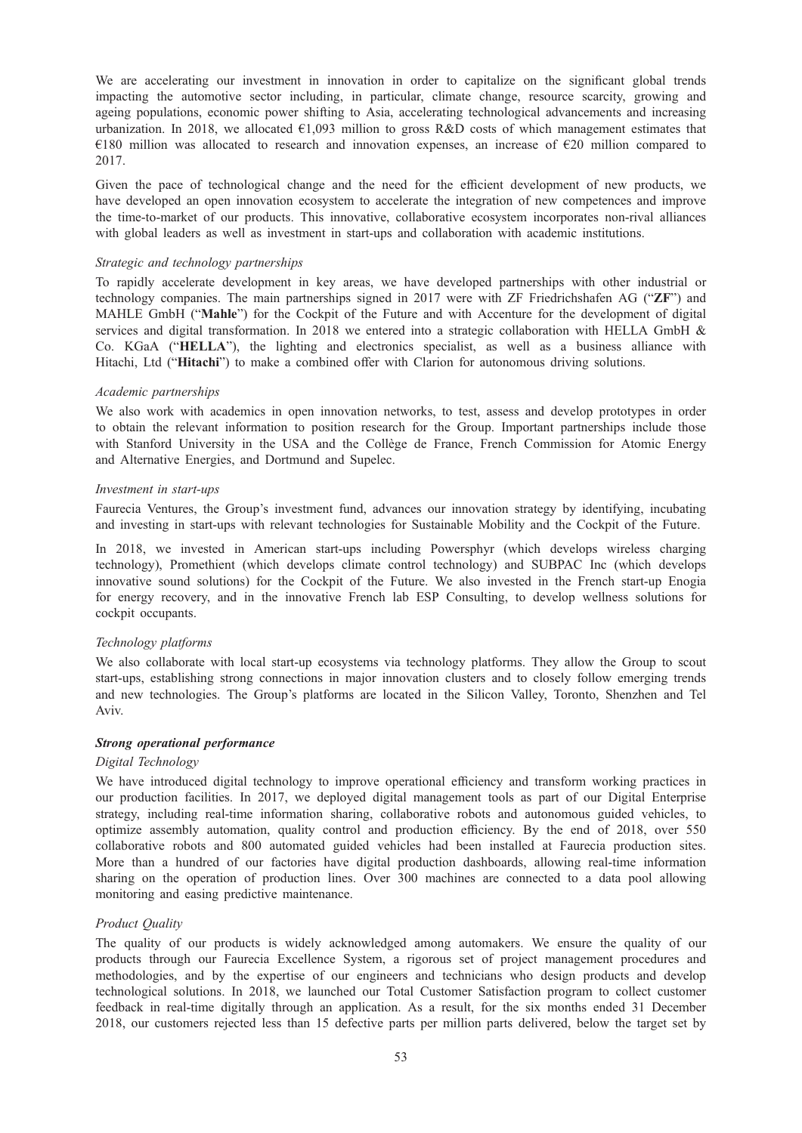We are accelerating our investment in innovation in order to capitalize on the significant global trends impacting the automotive sector including, in particular, climate change, resource scarcity, growing and ageing populations, economic power shifting to Asia, accelerating technological advancements and increasing urbanization. In 2018, we allocated  $\epsilon$ 1,093 million to gross R&D costs of which management estimates that €180 million was allocated to research and innovation expenses, an increase of €20 million compared to 2017.

Given the pace of technological change and the need for the efficient development of new products, we have developed an open innovation ecosystem to accelerate the integration of new competences and improve the time-to-market of our products. This innovative, collaborative ecosystem incorporates non-rival alliances with global leaders as well as investment in start-ups and collaboration with academic institutions.

#### Strategic and technology partnerships

To rapidly accelerate development in key areas, we have developed partnerships with other industrial or technology companies. The main partnerships signed in 2017 were with ZF Friedrichshafen AG ("ZF") and MAHLE GmbH ("Mahle") for the Cockpit of the Future and with Accenture for the development of digital services and digital transformation. In 2018 we entered into a strategic collaboration with HELLA GmbH & Co. KGaA ("HELLA"), the lighting and electronics specialist, as well as a business alliance with Hitachi, Ltd ("Hitachi") to make a combined offer with Clarion for autonomous driving solutions.

#### Academic partnerships

We also work with academics in open innovation networks, to test, assess and develop prototypes in order to obtain the relevant information to position research for the Group. Important partnerships include those with Stanford University in the USA and the Collège de France, French Commission for Atomic Energy and Alternative Energies, and Dortmund and Supelec.

#### Investment in start-ups

Faurecia Ventures, the Group's investment fund, advances our innovation strategy by identifying, incubating and investing in start-ups with relevant technologies for Sustainable Mobility and the Cockpit of the Future.

In 2018, we invested in American start-ups including Powersphyr (which develops wireless charging technology), Promethient (which develops climate control technology) and SUBPAC Inc (which develops innovative sound solutions) for the Cockpit of the Future. We also invested in the French start-up Enogia for energy recovery, and in the innovative French lab ESP Consulting, to develop wellness solutions for cockpit occupants.

#### Technology platforms

We also collaborate with local start-up ecosystems via technology platforms. They allow the Group to scout start-ups, establishing strong connections in major innovation clusters and to closely follow emerging trends and new technologies. The Group's platforms are located in the Silicon Valley, Toronto, Shenzhen and Tel Aviv.

#### Strong operational performance

#### Digital Technology

We have introduced digital technology to improve operational efficiency and transform working practices in our production facilities. In 2017, we deployed digital management tools as part of our Digital Enterprise strategy, including real-time information sharing, collaborative robots and autonomous guided vehicles, to optimize assembly automation, quality control and production efficiency. By the end of 2018, over 550 collaborative robots and 800 automated guided vehicles had been installed at Faurecia production sites. More than a hundred of our factories have digital production dashboards, allowing real-time information sharing on the operation of production lines. Over 300 machines are connected to a data pool allowing monitoring and easing predictive maintenance.

#### Product Quality

The quality of our products is widely acknowledged among automakers. We ensure the quality of our products through our Faurecia Excellence System, a rigorous set of project management procedures and methodologies, and by the expertise of our engineers and technicians who design products and develop technological solutions. In 2018, we launched our Total Customer Satisfaction program to collect customer feedback in real-time digitally through an application. As a result, for the six months ended 31 December 2018, our customers rejected less than 15 defective parts per million parts delivered, below the target set by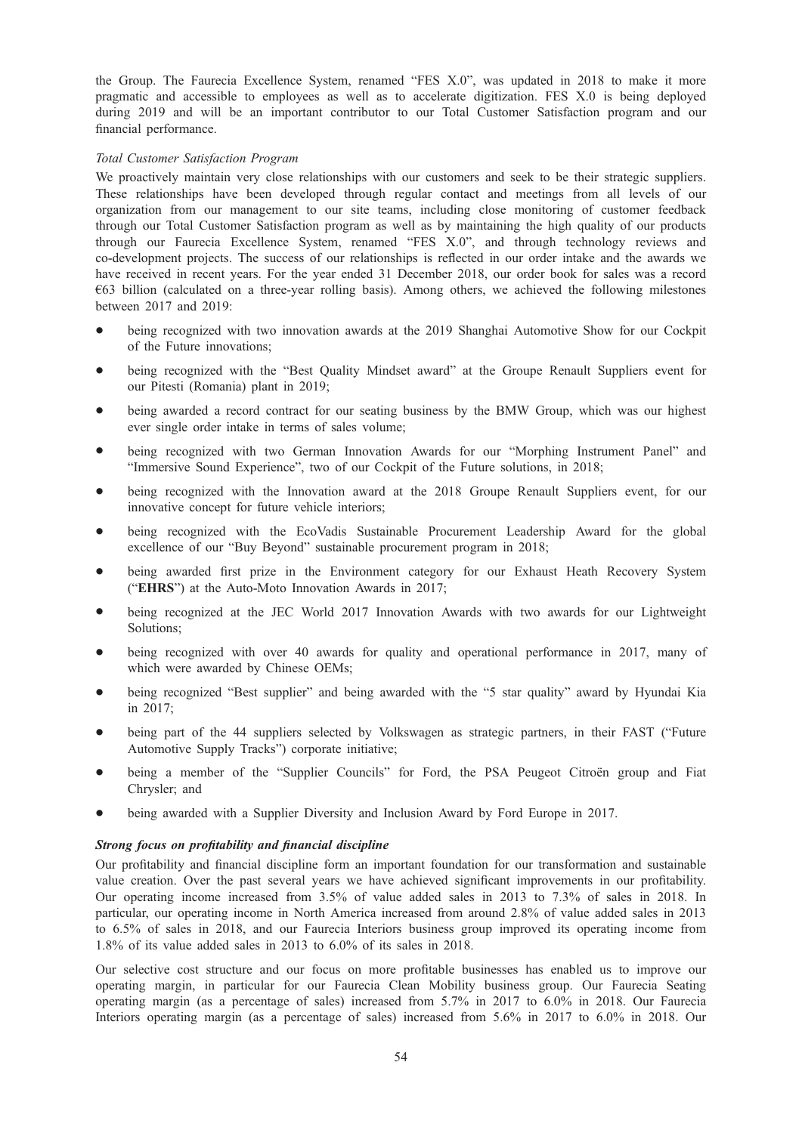the Group. The Faurecia Excellence System, renamed "FES X.0", was updated in 2018 to make it more pragmatic and accessible to employees as well as to accelerate digitization. FES X.0 is being deployed during 2019 and will be an important contributor to our Total Customer Satisfaction program and our financial performance.

### Total Customer Satisfaction Program

We proactively maintain very close relationships with our customers and seek to be their strategic suppliers. These relationships have been developed through regular contact and meetings from all levels of our organization from our management to our site teams, including close monitoring of customer feedback through our Total Customer Satisfaction program as well as by maintaining the high quality of our products through our Faurecia Excellence System, renamed "FES X.0", and through technology reviews and co-development projects. The success of our relationships is reflected in our order intake and the awards we have received in recent years. For the year ended 31 December 2018, our order book for sales was a record €63 billion (calculated on a three-year rolling basis). Among others, we achieved the following milestones between 2017 and 2019:

- \* being recognized with two innovation awards at the 2019 Shanghai Automotive Show for our Cockpit of the Future innovations;
- being recognized with the "Best Quality Mindset award" at the Groupe Renault Suppliers event for our Pitesti (Romania) plant in 2019;
- being awarded a record contract for our seating business by the BMW Group, which was our highest ever single order intake in terms of sales volume;
- \* being recognized with two German Innovation Awards for our "Morphing Instrument Panel" and "Immersive Sound Experience", two of our Cockpit of the Future solutions, in 2018;
- being recognized with the Innovation award at the 2018 Groupe Renault Suppliers event, for our innovative concept for future vehicle interiors;
- being recognized with the EcoVadis Sustainable Procurement Leadership Award for the global excellence of our "Buy Beyond" sustainable procurement program in 2018;
- \* being awarded first prize in the Environment category for our Exhaust Heath Recovery System ("EHRS") at the Auto-Moto Innovation Awards in 2017;
- being recognized at the JEC World 2017 Innovation Awards with two awards for our Lightweight Solutions;
- being recognized with over 40 awards for quality and operational performance in 2017, many of which were awarded by Chinese OEMs;
- being recognized "Best supplier" and being awarded with the "5 star quality" award by Hyundai Kia in 2017;
- being part of the 44 suppliers selected by Volkswagen as strategic partners, in their FAST ("Future Automotive Supply Tracks") corporate initiative;
- being a member of the "Supplier Councils" for Ford, the PSA Peugeot Citroën group and Fiat Chrysler; and
- being awarded with a Supplier Diversity and Inclusion Award by Ford Europe in 2017.

### Strong focus on profitability and financial discipline

Our profitability and financial discipline form an important foundation for our transformation and sustainable value creation. Over the past several years we have achieved significant improvements in our profitability. Our operating income increased from 3.5% of value added sales in 2013 to 7.3% of sales in 2018. In particular, our operating income in North America increased from around 2.8% of value added sales in 2013 to 6.5% of sales in 2018, and our Faurecia Interiors business group improved its operating income from 1.8% of its value added sales in 2013 to 6.0% of its sales in 2018.

Our selective cost structure and our focus on more profitable businesses has enabled us to improve our operating margin, in particular for our Faurecia Clean Mobility business group. Our Faurecia Seating operating margin (as a percentage of sales) increased from 5.7% in 2017 to 6.0% in 2018. Our Faurecia Interiors operating margin (as a percentage of sales) increased from 5.6% in 2017 to 6.0% in 2018. Our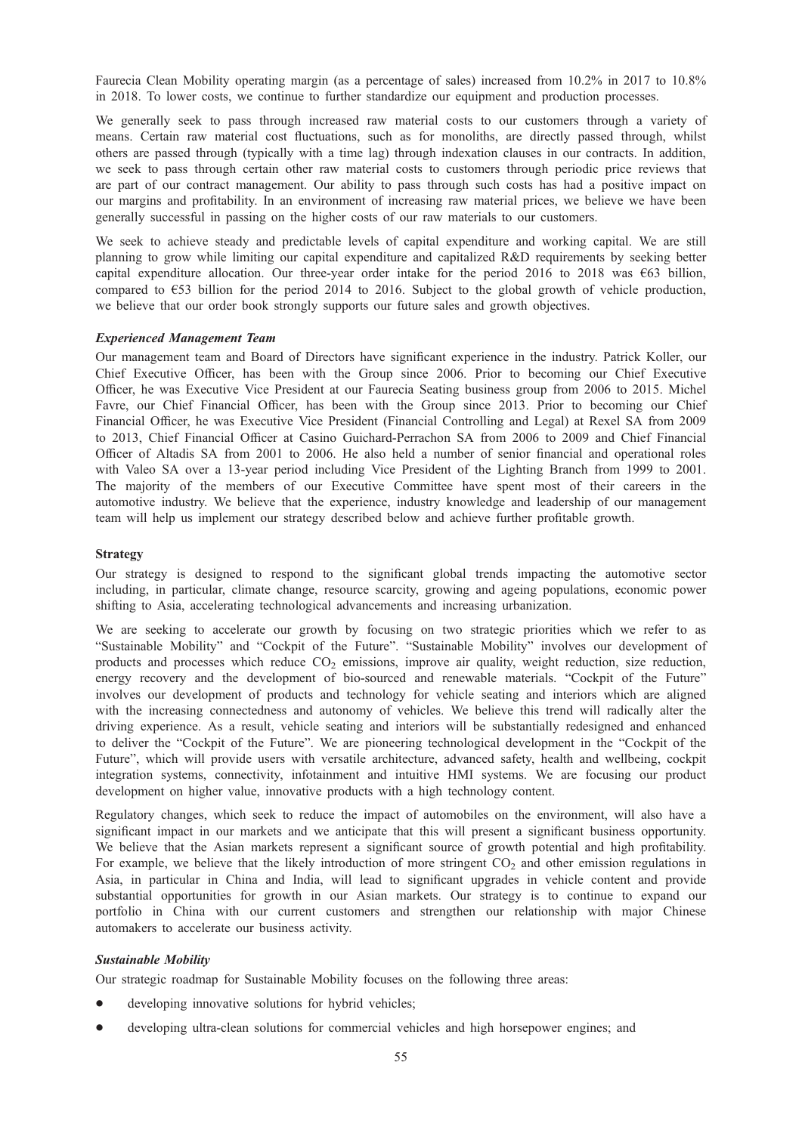Faurecia Clean Mobility operating margin (as a percentage of sales) increased from 10.2% in 2017 to 10.8% in 2018. To lower costs, we continue to further standardize our equipment and production processes.

We generally seek to pass through increased raw material costs to our customers through a variety of means. Certain raw material cost fluctuations, such as for monoliths, are directly passed through, whilst others are passed through (typically with a time lag) through indexation clauses in our contracts. In addition, we seek to pass through certain other raw material costs to customers through periodic price reviews that are part of our contract management. Our ability to pass through such costs has had a positive impact on our margins and profitability. In an environment of increasing raw material prices, we believe we have been generally successful in passing on the higher costs of our raw materials to our customers.

We seek to achieve steady and predictable levels of capital expenditure and working capital. We are still planning to grow while limiting our capital expenditure and capitalized R&D requirements by seeking better capital expenditure allocation. Our three-year order intake for the period 2016 to 2018 was €63 billion, compared to  $\epsilon$ 53 billion for the period 2014 to 2016. Subject to the global growth of vehicle production, we believe that our order book strongly supports our future sales and growth objectives.

#### Experienced Management Team

Our management team and Board of Directors have significant experience in the industry. Patrick Koller, our Chief Executive Officer, has been with the Group since 2006. Prior to becoming our Chief Executive Officer, he was Executive Vice President at our Faurecia Seating business group from 2006 to 2015. Michel Favre, our Chief Financial Officer, has been with the Group since 2013. Prior to becoming our Chief Financial Officer, he was Executive Vice President (Financial Controlling and Legal) at Rexel SA from 2009 to 2013, Chief Financial Officer at Casino Guichard-Perrachon SA from 2006 to 2009 and Chief Financial Officer of Altadis SA from 2001 to 2006. He also held a number of senior financial and operational roles with Valeo SA over a 13-year period including Vice President of the Lighting Branch from 1999 to 2001. The majority of the members of our Executive Committee have spent most of their careers in the automotive industry. We believe that the experience, industry knowledge and leadership of our management team will help us implement our strategy described below and achieve further profitable growth.

#### Strategy

Our strategy is designed to respond to the significant global trends impacting the automotive sector including, in particular, climate change, resource scarcity, growing and ageing populations, economic power shifting to Asia, accelerating technological advancements and increasing urbanization.

We are seeking to accelerate our growth by focusing on two strategic priorities which we refer to as "Sustainable Mobility" and "Cockpit of the Future". "Sustainable Mobility" involves our development of products and processes which reduce  $CO<sub>2</sub>$  emissions, improve air quality, weight reduction, size reduction, energy recovery and the development of bio-sourced and renewable materials. "Cockpit of the Future" involves our development of products and technology for vehicle seating and interiors which are aligned with the increasing connectedness and autonomy of vehicles. We believe this trend will radically alter the driving experience. As a result, vehicle seating and interiors will be substantially redesigned and enhanced to deliver the "Cockpit of the Future". We are pioneering technological development in the "Cockpit of the Future", which will provide users with versatile architecture, advanced safety, health and wellbeing, cockpit integration systems, connectivity, infotainment and intuitive HMI systems. We are focusing our product development on higher value, innovative products with a high technology content.

Regulatory changes, which seek to reduce the impact of automobiles on the environment, will also have a significant impact in our markets and we anticipate that this will present a significant business opportunity. We believe that the Asian markets represent a significant source of growth potential and high profitability. For example, we believe that the likely introduction of more stringent CO<sub>2</sub> and other emission regulations in Asia, in particular in China and India, will lead to significant upgrades in vehicle content and provide substantial opportunities for growth in our Asian markets. Our strategy is to continue to expand our portfolio in China with our current customers and strengthen our relationship with major Chinese automakers to accelerate our business activity.

#### Sustainable Mobility

Our strategic roadmap for Sustainable Mobility focuses on the following three areas:

- developing innovative solutions for hybrid vehicles;
- developing ultra-clean solutions for commercial vehicles and high horsepower engines; and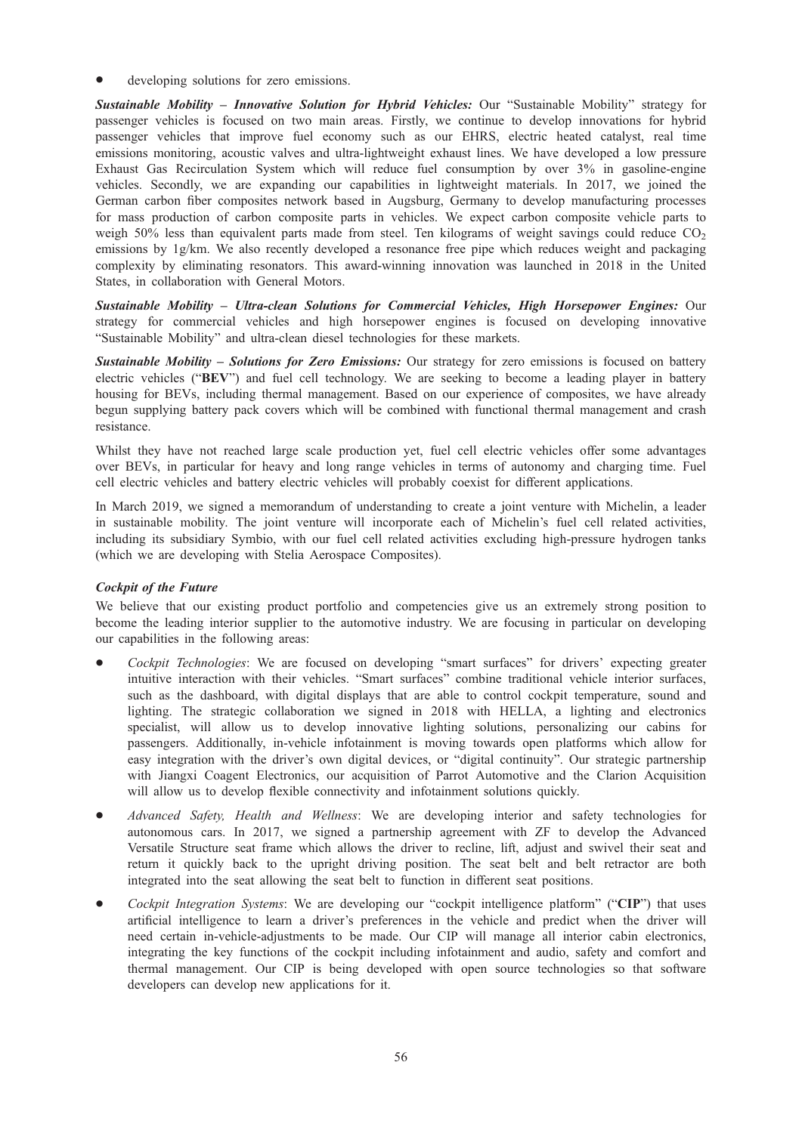developing solutions for zero emissions.

Sustainable Mobility - Innovative Solution for Hybrid Vehicles: Our "Sustainable Mobility" strategy for passenger vehicles is focused on two main areas. Firstly, we continue to develop innovations for hybrid passenger vehicles that improve fuel economy such as our EHRS, electric heated catalyst, real time emissions monitoring, acoustic valves and ultra-lightweight exhaust lines. We have developed a low pressure Exhaust Gas Recirculation System which will reduce fuel consumption by over 3% in gasoline-engine vehicles. Secondly, we are expanding our capabilities in lightweight materials. In 2017, we joined the German carbon fiber composites network based in Augsburg, Germany to develop manufacturing processes for mass production of carbon composite parts in vehicles. We expect carbon composite vehicle parts to weigh 50% less than equivalent parts made from steel. Ten kilograms of weight savings could reduce  $CO<sub>2</sub>$ emissions by 1g/km. We also recently developed a resonance free pipe which reduces weight and packaging complexity by eliminating resonators. This award-winning innovation was launched in 2018 in the United States, in collaboration with General Motors.

Sustainable Mobility – Ultra-clean Solutions for Commercial Vehicles, High Horsepower Engines: Our strategy for commercial vehicles and high horsepower engines is focused on developing innovative "Sustainable Mobility" and ultra-clean diesel technologies for these markets.

Sustainable Mobility – Solutions for Zero Emissions: Our strategy for zero emissions is focused on battery electric vehicles ("BEV") and fuel cell technology. We are seeking to become a leading player in battery housing for BEVs, including thermal management. Based on our experience of composites, we have already begun supplying battery pack covers which will be combined with functional thermal management and crash resistance.

Whilst they have not reached large scale production yet, fuel cell electric vehicles offer some advantages over BEVs, in particular for heavy and long range vehicles in terms of autonomy and charging time. Fuel cell electric vehicles and battery electric vehicles will probably coexist for different applications.

In March 2019, we signed a memorandum of understanding to create a joint venture with Michelin, a leader in sustainable mobility. The joint venture will incorporate each of Michelin's fuel cell related activities, including its subsidiary Symbio, with our fuel cell related activities excluding high-pressure hydrogen tanks (which we are developing with Stelia Aerospace Composites).

# Cockpit of the Future

We believe that our existing product portfolio and competencies give us an extremely strong position to become the leading interior supplier to the automotive industry. We are focusing in particular on developing our capabilities in the following areas:

- Cockpit Technologies: We are focused on developing "smart surfaces" for drivers' expecting greater intuitive interaction with their vehicles. "Smart surfaces" combine traditional vehicle interior surfaces, such as the dashboard, with digital displays that are able to control cockpit temperature, sound and lighting. The strategic collaboration we signed in 2018 with HELLA, a lighting and electronics specialist, will allow us to develop innovative lighting solutions, personalizing our cabins for passengers. Additionally, in-vehicle infotainment is moving towards open platforms which allow for easy integration with the driver's own digital devices, or "digital continuity". Our strategic partnership with Jiangxi Coagent Electronics, our acquisition of Parrot Automotive and the Clarion Acquisition will allow us to develop flexible connectivity and infotainment solutions quickly.
- Advanced Safety, Health and Wellness: We are developing interior and safety technologies for autonomous cars. In 2017, we signed a partnership agreement with ZF to develop the Advanced Versatile Structure seat frame which allows the driver to recline, lift, adjust and swivel their seat and return it quickly back to the upright driving position. The seat belt and belt retractor are both integrated into the seat allowing the seat belt to function in different seat positions.
- Cockpit Integration Systems: We are developing our "cockpit intelligence platform" ("CIP") that uses artificial intelligence to learn a driver's preferences in the vehicle and predict when the driver will need certain in-vehicle-adjustments to be made. Our CIP will manage all interior cabin electronics, integrating the key functions of the cockpit including infotainment and audio, safety and comfort and thermal management. Our CIP is being developed with open source technologies so that software developers can develop new applications for it.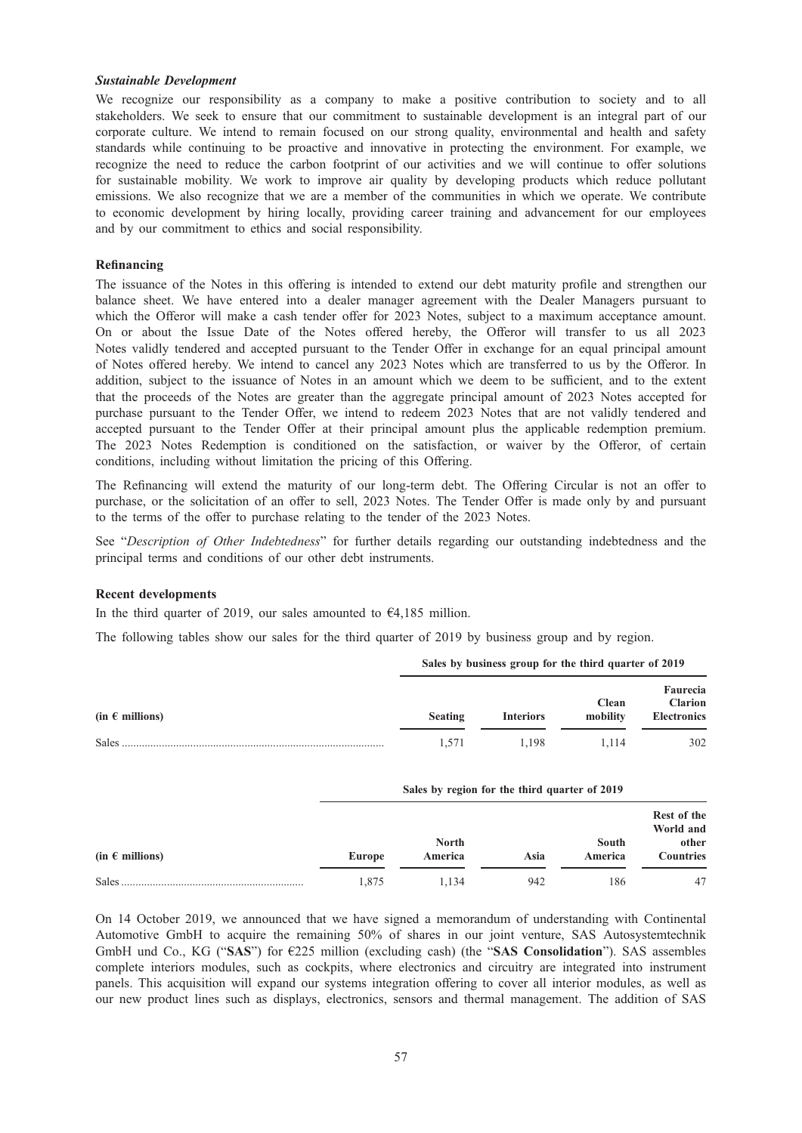#### Sustainable Development

We recognize our responsibility as a company to make a positive contribution to society and to all stakeholders. We seek to ensure that our commitment to sustainable development is an integral part of our corporate culture. We intend to remain focused on our strong quality, environmental and health and safety standards while continuing to be proactive and innovative in protecting the environment. For example, we recognize the need to reduce the carbon footprint of our activities and we will continue to offer solutions for sustainable mobility. We work to improve air quality by developing products which reduce pollutant emissions. We also recognize that we are a member of the communities in which we operate. We contribute to economic development by hiring locally, providing career training and advancement for our employees and by our commitment to ethics and social responsibility.

#### Refinancing

The issuance of the Notes in this offering is intended to extend our debt maturity profile and strengthen our balance sheet. We have entered into a dealer manager agreement with the Dealer Managers pursuant to which the Offeror will make a cash tender offer for 2023 Notes, subject to a maximum acceptance amount. On or about the Issue Date of the Notes offered hereby, the Offeror will transfer to us all 2023 Notes validly tendered and accepted pursuant to the Tender Offer in exchange for an equal principal amount of Notes offered hereby. We intend to cancel any 2023 Notes which are transferred to us by the Offeror. In addition, subject to the issuance of Notes in an amount which we deem to be sufficient, and to the extent that the proceeds of the Notes are greater than the aggregate principal amount of 2023 Notes accepted for purchase pursuant to the Tender Offer, we intend to redeem 2023 Notes that are not validly tendered and accepted pursuant to the Tender Offer at their principal amount plus the applicable redemption premium. The 2023 Notes Redemption is conditioned on the satisfaction, or waiver by the Offeror, of certain conditions, including without limitation the pricing of this Offering.

The Refinancing will extend the maturity of our long-term debt. The Offering Circular is not an offer to purchase, or the solicitation of an offer to sell, 2023 Notes. The Tender Offer is made only by and pursuant to the terms of the offer to purchase relating to the tender of the 2023 Notes.

See "Description of Other Indebtedness" for further details regarding our outstanding indebtedness and the principal terms and conditions of our other debt instruments.

#### Recent developments

In the third quarter of 2019, our sales amounted to  $\epsilon$ 4,185 million.

The following tables show our sales for the third quarter of 2019 by business group and by region.

|                     | Sales by business group for the third quarter of 2019 |                  |                          |                                                  |  |  |  |  |  |
|---------------------|-------------------------------------------------------|------------------|--------------------------|--------------------------------------------------|--|--|--|--|--|
| $(in \in millions)$ | Seating                                               | <b>Interiors</b> | <b>Clean</b><br>mobility | Faurecia<br><b>Clarion</b><br><b>Electronics</b> |  |  |  |  |  |
| <b>Sales</b>        | 1.571                                                 | 1.198            | 1.114                    | 302                                              |  |  |  |  |  |

|  |  |  | Sales by region for the third quarter of 2019 |
|--|--|--|-----------------------------------------------|
|  |  |  |                                               |

 $\overline{S}$  by business group for the third quarter of 2019

| $(in \in millions)$ | <b>Europe</b> | <b>North</b><br>America | Asia | <b>South</b><br>America | Rest of the<br>World and<br>other<br><b>Countries</b> |
|---------------------|---------------|-------------------------|------|-------------------------|-------------------------------------------------------|
| <b>Sales</b>        | 1.875         | 1.134                   | 942  | 186                     | 47                                                    |

On 14 October 2019, we announced that we have signed a memorandum of understanding with Continental Automotive GmbH to acquire the remaining 50% of shares in our joint venture, SAS Autosystemtechnik GmbH und Co., KG ("SAS") for €225 million (excluding cash) (the "SAS Consolidation"). SAS assembles complete interiors modules, such as cockpits, where electronics and circuitry are integrated into instrument panels. This acquisition will expand our systems integration offering to cover all interior modules, as well as our new product lines such as displays, electronics, sensors and thermal management. The addition of SAS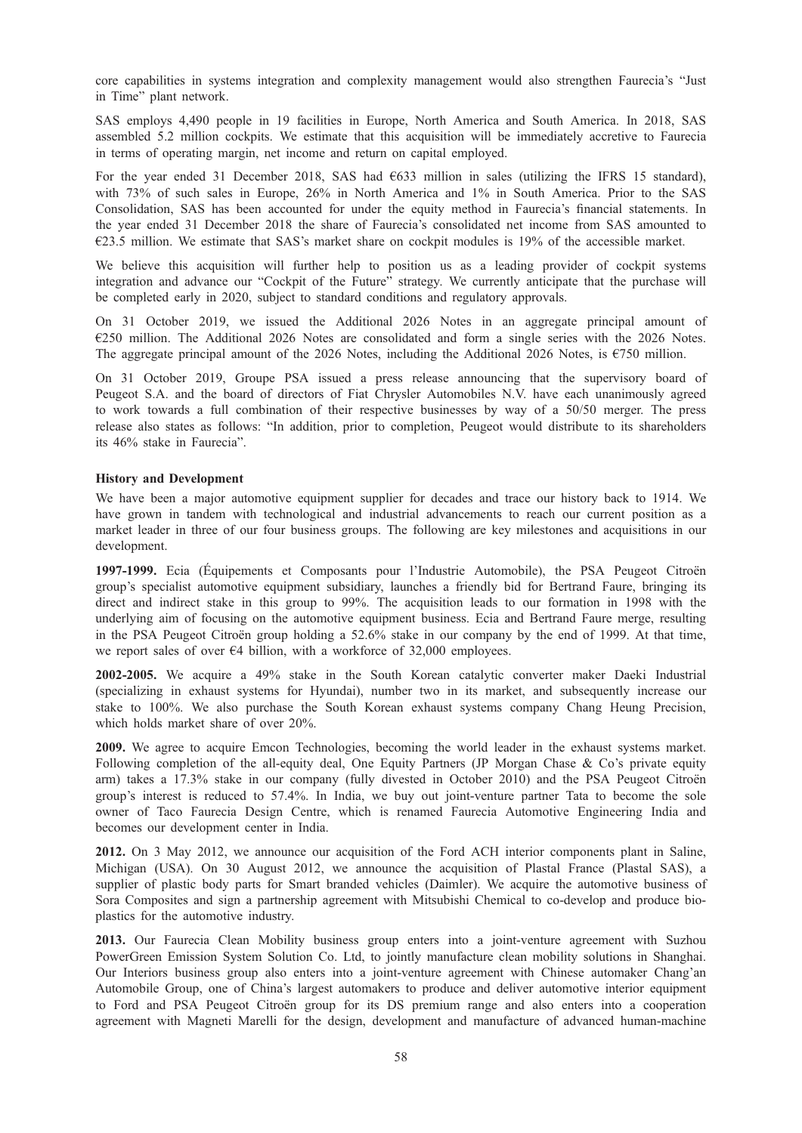core capabilities in systems integration and complexity management would also strengthen Faurecia's "Just in Time" plant network.

SAS employs 4,490 people in 19 facilities in Europe, North America and South America. In 2018, SAS assembled 5.2 million cockpits. We estimate that this acquisition will be immediately accretive to Faurecia in terms of operating margin, net income and return on capital employed.

For the year ended 31 December 2018, SAS had  $6633$  million in sales (utilizing the IFRS 15 standard), with 73% of such sales in Europe, 26% in North America and 1% in South America. Prior to the SAS Consolidation, SAS has been accounted for under the equity method in Faurecia's financial statements. In the year ended 31 December 2018 the share of Faurecia's consolidated net income from SAS amounted to €23.5 million. We estimate that SAS's market share on cockpit modules is 19% of the accessible market.

We believe this acquisition will further help to position us as a leading provider of cockpit systems integration and advance our "Cockpit of the Future" strategy. We currently anticipate that the purchase will be completed early in 2020, subject to standard conditions and regulatory approvals.

On 31 October 2019, we issued the Additional 2026 Notes in an aggregate principal amount of €250 million. The Additional 2026 Notes are consolidated and form a single series with the 2026 Notes. The aggregate principal amount of the 2026 Notes, including the Additional 2026 Notes, is €750 million.

On 31 October 2019, Groupe PSA issued a press release announcing that the supervisory board of Peugeot S.A. and the board of directors of Fiat Chrysler Automobiles N.V. have each unanimously agreed to work towards a full combination of their respective businesses by way of a 50/50 merger. The press release also states as follows: "In addition, prior to completion, Peugeot would distribute to its shareholders its 46% stake in Faurecia".

### History and Development

We have been a major automotive equipment supplier for decades and trace our history back to 1914. We have grown in tandem with technological and industrial advancements to reach our current position as a market leader in three of our four business groups. The following are key milestones and acquisitions in our development.

1997-1999. Ecia (Équipements et Composants pour l'Industrie Automobile), the PSA Peugeot Citroën group's specialist automotive equipment subsidiary, launches a friendly bid for Bertrand Faure, bringing its direct and indirect stake in this group to 99%. The acquisition leads to our formation in 1998 with the underlying aim of focusing on the automotive equipment business. Ecia and Bertrand Faure merge, resulting in the PSA Peugeot Citroën group holding a 52.6% stake in our company by the end of 1999. At that time, we report sales of over €4 billion, with a workforce of 32,000 employees.

2002-2005. We acquire a 49% stake in the South Korean catalytic converter maker Daeki Industrial (specializing in exhaust systems for Hyundai), number two in its market, and subsequently increase our stake to 100%. We also purchase the South Korean exhaust systems company Chang Heung Precision, which holds market share of over 20%.

2009. We agree to acquire Emcon Technologies, becoming the world leader in the exhaust systems market. Following completion of the all-equity deal, One Equity Partners (JP Morgan Chase & Co's private equity arm) takes a 17.3% stake in our company (fully divested in October 2010) and the PSA Peugeot Citroën group's interest is reduced to 57.4%. In India, we buy out joint-venture partner Tata to become the sole owner of Taco Faurecia Design Centre, which is renamed Faurecia Automotive Engineering India and becomes our development center in India.

2012. On 3 May 2012, we announce our acquisition of the Ford ACH interior components plant in Saline, Michigan (USA). On 30 August 2012, we announce the acquisition of Plastal France (Plastal SAS), a supplier of plastic body parts for Smart branded vehicles (Daimler). We acquire the automotive business of Sora Composites and sign a partnership agreement with Mitsubishi Chemical to co-develop and produce bioplastics for the automotive industry.

2013. Our Faurecia Clean Mobility business group enters into a joint-venture agreement with Suzhou PowerGreen Emission System Solution Co. Ltd, to jointly manufacture clean mobility solutions in Shanghai. Our Interiors business group also enters into a joint-venture agreement with Chinese automaker Chang'an Automobile Group, one of China's largest automakers to produce and deliver automotive interior equipment to Ford and PSA Peugeot Citroën group for its DS premium range and also enters into a cooperation agreement with Magneti Marelli for the design, development and manufacture of advanced human-machine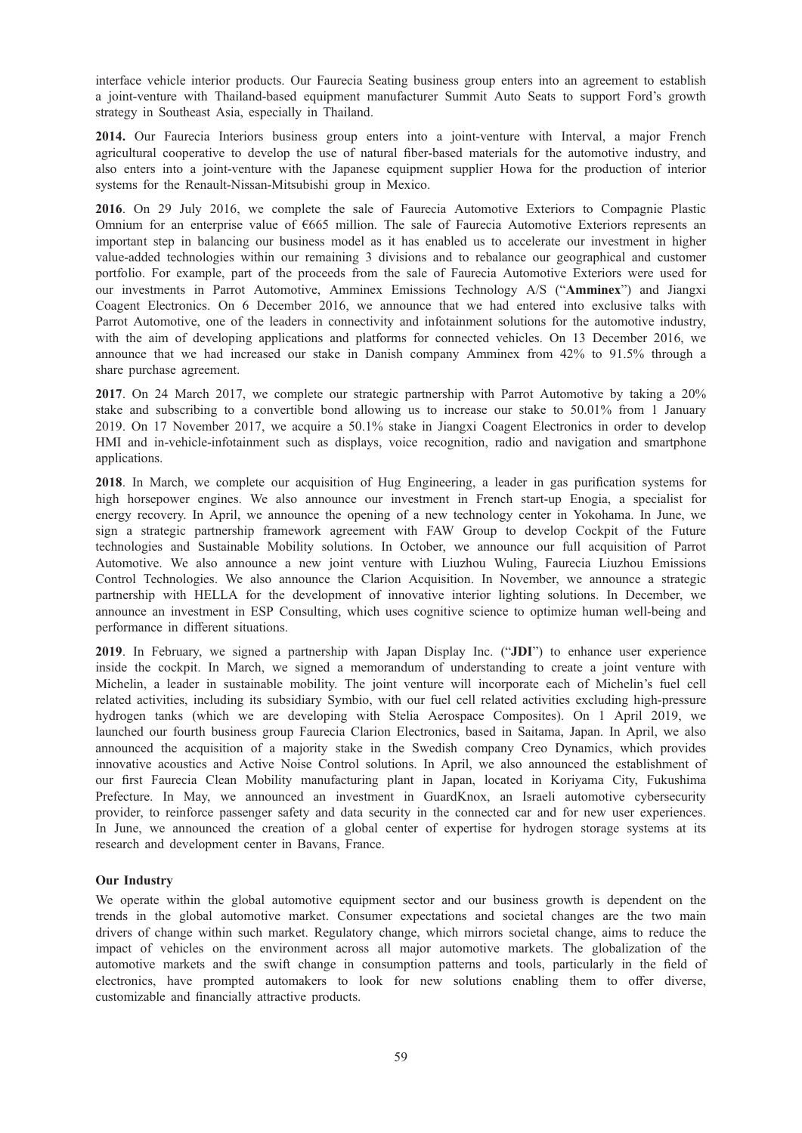interface vehicle interior products. Our Faurecia Seating business group enters into an agreement to establish a joint-venture with Thailand-based equipment manufacturer Summit Auto Seats to support Ford's growth strategy in Southeast Asia, especially in Thailand.

2014. Our Faurecia Interiors business group enters into a joint-venture with Interval, a major French agricultural cooperative to develop the use of natural fiber-based materials for the automotive industry, and also enters into a joint-venture with the Japanese equipment supplier Howa for the production of interior systems for the Renault-Nissan-Mitsubishi group in Mexico.

2016. On 29 July 2016, we complete the sale of Faurecia Automotive Exteriors to Compagnie Plastic Omnium for an enterprise value of €665 million. The sale of Faurecia Automotive Exteriors represents an important step in balancing our business model as it has enabled us to accelerate our investment in higher value-added technologies within our remaining 3 divisions and to rebalance our geographical and customer portfolio. For example, part of the proceeds from the sale of Faurecia Automotive Exteriors were used for our investments in Parrot Automotive, Amminex Emissions Technology A/S ("Amminex") and Jiangxi Coagent Electronics. On 6 December 2016, we announce that we had entered into exclusive talks with Parrot Automotive, one of the leaders in connectivity and infotainment solutions for the automotive industry, with the aim of developing applications and platforms for connected vehicles. On 13 December 2016, we announce that we had increased our stake in Danish company Amminex from 42% to 91.5% through a share purchase agreement.

2017. On 24 March 2017, we complete our strategic partnership with Parrot Automotive by taking a 20% stake and subscribing to a convertible bond allowing us to increase our stake to 50.01% from 1 January 2019. On 17 November 2017, we acquire a 50.1% stake in Jiangxi Coagent Electronics in order to develop HMI and in-vehicle-infotainment such as displays, voice recognition, radio and navigation and smartphone applications.

2018. In March, we complete our acquisition of Hug Engineering, a leader in gas purification systems for high horsepower engines. We also announce our investment in French start-up Enogia, a specialist for energy recovery. In April, we announce the opening of a new technology center in Yokohama. In June, we sign a strategic partnership framework agreement with FAW Group to develop Cockpit of the Future technologies and Sustainable Mobility solutions. In October, we announce our full acquisition of Parrot Automotive. We also announce a new joint venture with Liuzhou Wuling, Faurecia Liuzhou Emissions Control Technologies. We also announce the Clarion Acquisition. In November, we announce a strategic partnership with HELLA for the development of innovative interior lighting solutions. In December, we announce an investment in ESP Consulting, which uses cognitive science to optimize human well-being and performance in different situations.

2019. In February, we signed a partnership with Japan Display Inc. ("JDI") to enhance user experience inside the cockpit. In March, we signed a memorandum of understanding to create a joint venture with Michelin, a leader in sustainable mobility. The joint venture will incorporate each of Michelin's fuel cell related activities, including its subsidiary Symbio, with our fuel cell related activities excluding high-pressure hydrogen tanks (which we are developing with Stelia Aerospace Composites). On 1 April 2019, we launched our fourth business group Faurecia Clarion Electronics, based in Saitama, Japan. In April, we also announced the acquisition of a majority stake in the Swedish company Creo Dynamics, which provides innovative acoustics and Active Noise Control solutions. In April, we also announced the establishment of our first Faurecia Clean Mobility manufacturing plant in Japan, located in Koriyama City, Fukushima Prefecture. In May, we announced an investment in GuardKnox, an Israeli automotive cybersecurity provider, to reinforce passenger safety and data security in the connected car and for new user experiences. In June, we announced the creation of a global center of expertise for hydrogen storage systems at its research and development center in Bavans, France.

# Our Industry

We operate within the global automotive equipment sector and our business growth is dependent on the trends in the global automotive market. Consumer expectations and societal changes are the two main drivers of change within such market. Regulatory change, which mirrors societal change, aims to reduce the impact of vehicles on the environment across all major automotive markets. The globalization of the automotive markets and the swift change in consumption patterns and tools, particularly in the field of electronics, have prompted automakers to look for new solutions enabling them to offer diverse, customizable and financially attractive products.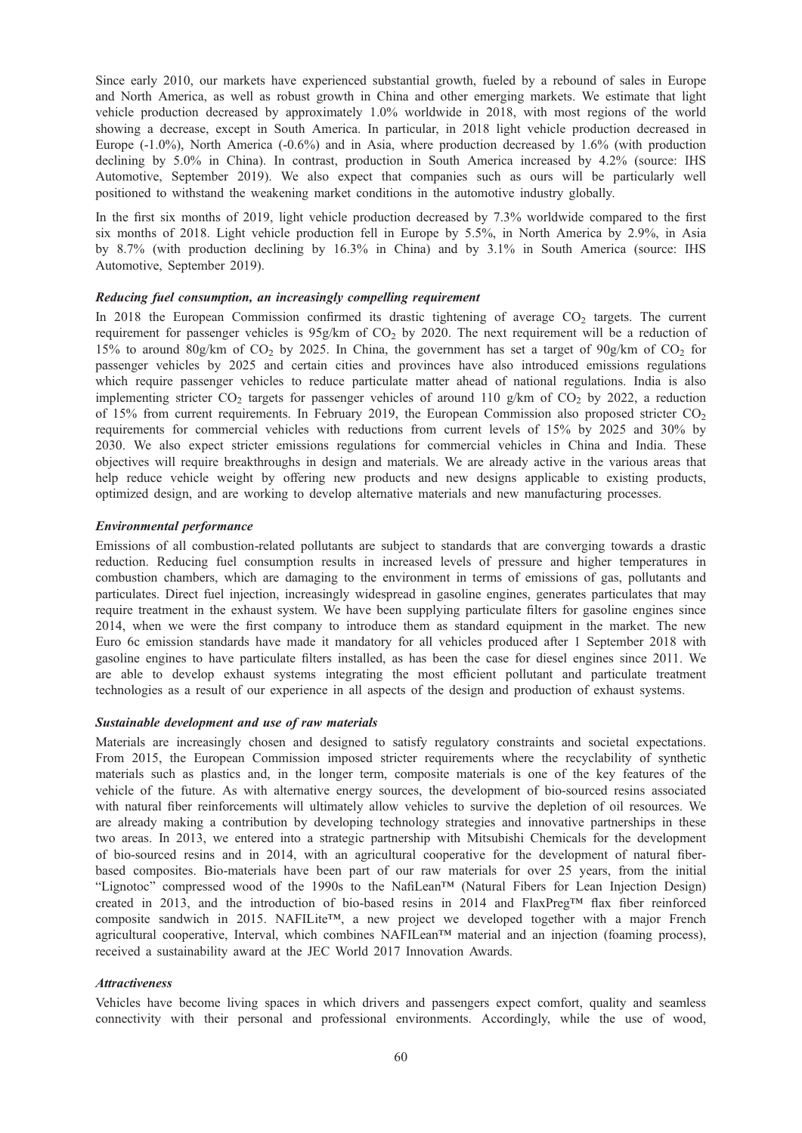Since early 2010, our markets have experienced substantial growth, fueled by a rebound of sales in Europe and North America, as well as robust growth in China and other emerging markets. We estimate that light vehicle production decreased by approximately 1.0% worldwide in 2018, with most regions of the world showing a decrease, except in South America. In particular, in 2018 light vehicle production decreased in Europe (-1.0%), North America (-0.6%) and in Asia, where production decreased by 1.6% (with production declining by 5.0% in China). In contrast, production in South America increased by 4.2% (source: IHS Automotive, September 2019). We also expect that companies such as ours will be particularly well positioned to withstand the weakening market conditions in the automotive industry globally.

In the first six months of 2019, light vehicle production decreased by 7.3% worldwide compared to the first six months of 2018. Light vehicle production fell in Europe by 5.5%, in North America by 2.9%, in Asia by 8.7% (with production declining by 16.3% in China) and by 3.1% in South America (source: IHS Automotive, September 2019).

#### Reducing fuel consumption, an increasingly compelling requirement

In 2018 the European Commission confirmed its drastic tightening of average CO<sub>2</sub> targets. The current requirement for passenger vehicles is  $95g/km$  of  $CO<sub>2</sub>$  by 2020. The next requirement will be a reduction of 15% to around 80g/km of CO<sub>2</sub> by 2025. In China, the government has set a target of 90g/km of CO<sub>2</sub> for passenger vehicles by 2025 and certain cities and provinces have also introduced emissions regulations which require passenger vehicles to reduce particulate matter ahead of national regulations. India is also implementing stricter CO<sub>2</sub> targets for passenger vehicles of around 110 g/km of CO<sub>2</sub> by 2022, a reduction of 15% from current requirements. In February 2019, the European Commission also proposed stricter  $CO<sub>2</sub>$ requirements for commercial vehicles with reductions from current levels of 15% by 2025 and 30% by 2030. We also expect stricter emissions regulations for commercial vehicles in China and India. These objectives will require breakthroughs in design and materials. We are already active in the various areas that help reduce vehicle weight by offering new products and new designs applicable to existing products, optimized design, and are working to develop alternative materials and new manufacturing processes.

### Environmental performance

Emissions of all combustion-related pollutants are subject to standards that are converging towards a drastic reduction. Reducing fuel consumption results in increased levels of pressure and higher temperatures in combustion chambers, which are damaging to the environment in terms of emissions of gas, pollutants and particulates. Direct fuel injection, increasingly widespread in gasoline engines, generates particulates that may require treatment in the exhaust system. We have been supplying particulate filters for gasoline engines since 2014, when we were the first company to introduce them as standard equipment in the market. The new Euro 6c emission standards have made it mandatory for all vehicles produced after 1 September 2018 with gasoline engines to have particulate filters installed, as has been the case for diesel engines since 2011. We are able to develop exhaust systems integrating the most efficient pollutant and particulate treatment technologies as a result of our experience in all aspects of the design and production of exhaust systems.

#### Sustainable development and use of raw materials

Materials are increasingly chosen and designed to satisfy regulatory constraints and societal expectations. From 2015, the European Commission imposed stricter requirements where the recyclability of synthetic materials such as plastics and, in the longer term, composite materials is one of the key features of the vehicle of the future. As with alternative energy sources, the development of bio-sourced resins associated with natural fiber reinforcements will ultimately allow vehicles to survive the depletion of oil resources. We are already making a contribution by developing technology strategies and innovative partnerships in these two areas. In 2013, we entered into a strategic partnership with Mitsubishi Chemicals for the development of bio-sourced resins and in 2014, with an agricultural cooperative for the development of natural fiberbased composites. Bio-materials have been part of our raw materials for over 25 years, from the initial "Lignotoc" compressed wood of the 1990s to the NafiLean™ (Natural Fibers for Lean Injection Design) created in 2013, and the introduction of bio-based resins in 2014 and FlaxPreg™ flax fiber reinforced composite sandwich in 2015. NAFILite™, a new project we developed together with a major French agricultural cooperative, Interval, which combines NAFILean<sup>™</sup> material and an injection (foaming process), received a sustainability award at the JEC World 2017 Innovation Awards.

#### **Attractiveness**

Vehicles have become living spaces in which drivers and passengers expect comfort, quality and seamless connectivity with their personal and professional environments. Accordingly, while the use of wood,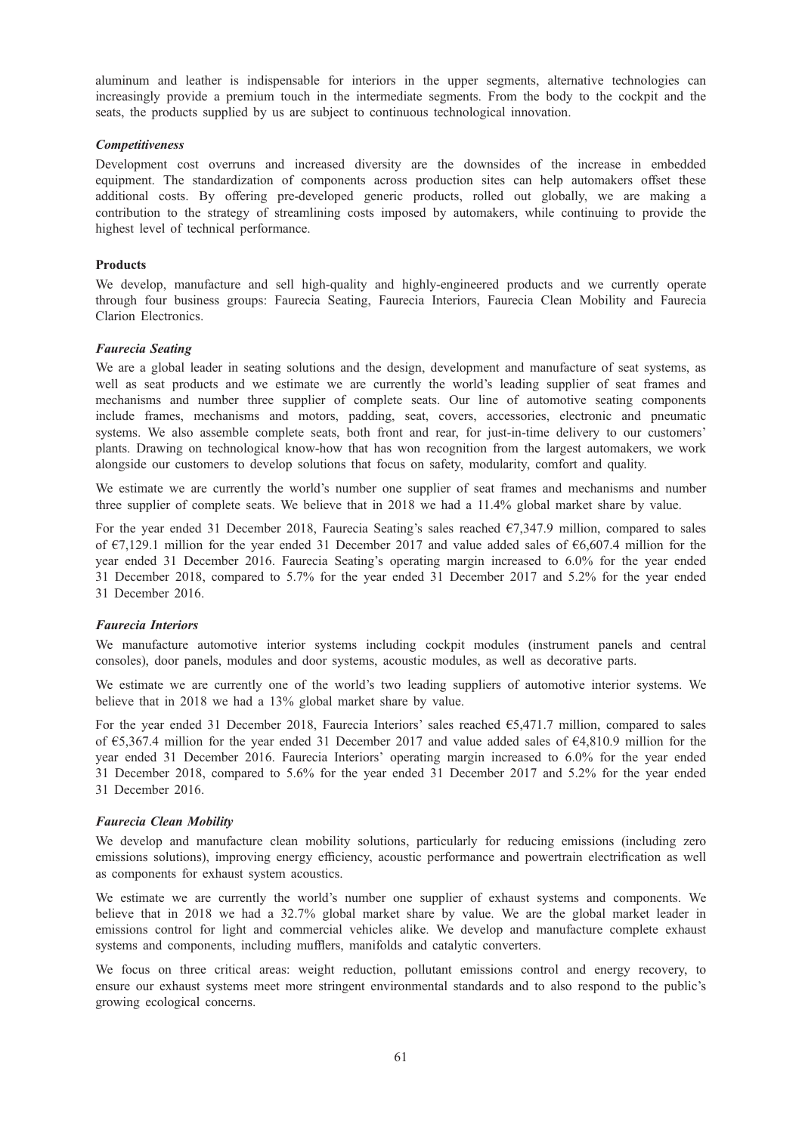aluminum and leather is indispensable for interiors in the upper segments, alternative technologies can increasingly provide a premium touch in the intermediate segments. From the body to the cockpit and the seats, the products supplied by us are subject to continuous technological innovation.

#### **Competitiveness**

Development cost overruns and increased diversity are the downsides of the increase in embedded equipment. The standardization of components across production sites can help automakers offset these additional costs. By offering pre-developed generic products, rolled out globally, we are making a contribution to the strategy of streamlining costs imposed by automakers, while continuing to provide the highest level of technical performance.

## **Products**

We develop, manufacture and sell high-quality and highly-engineered products and we currently operate through four business groups: Faurecia Seating, Faurecia Interiors, Faurecia Clean Mobility and Faurecia Clarion Electronics.

### Faurecia Seating

We are a global leader in seating solutions and the design, development and manufacture of seat systems, as well as seat products and we estimate we are currently the world's leading supplier of seat frames and mechanisms and number three supplier of complete seats. Our line of automotive seating components include frames, mechanisms and motors, padding, seat, covers, accessories, electronic and pneumatic systems. We also assemble complete seats, both front and rear, for just-in-time delivery to our customers' plants. Drawing on technological know-how that has won recognition from the largest automakers, we work alongside our customers to develop solutions that focus on safety, modularity, comfort and quality.

We estimate we are currently the world's number one supplier of seat frames and mechanisms and number three supplier of complete seats. We believe that in 2018 we had a 11.4% global market share by value.

For the year ended 31 December 2018, Faurecia Seating's sales reached  $\epsilon$ 7,347.9 million, compared to sales of  $\epsilon$ 7,129.1 million for the year ended 31 December 2017 and value added sales of  $\epsilon$ 6,607.4 million for the year ended 31 December 2016. Faurecia Seating's operating margin increased to 6.0% for the year ended 31 December 2018, compared to 5.7% for the year ended 31 December 2017 and 5.2% for the year ended 31 December 2016.

# Faurecia Interiors

We manufacture automotive interior systems including cockpit modules (instrument panels and central consoles), door panels, modules and door systems, acoustic modules, as well as decorative parts.

We estimate we are currently one of the world's two leading suppliers of automotive interior systems. We believe that in 2018 we had a 13% global market share by value.

For the year ended 31 December 2018, Faurecia Interiors' sales reached €5,471.7 million, compared to sales of €5,367.4 million for the year ended 31 December 2017 and value added sales of €4,810.9 million for the year ended 31 December 2016. Faurecia Interiors' operating margin increased to 6.0% for the year ended 31 December 2018, compared to 5.6% for the year ended 31 December 2017 and 5.2% for the year ended 31 December 2016.

#### Faurecia Clean Mobility

We develop and manufacture clean mobility solutions, particularly for reducing emissions (including zero emissions solutions), improving energy efficiency, acoustic performance and powertrain electrification as well as components for exhaust system acoustics.

We estimate we are currently the world's number one supplier of exhaust systems and components. We believe that in 2018 we had a 32.7% global market share by value. We are the global market leader in emissions control for light and commercial vehicles alike. We develop and manufacture complete exhaust systems and components, including mufflers, manifolds and catalytic converters.

We focus on three critical areas: weight reduction, pollutant emissions control and energy recovery, to ensure our exhaust systems meet more stringent environmental standards and to also respond to the public's growing ecological concerns.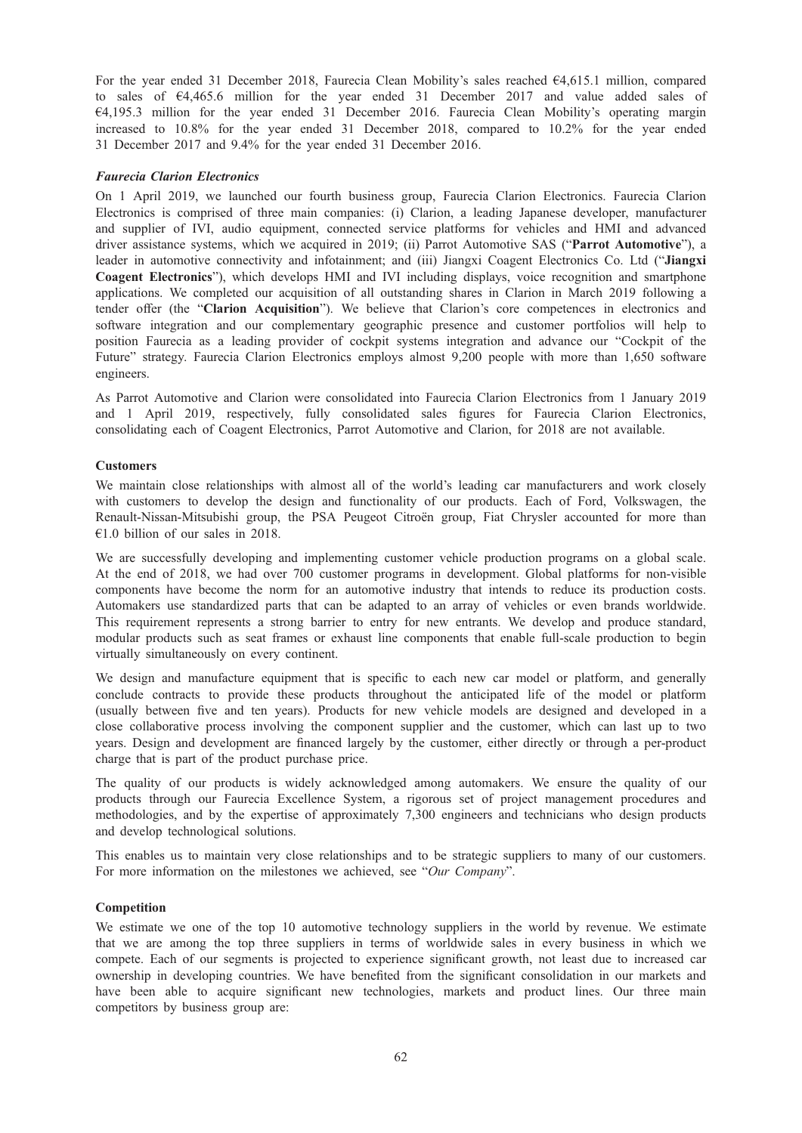For the year ended 31 December 2018, Faurecia Clean Mobility's sales reached €4,615.1 million, compared to sales of €4,465.6 million for the year ended 31 December 2017 and value added sales of €4,195.3 million for the year ended 31 December 2016. Faurecia Clean Mobility's operating margin increased to 10.8% for the year ended 31 December 2018, compared to 10.2% for the year ended 31 December 2017 and 9.4% for the year ended 31 December 2016.

## Faurecia Clarion Electronics

On 1 April 2019, we launched our fourth business group, Faurecia Clarion Electronics. Faurecia Clarion Electronics is comprised of three main companies: (i) Clarion, a leading Japanese developer, manufacturer and supplier of IVI, audio equipment, connected service platforms for vehicles and HMI and advanced driver assistance systems, which we acquired in 2019; (ii) Parrot Automotive SAS ("Parrot Automotive"), a leader in automotive connectivity and infotainment; and (iii) Jiangxi Coagent Electronics Co. Ltd ("Jiangxi Coagent Electronics"), which develops HMI and IVI including displays, voice recognition and smartphone applications. We completed our acquisition of all outstanding shares in Clarion in March 2019 following a tender offer (the "Clarion Acquisition"). We believe that Clarion's core competences in electronics and software integration and our complementary geographic presence and customer portfolios will help to position Faurecia as a leading provider of cockpit systems integration and advance our "Cockpit of the Future" strategy. Faurecia Clarion Electronics employs almost 9,200 people with more than 1,650 software engineers.

As Parrot Automotive and Clarion were consolidated into Faurecia Clarion Electronics from 1 January 2019 and 1 April 2019, respectively, fully consolidated sales figures for Faurecia Clarion Electronics, consolidating each of Coagent Electronics, Parrot Automotive and Clarion, for 2018 are not available.

### **Customers**

We maintain close relationships with almost all of the world's leading car manufacturers and work closely with customers to develop the design and functionality of our products. Each of Ford, Volkswagen, the Renault-Nissan-Mitsubishi group, the PSA Peugeot Citroën group, Fiat Chrysler accounted for more than €1.0 billion of our sales in 2018.

We are successfully developing and implementing customer vehicle production programs on a global scale. At the end of 2018, we had over 700 customer programs in development. Global platforms for non-visible components have become the norm for an automotive industry that intends to reduce its production costs. Automakers use standardized parts that can be adapted to an array of vehicles or even brands worldwide. This requirement represents a strong barrier to entry for new entrants. We develop and produce standard, modular products such as seat frames or exhaust line components that enable full-scale production to begin virtually simultaneously on every continent.

We design and manufacture equipment that is specific to each new car model or platform, and generally conclude contracts to provide these products throughout the anticipated life of the model or platform (usually between five and ten years). Products for new vehicle models are designed and developed in a close collaborative process involving the component supplier and the customer, which can last up to two years. Design and development are financed largely by the customer, either directly or through a per-product charge that is part of the product purchase price.

The quality of our products is widely acknowledged among automakers. We ensure the quality of our products through our Faurecia Excellence System, a rigorous set of project management procedures and methodologies, and by the expertise of approximately 7,300 engineers and technicians who design products and develop technological solutions.

This enables us to maintain very close relationships and to be strategic suppliers to many of our customers. For more information on the milestones we achieved, see "Our Company".

#### **Competition**

We estimate we one of the top 10 automotive technology suppliers in the world by revenue. We estimate that we are among the top three suppliers in terms of worldwide sales in every business in which we compete. Each of our segments is projected to experience significant growth, not least due to increased car ownership in developing countries. We have benefited from the significant consolidation in our markets and have been able to acquire significant new technologies, markets and product lines. Our three main competitors by business group are: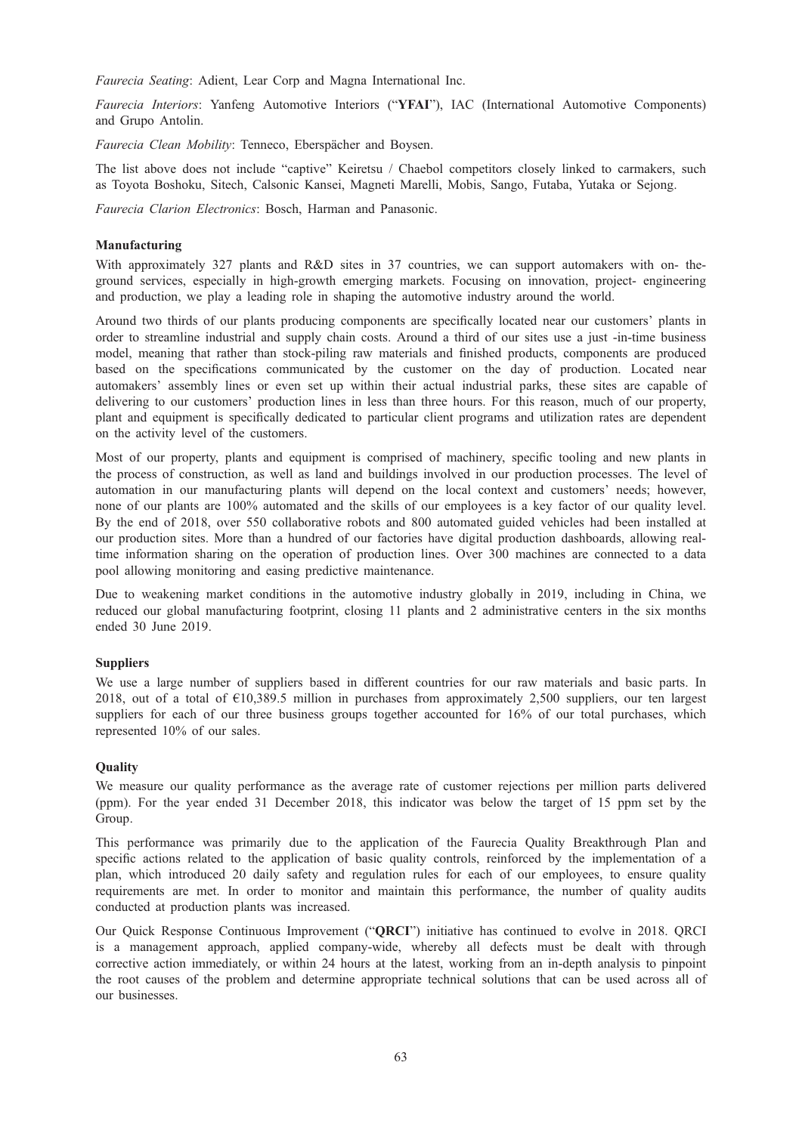Faurecia Seating: Adient, Lear Corp and Magna International Inc.

Faurecia Interiors: Yanfeng Automotive Interiors ("YFAI"), IAC (International Automotive Components) and Grupo Antolin.

Faurecia Clean Mobility: Tenneco, Eberspächer and Boysen.

The list above does not include "captive" Keiretsu / Chaebol competitors closely linked to carmakers, such as Toyota Boshoku, Sitech, Calsonic Kansei, Magneti Marelli, Mobis, Sango, Futaba, Yutaka or Sejong.

Faurecia Clarion Electronics: Bosch, Harman and Panasonic.

#### Manufacturing

With approximately 327 plants and R&D sites in 37 countries, we can support automakers with on- theground services, especially in high-growth emerging markets. Focusing on innovation, project- engineering and production, we play a leading role in shaping the automotive industry around the world.

Around two thirds of our plants producing components are specifically located near our customers' plants in order to streamline industrial and supply chain costs. Around a third of our sites use a just -in-time business model, meaning that rather than stock-piling raw materials and finished products, components are produced based on the specifications communicated by the customer on the day of production. Located near automakers' assembly lines or even set up within their actual industrial parks, these sites are capable of delivering to our customers' production lines in less than three hours. For this reason, much of our property, plant and equipment is specifically dedicated to particular client programs and utilization rates are dependent on the activity level of the customers.

Most of our property, plants and equipment is comprised of machinery, specific tooling and new plants in the process of construction, as well as land and buildings involved in our production processes. The level of automation in our manufacturing plants will depend on the local context and customers' needs; however, none of our plants are 100% automated and the skills of our employees is a key factor of our quality level. By the end of 2018, over 550 collaborative robots and 800 automated guided vehicles had been installed at our production sites. More than a hundred of our factories have digital production dashboards, allowing realtime information sharing on the operation of production lines. Over 300 machines are connected to a data pool allowing monitoring and easing predictive maintenance.

Due to weakening market conditions in the automotive industry globally in 2019, including in China, we reduced our global manufacturing footprint, closing 11 plants and 2 administrative centers in the six months ended 30 June 2019.

#### **Suppliers**

We use a large number of suppliers based in different countries for our raw materials and basic parts. In 2018, out of a total of €10,389.5 million in purchases from approximately 2,500 suppliers, our ten largest suppliers for each of our three business groups together accounted for 16% of our total purchases, which represented 10% of our sales.

#### **Ouality**

We measure our quality performance as the average rate of customer rejections per million parts delivered (ppm). For the year ended 31 December 2018, this indicator was below the target of 15 ppm set by the Group.

This performance was primarily due to the application of the Faurecia Quality Breakthrough Plan and specific actions related to the application of basic quality controls, reinforced by the implementation of a plan, which introduced 20 daily safety and regulation rules for each of our employees, to ensure quality requirements are met. In order to monitor and maintain this performance, the number of quality audits conducted at production plants was increased.

Our Quick Response Continuous Improvement ("QRCI") initiative has continued to evolve in 2018. QRCI is a management approach, applied company-wide, whereby all defects must be dealt with through corrective action immediately, or within 24 hours at the latest, working from an in-depth analysis to pinpoint the root causes of the problem and determine appropriate technical solutions that can be used across all of our businesses.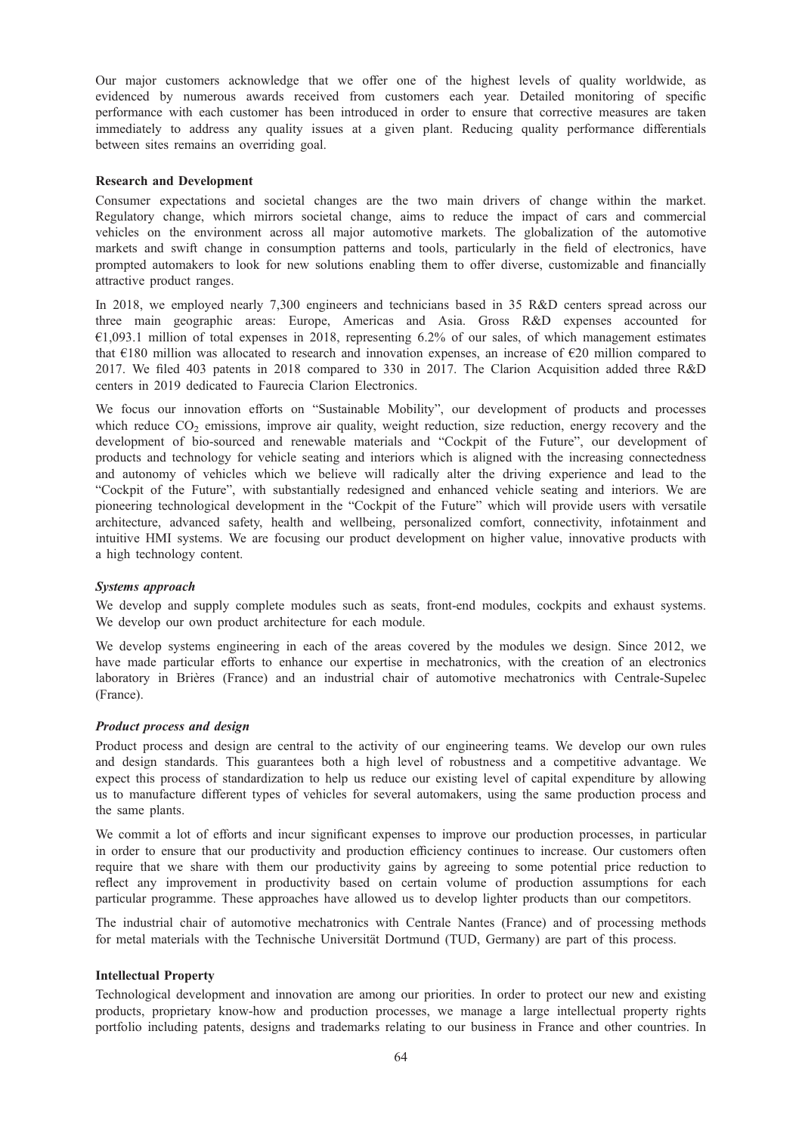Our major customers acknowledge that we offer one of the highest levels of quality worldwide, as evidenced by numerous awards received from customers each year. Detailed monitoring of specific performance with each customer has been introduced in order to ensure that corrective measures are taken immediately to address any quality issues at a given plant. Reducing quality performance differentials between sites remains an overriding goal.

#### Research and Development

Consumer expectations and societal changes are the two main drivers of change within the market. Regulatory change, which mirrors societal change, aims to reduce the impact of cars and commercial vehicles on the environment across all major automotive markets. The globalization of the automotive markets and swift change in consumption patterns and tools, particularly in the field of electronics, have prompted automakers to look for new solutions enabling them to offer diverse, customizable and financially attractive product ranges.

In 2018, we employed nearly 7,300 engineers and technicians based in 35 R&D centers spread across our three main geographic areas: Europe, Americas and Asia. Gross R&D expenses accounted for  $61,093.1$  million of total expenses in 2018, representing 6.2% of our sales, of which management estimates that €180 million was allocated to research and innovation expenses, an increase of €20 million compared to 2017. We filed 403 patents in 2018 compared to 330 in 2017. The Clarion Acquisition added three R&D centers in 2019 dedicated to Faurecia Clarion Electronics.

We focus our innovation efforts on "Sustainable Mobility", our development of products and processes which reduce  $CO<sub>2</sub>$  emissions, improve air quality, weight reduction, size reduction, energy recovery and the development of bio-sourced and renewable materials and "Cockpit of the Future", our development of products and technology for vehicle seating and interiors which is aligned with the increasing connectedness and autonomy of vehicles which we believe will radically alter the driving experience and lead to the "Cockpit of the Future", with substantially redesigned and enhanced vehicle seating and interiors. We are pioneering technological development in the "Cockpit of the Future" which will provide users with versatile architecture, advanced safety, health and wellbeing, personalized comfort, connectivity, infotainment and intuitive HMI systems. We are focusing our product development on higher value, innovative products with a high technology content.

#### Systems approach

We develop and supply complete modules such as seats, front-end modules, cockpits and exhaust systems. We develop our own product architecture for each module.

We develop systems engineering in each of the areas covered by the modules we design. Since 2012, we have made particular efforts to enhance our expertise in mechatronics, with the creation of an electronics laboratory in Brières (France) and an industrial chair of automotive mechatronics with Centrale-Supelec (France).

#### Product process and design

Product process and design are central to the activity of our engineering teams. We develop our own rules and design standards. This guarantees both a high level of robustness and a competitive advantage. We expect this process of standardization to help us reduce our existing level of capital expenditure by allowing us to manufacture different types of vehicles for several automakers, using the same production process and the same plants.

We commit a lot of efforts and incur significant expenses to improve our production processes, in particular in order to ensure that our productivity and production efficiency continues to increase. Our customers often require that we share with them our productivity gains by agreeing to some potential price reduction to reflect any improvement in productivity based on certain volume of production assumptions for each particular programme. These approaches have allowed us to develop lighter products than our competitors.

The industrial chair of automotive mechatronics with Centrale Nantes (France) and of processing methods for metal materials with the Technische Universität Dortmund (TUD, Germany) are part of this process.

#### Intellectual Property

Technological development and innovation are among our priorities. In order to protect our new and existing products, proprietary know-how and production processes, we manage a large intellectual property rights portfolio including patents, designs and trademarks relating to our business in France and other countries. In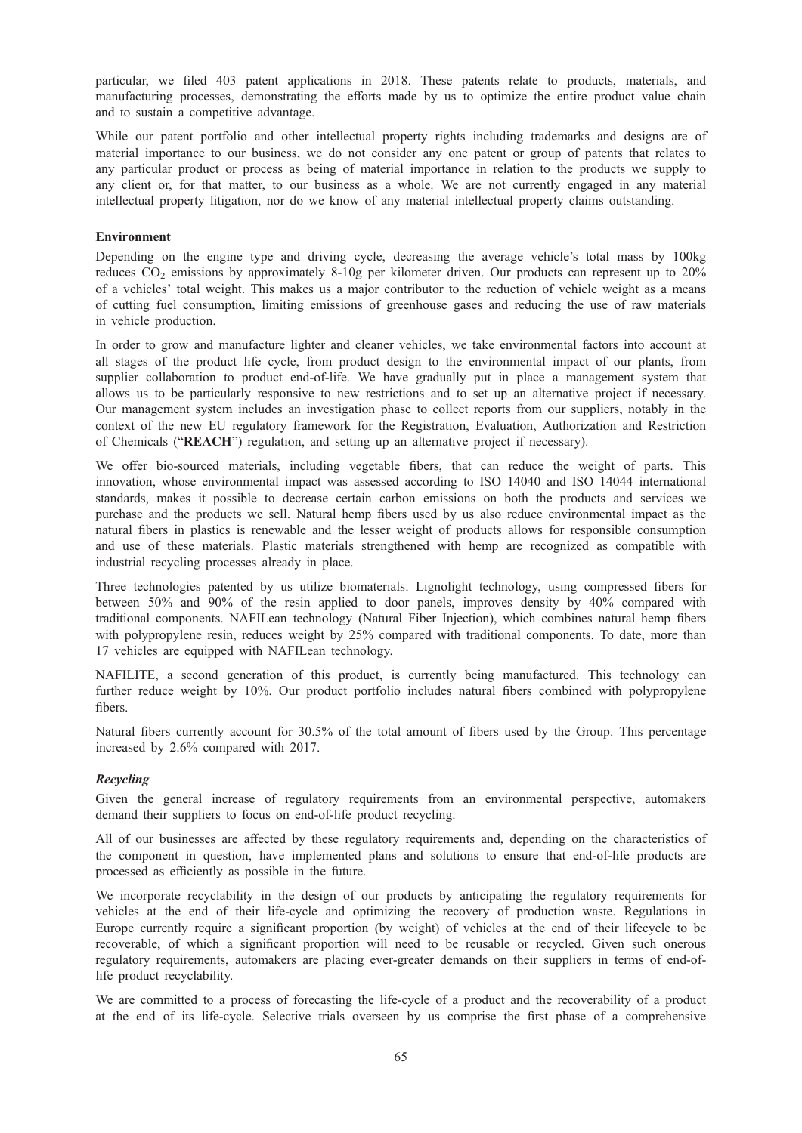particular, we filed 403 patent applications in 2018. These patents relate to products, materials, and manufacturing processes, demonstrating the efforts made by us to optimize the entire product value chain and to sustain a competitive advantage.

While our patent portfolio and other intellectual property rights including trademarks and designs are of material importance to our business, we do not consider any one patent or group of patents that relates to any particular product or process as being of material importance in relation to the products we supply to any client or, for that matter, to our business as a whole. We are not currently engaged in any material intellectual property litigation, nor do we know of any material intellectual property claims outstanding.

# Environment

Depending on the engine type and driving cycle, decreasing the average vehicle's total mass by 100kg reduces  $CO_2$  emissions by approximately 8-10g per kilometer driven. Our products can represent up to 20% of a vehicles' total weight. This makes us a major contributor to the reduction of vehicle weight as a means of cutting fuel consumption, limiting emissions of greenhouse gases and reducing the use of raw materials in vehicle production.

In order to grow and manufacture lighter and cleaner vehicles, we take environmental factors into account at all stages of the product life cycle, from product design to the environmental impact of our plants, from supplier collaboration to product end-of-life. We have gradually put in place a management system that allows us to be particularly responsive to new restrictions and to set up an alternative project if necessary. Our management system includes an investigation phase to collect reports from our suppliers, notably in the context of the new EU regulatory framework for the Registration, Evaluation, Authorization and Restriction of Chemicals ("REACH") regulation, and setting up an alternative project if necessary).

We offer bio-sourced materials, including vegetable fibers, that can reduce the weight of parts. This innovation, whose environmental impact was assessed according to ISO 14040 and ISO 14044 international standards, makes it possible to decrease certain carbon emissions on both the products and services we purchase and the products we sell. Natural hemp fibers used by us also reduce environmental impact as the natural fibers in plastics is renewable and the lesser weight of products allows for responsible consumption and use of these materials. Plastic materials strengthened with hemp are recognized as compatible with industrial recycling processes already in place.

Three technologies patented by us utilize biomaterials. Lignolight technology, using compressed fibers for between 50% and 90% of the resin applied to door panels, improves density by 40% compared with traditional components. NAFILean technology (Natural Fiber Injection), which combines natural hemp fibers with polypropylene resin, reduces weight by 25% compared with traditional components. To date, more than 17 vehicles are equipped with NAFILean technology.

NAFILITE, a second generation of this product, is currently being manufactured. This technology can further reduce weight by 10%. Our product portfolio includes natural fibers combined with polypropylene fibers.

Natural fibers currently account for 30.5% of the total amount of fibers used by the Group. This percentage increased by 2.6% compared with 2017.

# Recycling

Given the general increase of regulatory requirements from an environmental perspective, automakers demand their suppliers to focus on end-of-life product recycling.

All of our businesses are affected by these regulatory requirements and, depending on the characteristics of the component in question, have implemented plans and solutions to ensure that end-of-life products are processed as efficiently as possible in the future.

We incorporate recyclability in the design of our products by anticipating the regulatory requirements for vehicles at the end of their life-cycle and optimizing the recovery of production waste. Regulations in Europe currently require a significant proportion (by weight) of vehicles at the end of their lifecycle to be recoverable, of which a significant proportion will need to be reusable or recycled. Given such onerous regulatory requirements, automakers are placing ever-greater demands on their suppliers in terms of end-oflife product recyclability.

We are committed to a process of forecasting the life-cycle of a product and the recoverability of a product at the end of its life-cycle. Selective trials overseen by us comprise the first phase of a comprehensive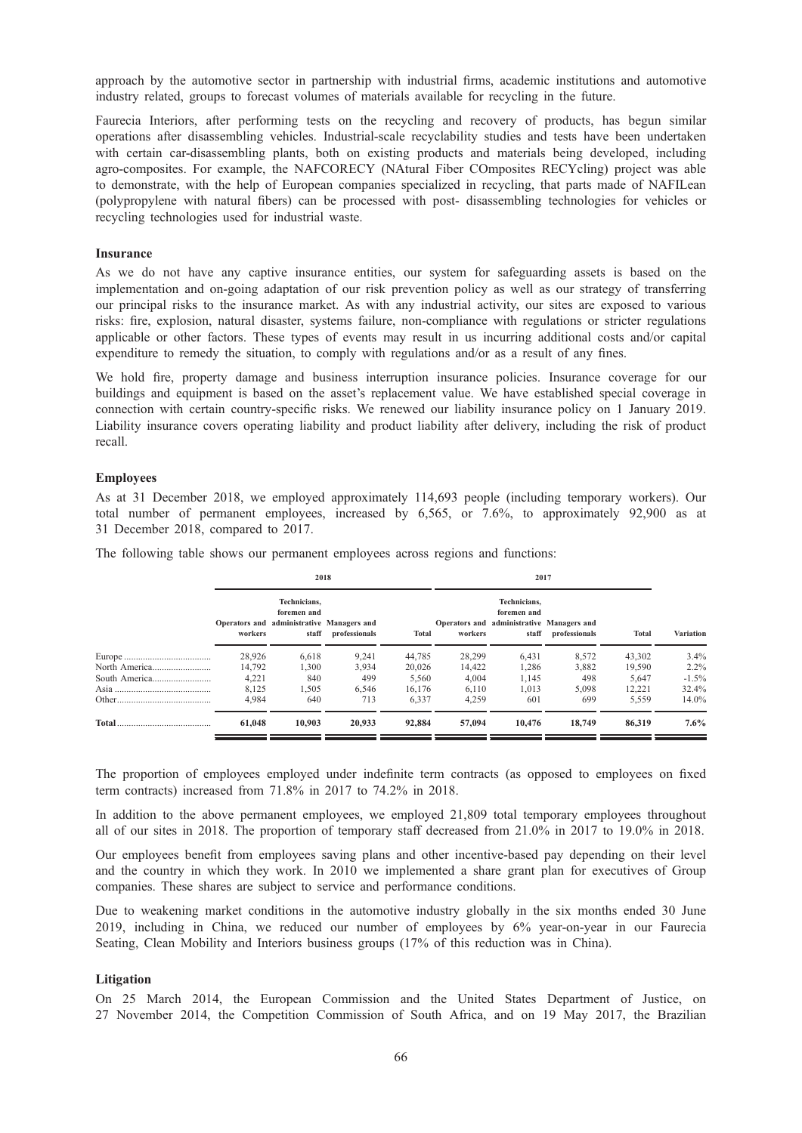approach by the automotive sector in partnership with industrial firms, academic institutions and automotive industry related, groups to forecast volumes of materials available for recycling in the future.

Faurecia Interiors, after performing tests on the recycling and recovery of products, has begun similar operations after disassembling vehicles. Industrial-scale recyclability studies and tests have been undertaken with certain car-disassembling plants, both on existing products and materials being developed, including agro-composites. For example, the NAFCORECY (NAtural Fiber COmposites RECYcling) project was able to demonstrate, with the help of European companies specialized in recycling, that parts made of NAFILean (polypropylene with natural fibers) can be processed with post- disassembling technologies for vehicles or recycling technologies used for industrial waste.

#### Insurance

As we do not have any captive insurance entities, our system for safeguarding assets is based on the implementation and on-going adaptation of our risk prevention policy as well as our strategy of transferring our principal risks to the insurance market. As with any industrial activity, our sites are exposed to various risks: fire, explosion, natural disaster, systems failure, non-compliance with regulations or stricter regulations applicable or other factors. These types of events may result in us incurring additional costs and/or capital expenditure to remedy the situation, to comply with regulations and/or as a result of any fines.

We hold fire, property damage and business interruption insurance policies. Insurance coverage for our buildings and equipment is based on the asset's replacement value. We have established special coverage in connection with certain country-specific risks. We renewed our liability insurance policy on 1 January 2019. Liability insurance covers operating liability and product liability after delivery, including the risk of product recall.

## Employees

As at 31 December 2018, we employed approximately 114,693 people (including temporary workers). Our total number of permanent employees, increased by 6,565, or 7.6%, to approximately 92,900 as at 31 December 2018, compared to 2017.

|              | 2018                        |                                                    |               |              | 2017    |                                                    |               |              |                  |
|--------------|-----------------------------|----------------------------------------------------|---------------|--------------|---------|----------------------------------------------------|---------------|--------------|------------------|
|              | Technicians.<br>foremen and |                                                    |               |              |         | Technicians,<br>foremen and                        |               |              |                  |
|              | workers                     | Operators and administrative Managers and<br>staff | professionals | <b>Total</b> | workers | Operators and administrative Managers and<br>staff | professionals | <b>Total</b> | <b>Variation</b> |
|              | 28,926                      | 6,618                                              | 9,241         | 44,785       | 28,299  | 6,431                                              | 8,572         | 43,302       | $3.4\%$          |
|              | 14.792                      | 1,300                                              | 3,934         | 20,026       | 14,422  | 1,286                                              | 3,882         | 19,590       | $2.2\%$          |
|              | 4,221                       | 840                                                | 499           | 5,560        | 4,004   | 1,145                                              | 498           | 5,647        | $-1.5\%$         |
|              | 8,125                       | 1,505                                              | 6.546         | 16.176       | 6,110   | 1,013                                              | 5,098         | 12,221       | 32.4%            |
|              | 4,984                       | 640                                                | 713           | 6,337        | 4,259   | 601                                                | 699           | 5,559        | $14.0\%$         |
| <b>Total</b> | 61,048                      | 10.903                                             | 20.933        | 92,884       | 57,094  | 10.476                                             | 18,749        | 86,319       | $7.6\%$          |

The following table shows our permanent employees across regions and functions:

The proportion of employees employed under indefinite term contracts (as opposed to employees on fixed term contracts) increased from 71.8% in 2017 to 74.2% in 2018.

In addition to the above permanent employees, we employed 21,809 total temporary employees throughout all of our sites in 2018. The proportion of temporary staff decreased from 21.0% in 2017 to 19.0% in 2018.

Our employees benefit from employees saving plans and other incentive-based pay depending on their level and the country in which they work. In 2010 we implemented a share grant plan for executives of Group companies. These shares are subject to service and performance conditions.

Due to weakening market conditions in the automotive industry globally in the six months ended 30 June 2019, including in China, we reduced our number of employees by 6% year-on-year in our Faurecia Seating, Clean Mobility and Interiors business groups (17% of this reduction was in China).

# Litigation

On 25 March 2014, the European Commission and the United States Department of Justice, on 27 November 2014, the Competition Commission of South Africa, and on 19 May 2017, the Brazilian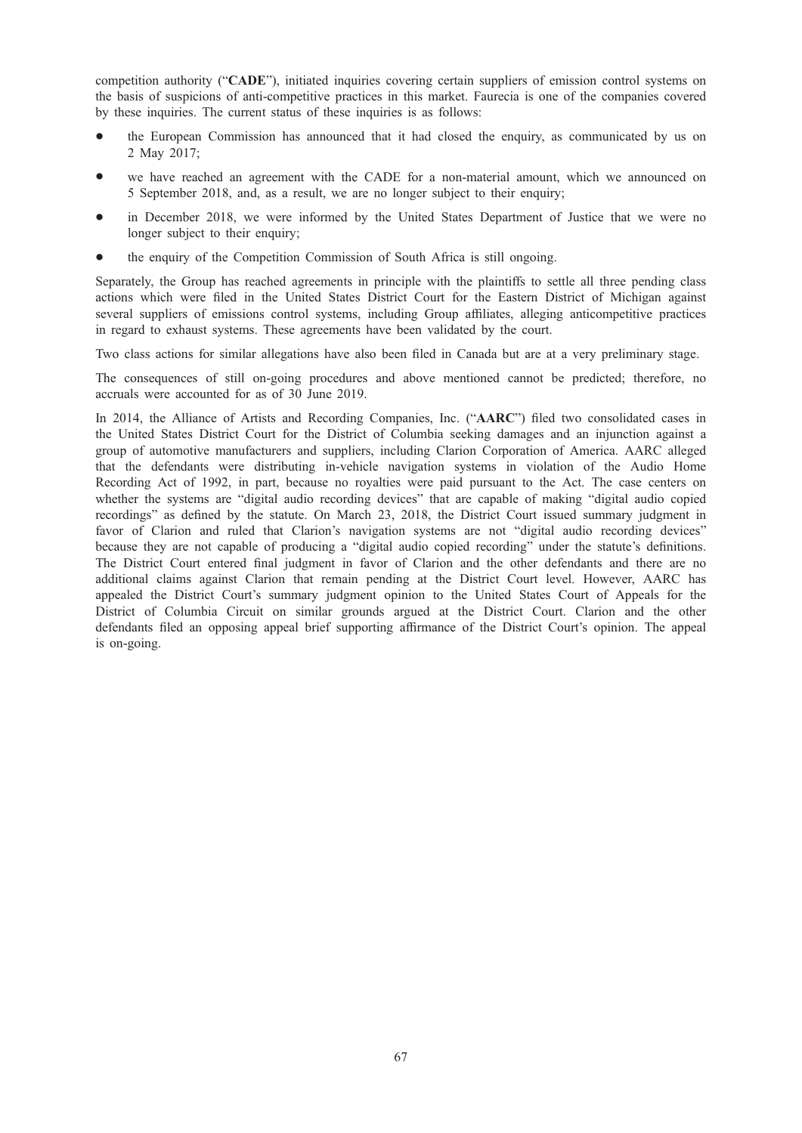competition authority ("CADE"), initiated inquiries covering certain suppliers of emission control systems on the basis of suspicions of anti-competitive practices in this market. Faurecia is one of the companies covered by these inquiries. The current status of these inquiries is as follows:

- the European Commission has announced that it had closed the enquiry, as communicated by us on 2 May 2017;
- we have reached an agreement with the CADE for a non-material amount, which we announced on 5 September 2018, and, as a result, we are no longer subject to their enquiry;
- in December 2018, we were informed by the United States Department of Justice that we were no longer subject to their enquiry;
- the enquiry of the Competition Commission of South Africa is still ongoing.

Separately, the Group has reached agreements in principle with the plaintiffs to settle all three pending class actions which were filed in the United States District Court for the Eastern District of Michigan against several suppliers of emissions control systems, including Group affiliates, alleging anticompetitive practices in regard to exhaust systems. These agreements have been validated by the court.

Two class actions for similar allegations have also been filed in Canada but are at a very preliminary stage.

The consequences of still on-going procedures and above mentioned cannot be predicted; therefore, no accruals were accounted for as of 30 June 2019.

In 2014, the Alliance of Artists and Recording Companies, Inc. ("AARC") filed two consolidated cases in the United States District Court for the District of Columbia seeking damages and an injunction against a group of automotive manufacturers and suppliers, including Clarion Corporation of America. AARC alleged that the defendants were distributing in-vehicle navigation systems in violation of the Audio Home Recording Act of 1992, in part, because no royalties were paid pursuant to the Act. The case centers on whether the systems are "digital audio recording devices" that are capable of making "digital audio copied recordings" as defined by the statute. On March 23, 2018, the District Court issued summary judgment in favor of Clarion and ruled that Clarion's navigation systems are not "digital audio recording devices" because they are not capable of producing a "digital audio copied recording" under the statute's definitions. The District Court entered final judgment in favor of Clarion and the other defendants and there are no additional claims against Clarion that remain pending at the District Court level. However, AARC has appealed the District Court's summary judgment opinion to the United States Court of Appeals for the District of Columbia Circuit on similar grounds argued at the District Court. Clarion and the other defendants filed an opposing appeal brief supporting affirmance of the District Court's opinion. The appeal is on-going.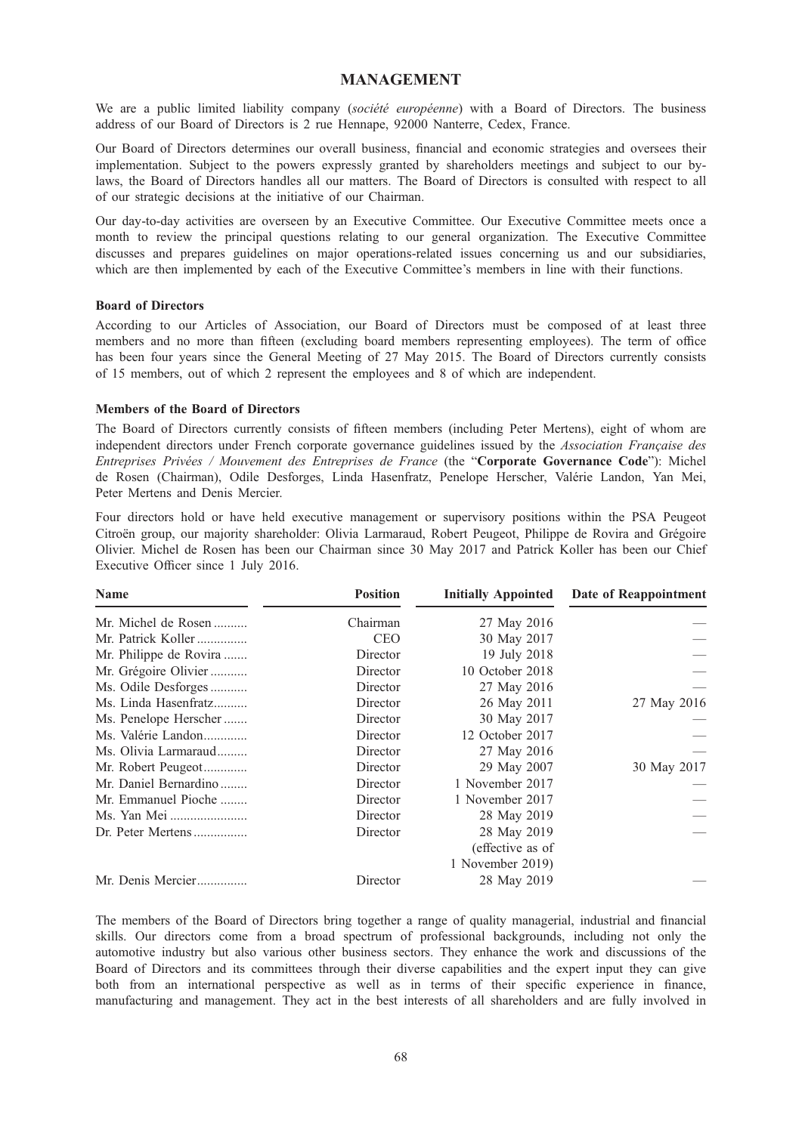# MANAGEMENT

We are a public limited liability company (société européenne) with a Board of Directors. The business address of our Board of Directors is 2 rue Hennape, 92000 Nanterre, Cedex, France.

Our Board of Directors determines our overall business, financial and economic strategies and oversees their implementation. Subject to the powers expressly granted by shareholders meetings and subject to our bylaws, the Board of Directors handles all our matters. The Board of Directors is consulted with respect to all of our strategic decisions at the initiative of our Chairman.

Our day-to-day activities are overseen by an Executive Committee. Our Executive Committee meets once a month to review the principal questions relating to our general organization. The Executive Committee discusses and prepares guidelines on major operations-related issues concerning us and our subsidiaries, which are then implemented by each of the Executive Committee's members in line with their functions.

### Board of Directors

According to our Articles of Association, our Board of Directors must be composed of at least three members and no more than fifteen (excluding board members representing employees). The term of office has been four years since the General Meeting of 27 May 2015. The Board of Directors currently consists of 15 members, out of which 2 represent the employees and 8 of which are independent.

### Members of the Board of Directors

The Board of Directors currently consists of fifteen members (including Peter Mertens), eight of whom are independent directors under French corporate governance guidelines issued by the Association Française des Entreprises Privées / Mouvement des Entreprises de France (the "Corporate Governance Code"): Michel de Rosen (Chairman), Odile Desforges, Linda Hasenfratz, Penelope Herscher, Valérie Landon, Yan Mei, Peter Mertens and Denis Mercier.

Four directors hold or have held executive management or supervisory positions within the PSA Peugeot Citroën group, our majority shareholder: Olivia Larmaraud, Robert Peugeot, Philippe de Rovira and Grégoire Olivier. Michel de Rosen has been our Chairman since 30 May 2017 and Patrick Koller has been our Chief Executive Officer since 1 July 2016.

| Name                   | <b>Position</b> | <b>Initially Appointed</b> | Date of Reappointment |
|------------------------|-----------------|----------------------------|-----------------------|
| Mr. Michel de Rosen    | Chairman        | 27 May 2016                |                       |
| Mr. Patrick Koller     | <b>CEO</b>      | 30 May 2017                |                       |
| Mr. Philippe de Rovira | Director        | 19 July 2018               |                       |
| Mr. Grégoire Olivier   | Director        | 10 October 2018            |                       |
| Ms. Odile Desforges    | Director        | 27 May 2016                |                       |
| Ms. Linda Hasenfratz   | Director        | 26 May 2011                | 27 May 2016           |
| Ms. Penelope Herscher  | Director        | 30 May 2017                |                       |
| Ms. Valérie Landon     | Director        | 12 October 2017            |                       |
| Ms. Olivia Larmaraud   | Director        | 27 May 2016                |                       |
| Mr. Robert Peugeot     | Director        | 29 May 2007                | 30 May 2017           |
| Mr. Daniel Bernardino  | Director        | 1 November 2017            |                       |
| Mr. Emmanuel Pioche    | Director        | 1 November 2017            |                       |
|                        | Director        | 28 May 2019                |                       |
| Dr. Peter Mertens      | Director        | 28 May 2019                |                       |
|                        |                 | (effective as of           |                       |
|                        |                 | 1 November 2019)           |                       |
| Mr. Denis Mercier      | Director        | 28 May 2019                |                       |

The members of the Board of Directors bring together a range of quality managerial, industrial and financial skills. Our directors come from a broad spectrum of professional backgrounds, including not only the automotive industry but also various other business sectors. They enhance the work and discussions of the Board of Directors and its committees through their diverse capabilities and the expert input they can give both from an international perspective as well as in terms of their specific experience in finance, manufacturing and management. They act in the best interests of all shareholders and are fully involved in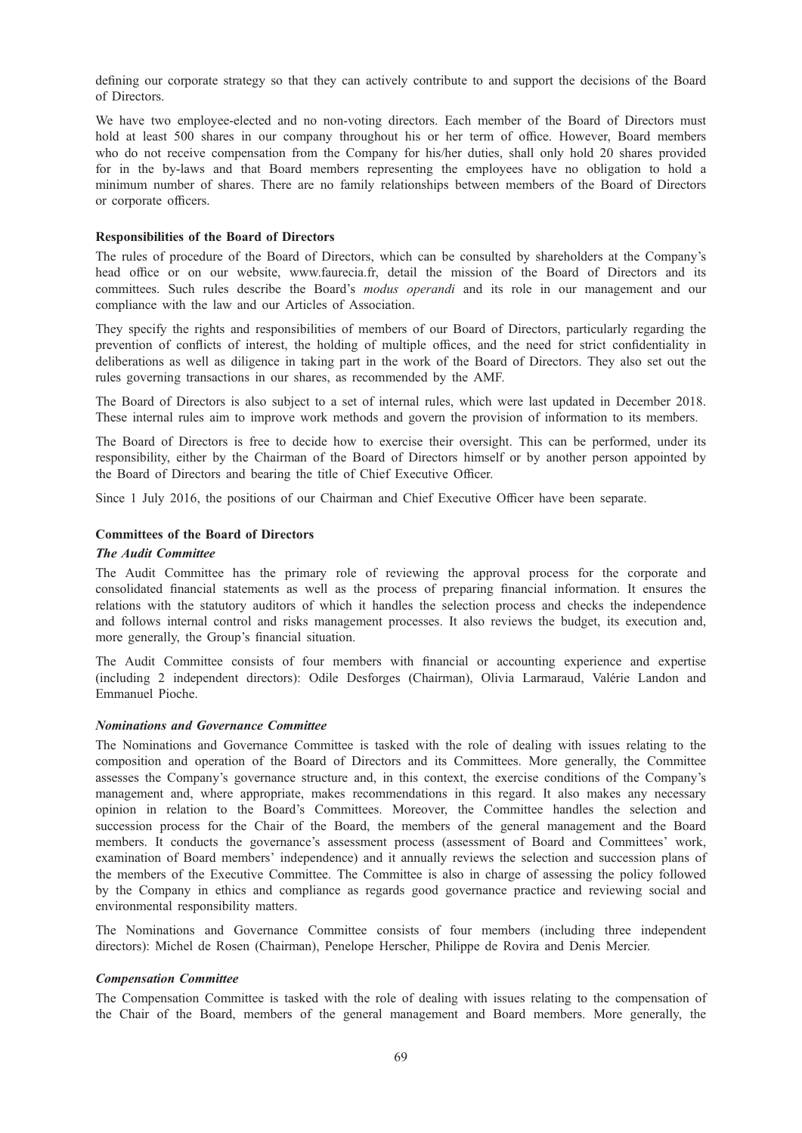defining our corporate strategy so that they can actively contribute to and support the decisions of the Board of Directors.

We have two employee-elected and no non-voting directors. Each member of the Board of Directors must hold at least 500 shares in our company throughout his or her term of office. However, Board members who do not receive compensation from the Company for his/her duties, shall only hold 20 shares provided for in the by-laws and that Board members representing the employees have no obligation to hold a minimum number of shares. There are no family relationships between members of the Board of Directors or corporate officers.

#### Responsibilities of the Board of Directors

The rules of procedure of the Board of Directors, which can be consulted by shareholders at the Company's head office or on our website, www.faurecia.fr, detail the mission of the Board of Directors and its committees. Such rules describe the Board's *modus operandi* and its role in our management and our compliance with the law and our Articles of Association.

They specify the rights and responsibilities of members of our Board of Directors, particularly regarding the prevention of conflicts of interest, the holding of multiple offices, and the need for strict confidentiality in deliberations as well as diligence in taking part in the work of the Board of Directors. They also set out the rules governing transactions in our shares, as recommended by the AMF.

The Board of Directors is also subject to a set of internal rules, which were last updated in December 2018. These internal rules aim to improve work methods and govern the provision of information to its members.

The Board of Directors is free to decide how to exercise their oversight. This can be performed, under its responsibility, either by the Chairman of the Board of Directors himself or by another person appointed by the Board of Directors and bearing the title of Chief Executive Officer.

Since 1 July 2016, the positions of our Chairman and Chief Executive Officer have been separate.

#### Committees of the Board of Directors

#### The Audit Committee

The Audit Committee has the primary role of reviewing the approval process for the corporate and consolidated financial statements as well as the process of preparing financial information. It ensures the relations with the statutory auditors of which it handles the selection process and checks the independence and follows internal control and risks management processes. It also reviews the budget, its execution and, more generally, the Group's financial situation.

The Audit Committee consists of four members with financial or accounting experience and expertise (including 2 independent directors): Odile Desforges (Chairman), Olivia Larmaraud, Valérie Landon and Emmanuel Pioche.

#### Nominations and Governance Committee

The Nominations and Governance Committee is tasked with the role of dealing with issues relating to the composition and operation of the Board of Directors and its Committees. More generally, the Committee assesses the Company's governance structure and, in this context, the exercise conditions of the Company's management and, where appropriate, makes recommendations in this regard. It also makes any necessary opinion in relation to the Board's Committees. Moreover, the Committee handles the selection and succession process for the Chair of the Board, the members of the general management and the Board members. It conducts the governance's assessment process (assessment of Board and Committees' work, examination of Board members' independence) and it annually reviews the selection and succession plans of the members of the Executive Committee. The Committee is also in charge of assessing the policy followed by the Company in ethics and compliance as regards good governance practice and reviewing social and environmental responsibility matters.

The Nominations and Governance Committee consists of four members (including three independent directors): Michel de Rosen (Chairman), Penelope Herscher, Philippe de Rovira and Denis Mercier.

#### Compensation Committee

The Compensation Committee is tasked with the role of dealing with issues relating to the compensation of the Chair of the Board, members of the general management and Board members. More generally, the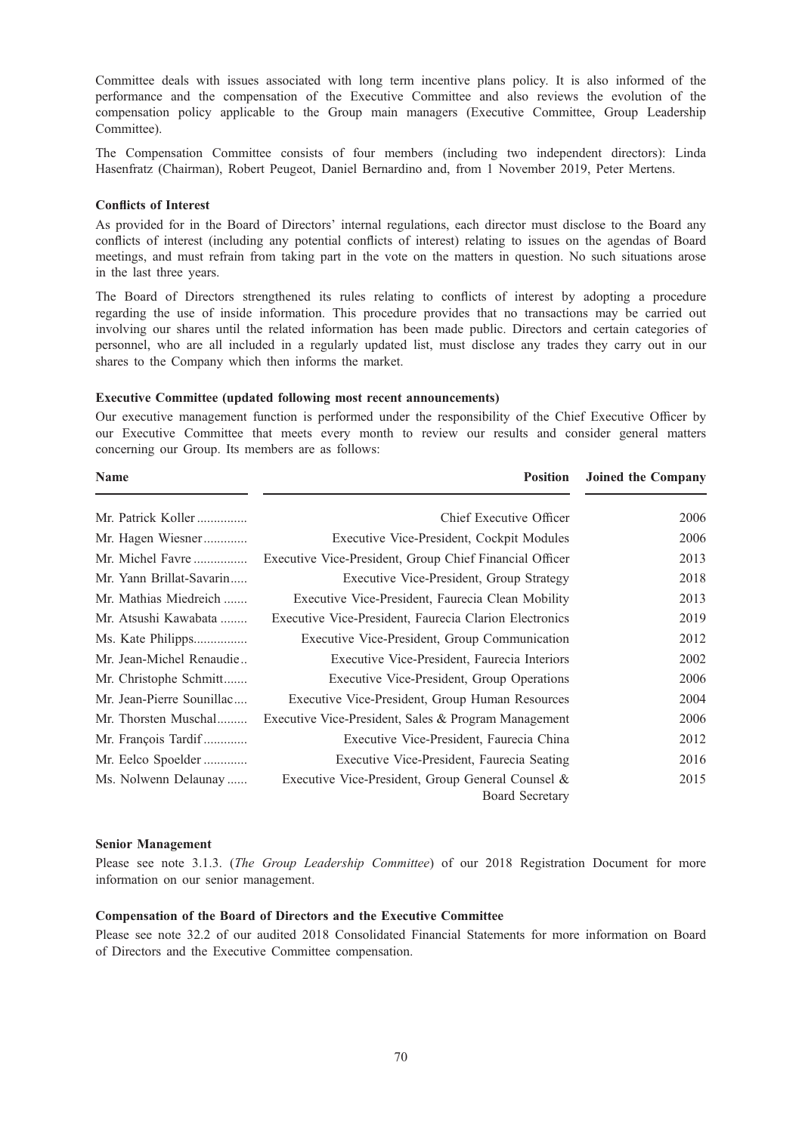Committee deals with issues associated with long term incentive plans policy. It is also informed of the performance and the compensation of the Executive Committee and also reviews the evolution of the compensation policy applicable to the Group main managers (Executive Committee, Group Leadership Committee).

The Compensation Committee consists of four members (including two independent directors): Linda Hasenfratz (Chairman), Robert Peugeot, Daniel Bernardino and, from 1 November 2019, Peter Mertens.

# Conflicts of Interest

As provided for in the Board of Directors' internal regulations, each director must disclose to the Board any conflicts of interest (including any potential conflicts of interest) relating to issues on the agendas of Board meetings, and must refrain from taking part in the vote on the matters in question. No such situations arose in the last three years.

The Board of Directors strengthened its rules relating to conflicts of interest by adopting a procedure regarding the use of inside information. This procedure provides that no transactions may be carried out involving our shares until the related information has been made public. Directors and certain categories of personnel, who are all included in a regularly updated list, must disclose any trades they carry out in our shares to the Company which then informs the market.

#### Executive Committee (updated following most recent announcements)

Our executive management function is performed under the responsibility of the Chief Executive Officer by our Executive Committee that meets every month to review our results and consider general matters concerning our Group. Its members are as follows:

| Name                      | Joined the Company                                                          |      |
|---------------------------|-----------------------------------------------------------------------------|------|
| Mr. Patrick Koller        | Chief Executive Officer                                                     | 2006 |
| Mr. Hagen Wiesner         | Executive Vice-President, Cockpit Modules                                   | 2006 |
| Mr. Michel Favre          | Executive Vice-President, Group Chief Financial Officer                     | 2013 |
| Mr. Yann Brillat-Savarin  | Executive Vice-President, Group Strategy                                    | 2018 |
| Mr. Mathias Miedreich     | Executive Vice-President, Faurecia Clean Mobility                           | 2013 |
| Mr. Atsushi Kawabata      | Executive Vice-President, Faurecia Clarion Electronics                      | 2019 |
|                           | Executive Vice-President, Group Communication                               | 2012 |
| Mr. Jean-Michel Renaudie  | Executive Vice-President, Faurecia Interiors                                | 2002 |
| Mr. Christophe Schmitt    | Executive Vice-President, Group Operations                                  | 2006 |
| Mr. Jean-Pierre Sounillac | Executive Vice-President, Group Human Resources                             | 2004 |
| Mr. Thorsten Muschal      | Executive Vice-President, Sales & Program Management                        | 2006 |
| Mr. François Tardif       | Executive Vice-President, Faurecia China                                    | 2012 |
| Mr. Eelco Spoelder        | Executive Vice-President, Faurecia Seating                                  | 2016 |
| Ms. Nolwenn Delaunay      | Executive Vice-President, Group General Counsel &<br><b>Board Secretary</b> | 2015 |

#### Senior Management

Please see note 3.1.3. (The Group Leadership Committee) of our 2018 Registration Document for more information on our senior management.

# Compensation of the Board of Directors and the Executive Committee

Please see note 32.2 of our audited 2018 Consolidated Financial Statements for more information on Board of Directors and the Executive Committee compensation.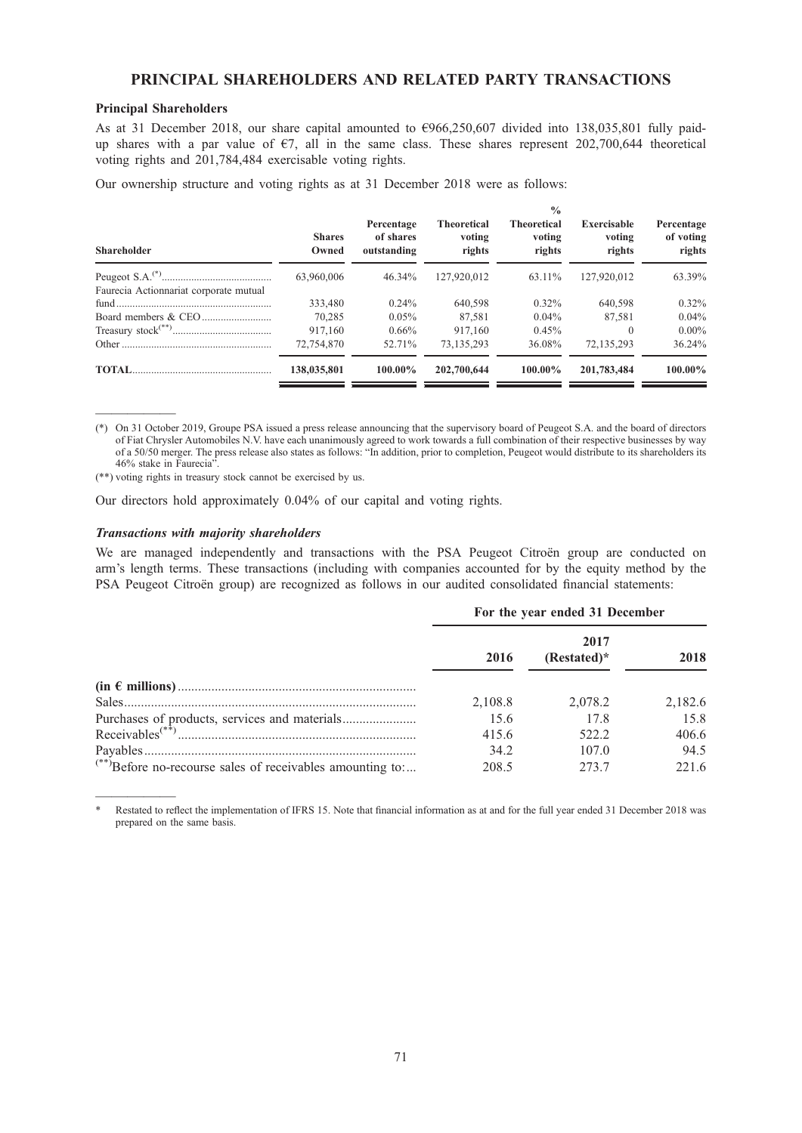# PRINCIPAL SHAREHOLDERS AND RELATED PARTY TRANSACTIONS

### Principal Shareholders

—————

As at 31 December 2018, our share capital amounted to €966,250,607 divided into 138,035,801 fully paidup shares with a par value of  $\epsilon$ 7, all in the same class. These shares represent 202,700,644 theoretical voting rights and 201,784,484 exercisable voting rights.

Our ownership structure and voting rights as at 31 December 2018 were as follows:

| <b>Shareholder</b>                     | <b>Shares</b><br>Owned | Percentage<br>of shares<br>outstanding | <b>Theoretical</b><br>voting<br>rights | $\frac{0}{0}$<br><b>Theoretical</b><br>voting<br>rights | <b>Exercisable</b><br>voting<br>rights | Percentage<br>of voting<br>rights |
|----------------------------------------|------------------------|----------------------------------------|----------------------------------------|---------------------------------------------------------|----------------------------------------|-----------------------------------|
|                                        | 63,960,006             | 46.34%                                 | 127,920,012                            | 63.11%                                                  | 127,920,012                            | 63.39%                            |
| Faurecia Actionnariat corporate mutual |                        |                                        |                                        |                                                         |                                        |                                   |
|                                        | 333,480                | $0.24\%$                               | 640,598                                | $0.32\%$                                                | 640,598                                | $0.32\%$                          |
|                                        | 70.285                 | $0.05\%$                               | 87.581                                 | $0.04\%$                                                | 87.581                                 | $0.04\%$                          |
|                                        | 917,160                | $0.66\%$                               | 917,160                                | 0.45%                                                   | $\theta$                               | $0.00\%$                          |
|                                        | 72,754,870             | 52.71%                                 | 73.135.293                             | 36.08%                                                  | 72.135.293                             | 36.24%                            |
|                                        | 138,035,801            | 100.00%                                | 202,700,644                            | $100.00\%$                                              | 201,783,484                            | $100.00\%$                        |

(\*) On 31 October 2019, Groupe PSA issued a press release announcing that the supervisory board of Peugeot S.A. and the board of directors of Fiat Chrysler Automobiles N.V. have each unanimously agreed to work towards a full combination of their respective businesses by way of a 50/50 merger. The press release also states as follows: "In addition, prior to completion, Peugeot would distribute to its shareholders its 46% stake in Faurecia".

(\*\*) voting rights in treasury stock cannot be exercised by us.

Our directors hold approximately 0.04% of our capital and voting rights.

### Transactions with majority shareholders

We are managed independently and transactions with the PSA Peugeot Citroën group are conducted on arm's length terms. These transactions (including with companies accounted for by the equity method by the PSA Peugeot Citroën group) are recognized as follows in our audited consolidated financial statements:

|                                            | For the year ended 31 December |                       |         |  |
|--------------------------------------------|--------------------------------|-----------------------|---------|--|
|                                            | 2016                           | 2017<br>$(Restated)*$ | 2018    |  |
|                                            |                                |                       |         |  |
|                                            | 2.108.8                        | 2.078.2               | 2,182.6 |  |
|                                            | 15.6                           | 17.8                  | 15.8    |  |
| Receivables <sup><math>(**)</math></sup> . | 415.6                          | 522.2                 | 406.6   |  |
|                                            | 34.2                           | 107.0                 | 94.5    |  |
|                                            | 208.5                          | 273.7                 | 221.6   |  |

————— Restated to reflect the implementation of IFRS 15. Note that financial information as at and for the full year ended 31 December 2018 was prepared on the same basis.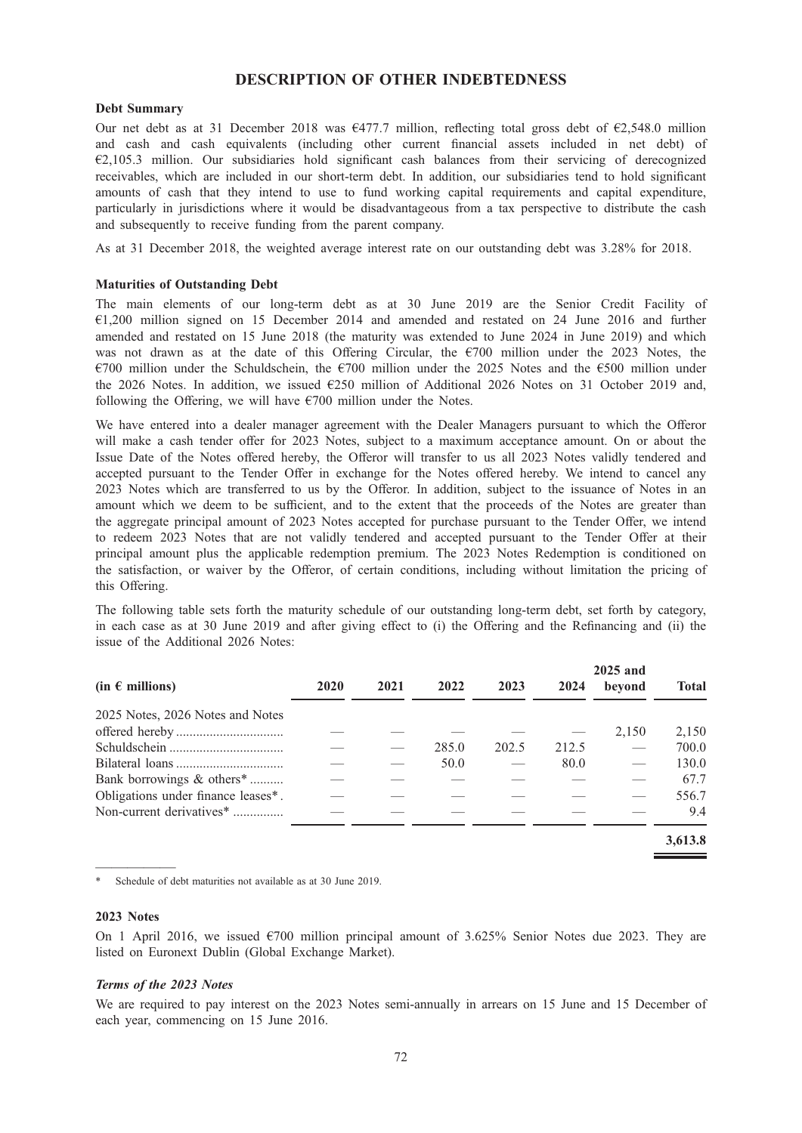# DESCRIPTION OF OTHER INDEBTEDNESS

#### Debt Summary

Our net debt as at 31 December 2018 was  $\epsilon$ 477.7 million, reflecting total gross debt of  $\epsilon$ 2,548.0 million and cash and cash equivalents (including other current financial assets included in net debt) of €2,105.3 million. Our subsidiaries hold significant cash balances from their servicing of derecognized receivables, which are included in our short-term debt. In addition, our subsidiaries tend to hold significant amounts of cash that they intend to use to fund working capital requirements and capital expenditure, particularly in jurisdictions where it would be disadvantageous from a tax perspective to distribute the cash and subsequently to receive funding from the parent company.

As at 31 December 2018, the weighted average interest rate on our outstanding debt was 3.28% for 2018.

#### Maturities of Outstanding Debt

The main elements of our long-term debt as at 30 June 2019 are the Senior Credit Facility of €1,200 million signed on 15 December 2014 and amended and restated on 24 June 2016 and further amended and restated on 15 June 2018 (the maturity was extended to June 2024 in June 2019) and which was not drawn as at the date of this Offering Circular, the  $\epsilon$ 700 million under the 2023 Notes, the €700 million under the Schuldschein, the €700 million under the 2025 Notes and the €500 million under the 2026 Notes. In addition, we issued €250 million of Additional 2026 Notes on 31 October 2019 and, following the Offering, we will have  $\epsilon$ 700 million under the Notes.

We have entered into a dealer manager agreement with the Dealer Managers pursuant to which the Offeror will make a cash tender offer for 2023 Notes, subject to a maximum acceptance amount. On or about the Issue Date of the Notes offered hereby, the Offeror will transfer to us all 2023 Notes validly tendered and accepted pursuant to the Tender Offer in exchange for the Notes offered hereby. We intend to cancel any 2023 Notes which are transferred to us by the Offeror. In addition, subject to the issuance of Notes in an amount which we deem to be sufficient, and to the extent that the proceeds of the Notes are greater than the aggregate principal amount of 2023 Notes accepted for purchase pursuant to the Tender Offer, we intend to redeem 2023 Notes that are not validly tendered and accepted pursuant to the Tender Offer at their principal amount plus the applicable redemption premium. The 2023 Notes Redemption is conditioned on the satisfaction, or waiver by the Offeror, of certain conditions, including without limitation the pricing of this Offering.

The following table sets forth the maturity schedule of our outstanding long-term debt, set forth by category, in each case as at 30 June 2019 and after giving effect to (i) the Offering and the Refinancing and (ii) the issue of the Additional 2026 Notes:

|                                       |      |      |       |       |       | 2025 and |              |
|---------------------------------------|------|------|-------|-------|-------|----------|--------------|
| $(in \in millions)$                   | 2020 | 2021 | 2022  | 2023  | 2024  | bevond   | <b>Total</b> |
| 2025 Notes, 2026 Notes and Notes      |      |      |       |       |       |          |              |
|                                       |      |      |       |       |       | 2,150    | 2,150        |
|                                       |      |      | 285.0 | 202.5 | 212.5 |          | 700.0        |
|                                       |      |      | 50.0  |       | 80.0  |          | 130.0        |
| Bank borrowings & others <sup>*</sup> |      |      |       |       |       |          | 67.7         |
| Obligations under finance leases*.    |      |      |       |       |       |          | 556.7        |
| Non-current derivatives <sup>*</sup>  |      |      |       |       |       |          | 9.4          |
|                                       |      |      |       |       |       |          | 3.613.8      |

————— \* Schedule of debt maturities not available as at 30 June 2019.

#### 2023 Notes

On 1 April 2016, we issued  $\epsilon$ 700 million principal amount of 3.625% Senior Notes due 2023. They are listed on Euronext Dublin (Global Exchange Market).

#### Terms of the 2023 Notes

We are required to pay interest on the 2023 Notes semi-annually in arrears on 15 June and 15 December of each year, commencing on 15 June 2016.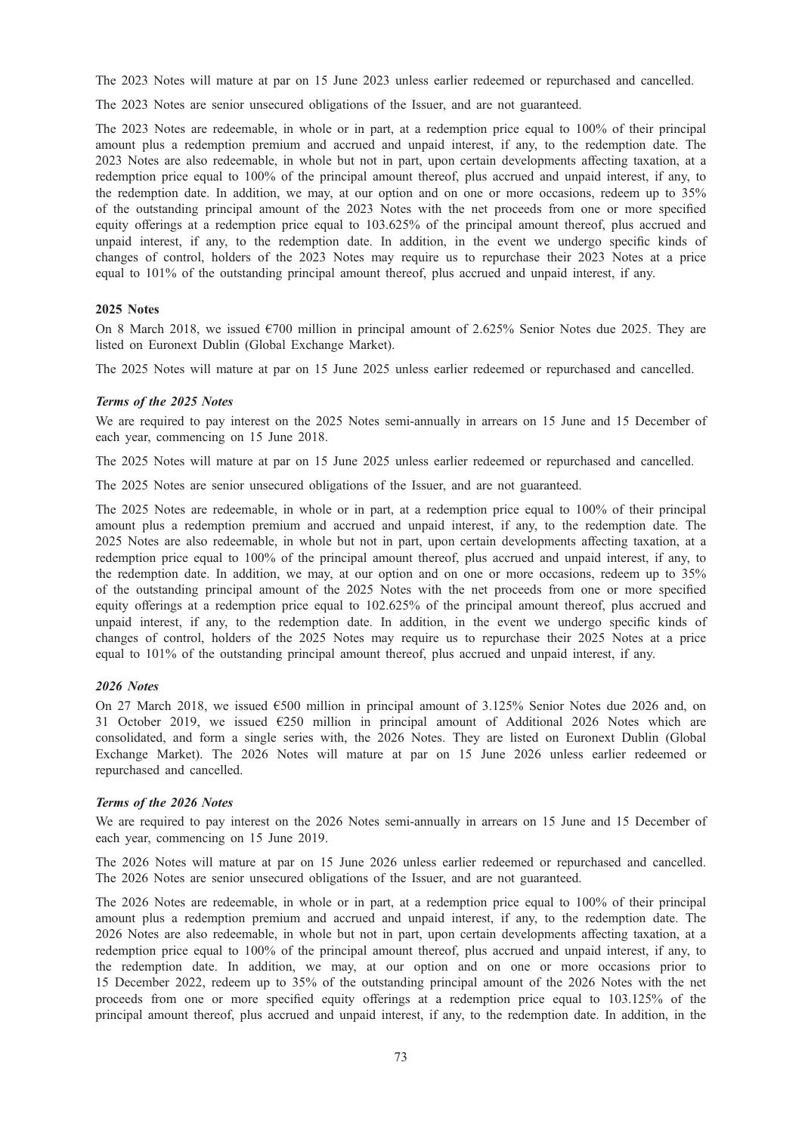The 2023 Notes will mature at par on 15 June 2023 unless earlier redeemed or repurchased and cancelled.

The 2023 Notes are senior unsecured obligations of the Issuer, and are not guaranteed.

The 2023 Notes are redeemable, in whole or in part, at a redemption price equal to 100% of their principal amount plus a redemption premium and accrued and unpaid interest, if any, to the redemption date. The 2023 Notes are also redeemable, in whole but not in part, upon certain developments affecting taxation, at a redemption price equal to 100% of the principal amount thereof, plus accrued and unpaid interest, if any, to the redemption date. In addition, we may, at our option and on one or more occasions, redeem up to 35% of the outstanding principal amount of the 2023 Notes with the net proceeds from one or more specified equity offerings at a redemption price equal to 103.625% of the principal amount thereof, plus accrued and unpaid interest, if any, to the redemption date. In addition, in the event we undergo specific kinds of changes of control, holders of the 2023 Notes may require us to repurchase their 2023 Notes at a price equal to 101% of the outstanding principal amount thereof, plus accrued and unpaid interest, if any.

#### 2025 Notes

On 8 March 2018, we issued  $\epsilon$ 700 million in principal amount of 2.625% Senior Notes due 2025. They are listed on Euronext Dublin (Global Exchange Market).

The 2025 Notes will mature at par on 15 June 2025 unless earlier redeemed or repurchased and cancelled.

#### Terms of the 2025 Notes

We are required to pay interest on the 2025 Notes semi-annually in arrears on 15 June and 15 December of each year, commencing on 15 June 2018.

The 2025 Notes will mature at par on 15 June 2025 unless earlier redeemed or repurchased and cancelled.

The 2025 Notes are senior unsecured obligations of the Issuer, and are not guaranteed.

The 2025 Notes are redeemable, in whole or in part, at a redemption price equal to 100% of their principal amount plus a redemption premium and accrued and unpaid interest, if any, to the redemption date. The 2025 Notes are also redeemable, in whole but not in part, upon certain developments affecting taxation, at a redemption price equal to 100% of the principal amount thereof, plus accrued and unpaid interest, if any, to the redemption date. In addition, we may, at our option and on one or more occasions, redeem up to 35% of the outstanding principal amount of the 2025 Notes with the net proceeds from one or more specified equity offerings at a redemption price equal to 102.625% of the principal amount thereof, plus accrued and unpaid interest, if any, to the redemption date. In addition, in the event we undergo specific kinds of changes of control, holders of the 2025 Notes may require us to repurchase their 2025 Notes at a price equal to 101% of the outstanding principal amount thereof, plus accrued and unpaid interest, if any.

### 2026 Notes

On 27 March 2018, we issued €500 million in principal amount of 3.125% Senior Notes due 2026 and, on 31 October 2019, we issued €250 million in principal amount of Additional 2026 Notes which are consolidated, and form a single series with, the 2026 Notes. They are listed on Euronext Dublin (Global Exchange Market). The 2026 Notes will mature at par on 15 June 2026 unless earlier redeemed or repurchased and cancelled.

### Terms of the 2026 Notes

We are required to pay interest on the 2026 Notes semi-annually in arrears on 15 June and 15 December of each year, commencing on 15 June 2019.

The 2026 Notes will mature at par on 15 June 2026 unless earlier redeemed or repurchased and cancelled. The 2026 Notes are senior unsecured obligations of the Issuer, and are not guaranteed.

The 2026 Notes are redeemable, in whole or in part, at a redemption price equal to 100% of their principal amount plus a redemption premium and accrued and unpaid interest, if any, to the redemption date. The 2026 Notes are also redeemable, in whole but not in part, upon certain developments affecting taxation, at a redemption price equal to 100% of the principal amount thereof, plus accrued and unpaid interest, if any, to the redemption date. In addition, we may, at our option and on one or more occasions prior to 15 December 2022, redeem up to 35% of the outstanding principal amount of the 2026 Notes with the net proceeds from one or more specified equity offerings at a redemption price equal to 103.125% of the principal amount thereof, plus accrued and unpaid interest, if any, to the redemption date. In addition, in the